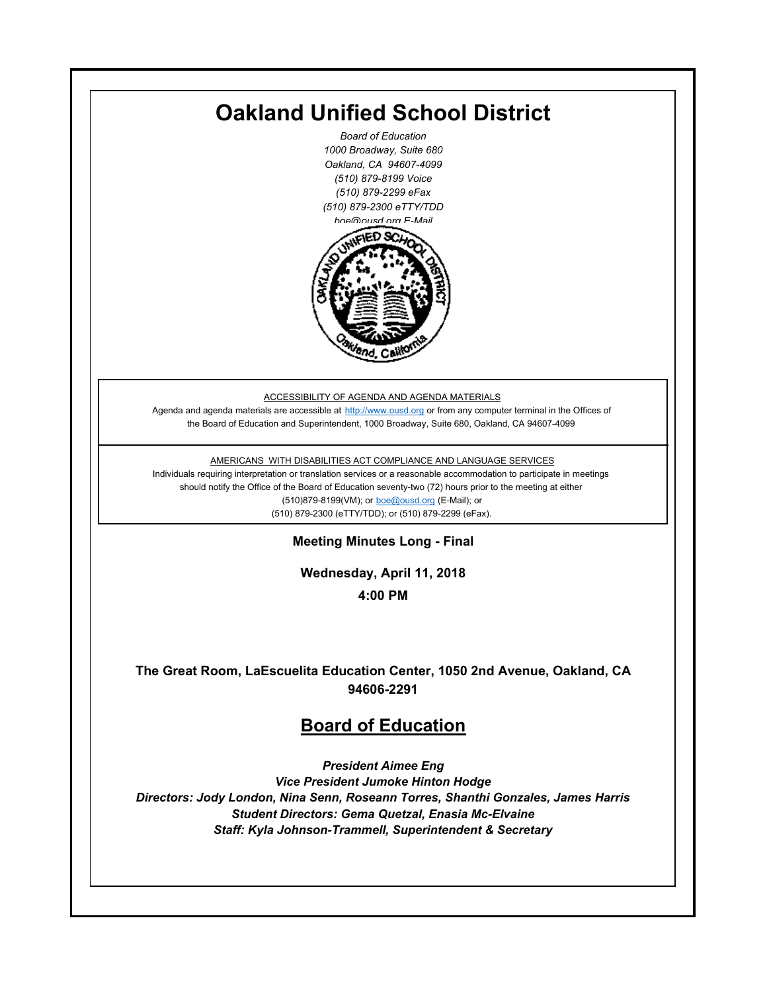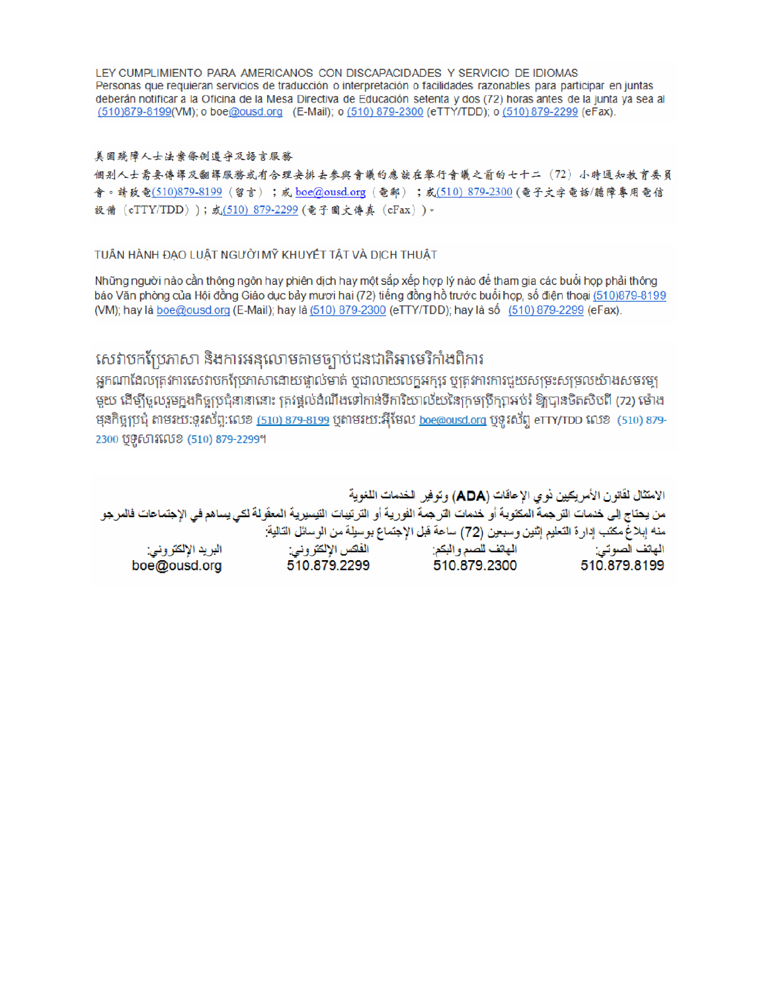LEY CUMPLIMIENTO PARA AMERICANOS CON DISCAPACIDADES Y SERVICIO DE IDIOMAS Personas que requieran servicios de traducción o interpretación o facilidades razonables para participar en juntas deberán notificar a la Oficina de la Mesa Directiva de Educación setenta y dos (72) horas antes de la junta ya sea al (510)879-8199(VM); o boe@ousd.org (E-Mail); o (510) 879-2300 (eTTY/TDD); o (510) 879-2299 (eFax).

### 美国残障人士法案條例遵守及語言服務

個别人士需要傳譯及翻譯服務或有合理安排去參與會議的應該在舉行會議之前的七十二(72)小時通知教育委員 會。請致電(510)879-8199(留言);或 boe@ousd.org (電郵) ;或(510) 879-2300 (電子文字電話/聽障專用電信 設備 (eTTY/TDD));或(510)879-2299(電子圖文傳真 (eFax))。

### TUÂN HÀNH ĐẠO LUẬT NGƯỜI MỸ KHUYẾT TẤT VÀ DỊCH THUẬT

Những người nào cần thông ngôn hay phiên dịch hay một sắp xếp hợp lý nào để tham gia các buổi họp phải thông báo Văn phòng của Hội đồng Giáo dục bảy mươi hai (72) tiếng đồng hồ trước buổi họp, số điện thoại (510)879-8199 (VM); hay là boe@ousd.org (E-Mail); hay là (510) 879-2300 (eTTY/TDD); hay là số (510) 879-2299 (eFax).

# សេវាបកប្រែភាសា និងការអនុលោមតាមច្បាប់ជនជាតិអាមេរិកាំងពិការ

អកណាដែលតេវការសេវាបកប្រែភាសាដោយផ្ទាល់មាត់ ឬជាលាយលក្ខអក្សរ ឬត្រូវការការជួយសម្រះសម្រលយ៉ាងសមរម្យ មយ ដើម្បីចលរមកងកិច្ចប្រជុំនានានោះ ត្រូវផ្តល់ដំណឹងទៅកាន់ទីការិយាល័យនៃក្រមប្រឹក្សាអប់រំ ឱ្យបានចិតសិបពី (72) ម៉ោង ម្មនកិច្ចប្រជុំ តាមរយៈទូរស័ព្ទ:លេខ (<u>510) 879-8199</u> បុតាមរយៈអ៊ីមែល <u>boe@ousd.org</u> បុទ្**រ**ស័ព្ទ eTTY/TDD លេខ (510) 879-2300 ប៊ូទ្មិសារលេខ (510) 879-2299។

الامتثال لقانون الأمريكيين نو ي الإعاقات (ADA) وتوفير الخدمات اللغوية من يحتاج إلى خدمات التر جمة المكتوبة أو خدمات التر جمة الفورية أو الترتيبات التيسيرية المعفّولة لكي يساهم في الإجتماعات فالمرجو منه إبلاغ مكتب إدارة التعليم إثنين وسبعين (72) ساعة قبل الإجتماع بوسيلة من الوسائل التالية: البريد الإلكتروني: 510.879.2299 boe@ousd.org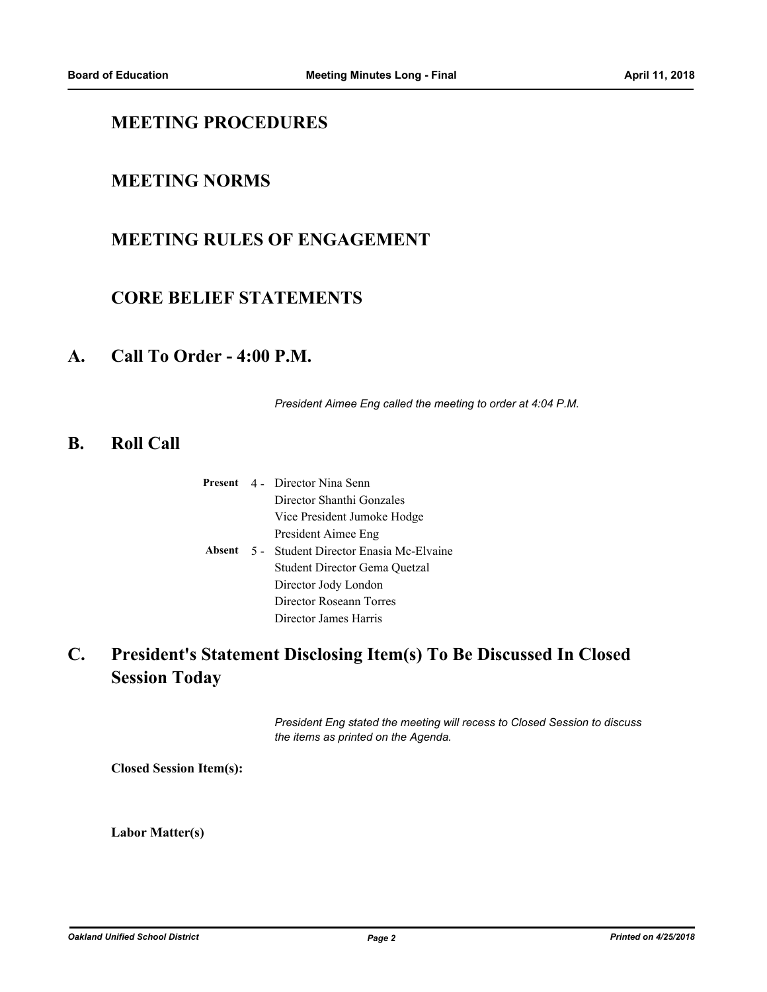## **MEETING PROCEDURES**

## **MEETING NORMS**

## **MEETING RULES OF ENGAGEMENT**

## **CORE BELIEF STATEMENTS**

### **A. Call To Order - 4:00 P.M.**

*President Aimee Eng called the meeting to order at 4:04 P.M.*

### **B. Roll Call**

|  | <b>Present</b> 4 Director Nina Senn           |  |
|--|-----------------------------------------------|--|
|  | Director Shanthi Gonzales                     |  |
|  | Vice President Jumoke Hodge                   |  |
|  | President Aimee Eng                           |  |
|  | Absent 5 - Student Director Enasia Mc-Elvaine |  |
|  | Student Director Gema Quetzal                 |  |
|  | Director Jody London                          |  |
|  | Director Roseann Torres                       |  |
|  | Director James Harris                         |  |

### **President's Statement Disclosing Item(s) To Be Discussed In Closed Session Today C.**

*President Eng stated the meeting will recess to Closed Session to discuss the items as printed on the Agenda.*

**Closed Session Item(s):**

**Labor Matter(s)**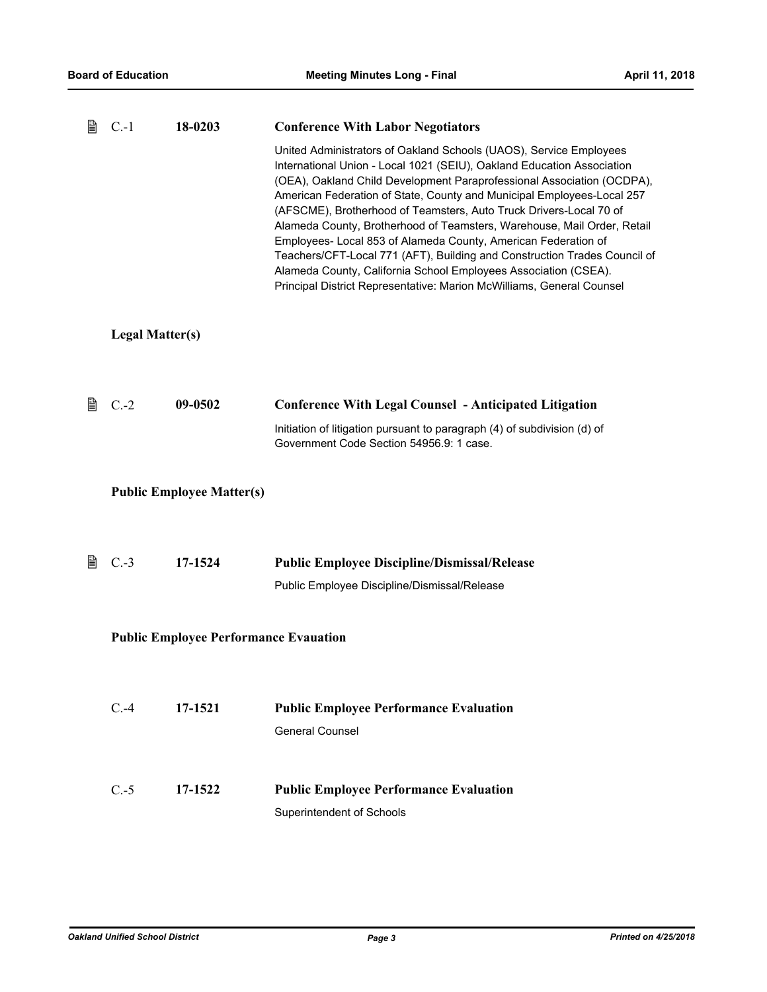| 閶 | $C.-1$                 | 18-0203                                      | <b>Conference With Labor Negotiators</b>                                                                                                                                                                                                                                                                                                                                                                                                                                                                                                                                                                                                                                                                                                     |
|---|------------------------|----------------------------------------------|----------------------------------------------------------------------------------------------------------------------------------------------------------------------------------------------------------------------------------------------------------------------------------------------------------------------------------------------------------------------------------------------------------------------------------------------------------------------------------------------------------------------------------------------------------------------------------------------------------------------------------------------------------------------------------------------------------------------------------------------|
|   |                        |                                              | United Administrators of Oakland Schools (UAOS), Service Employees<br>International Union - Local 1021 (SEIU), Oakland Education Association<br>(OEA), Oakland Child Development Paraprofessional Association (OCDPA),<br>American Federation of State, County and Municipal Employees-Local 257<br>(AFSCME), Brotherhood of Teamsters, Auto Truck Drivers-Local 70 of<br>Alameda County, Brotherhood of Teamsters, Warehouse, Mail Order, Retail<br>Employees- Local 853 of Alameda County, American Federation of<br>Teachers/CFT-Local 771 (AFT), Building and Construction Trades Council of<br>Alameda County, California School Employees Association (CSEA).<br>Principal District Representative: Marion McWilliams, General Counsel |
|   | <b>Legal Matter(s)</b> |                                              |                                                                                                                                                                                                                                                                                                                                                                                                                                                                                                                                                                                                                                                                                                                                              |
| 閶 | $C.-2$                 | 09-0502                                      | <b>Conference With Legal Counsel - Anticipated Litigation</b>                                                                                                                                                                                                                                                                                                                                                                                                                                                                                                                                                                                                                                                                                |
|   |                        |                                              | Initiation of litigation pursuant to paragraph (4) of subdivision (d) of<br>Government Code Section 54956.9: 1 case.                                                                                                                                                                                                                                                                                                                                                                                                                                                                                                                                                                                                                         |
|   |                        | <b>Public Employee Matter(s)</b>             |                                                                                                                                                                                                                                                                                                                                                                                                                                                                                                                                                                                                                                                                                                                                              |
| 閶 | $C.-3$                 | 17-1524                                      | <b>Public Employee Discipline/Dismissal/Release</b>                                                                                                                                                                                                                                                                                                                                                                                                                                                                                                                                                                                                                                                                                          |
|   |                        |                                              | Public Employee Discipline/Dismissal/Release                                                                                                                                                                                                                                                                                                                                                                                                                                                                                                                                                                                                                                                                                                 |
|   |                        | <b>Public Employee Performance Evauation</b> |                                                                                                                                                                                                                                                                                                                                                                                                                                                                                                                                                                                                                                                                                                                                              |
|   | $C.-4$                 | 17-1521                                      | <b>Public Employee Performance Evaluation</b><br><b>General Counsel</b>                                                                                                                                                                                                                                                                                                                                                                                                                                                                                                                                                                                                                                                                      |
|   | $C.-5$                 | 17-1522                                      | <b>Public Employee Performance Evaluation</b><br>Superintendent of Schools                                                                                                                                                                                                                                                                                                                                                                                                                                                                                                                                                                                                                                                                   |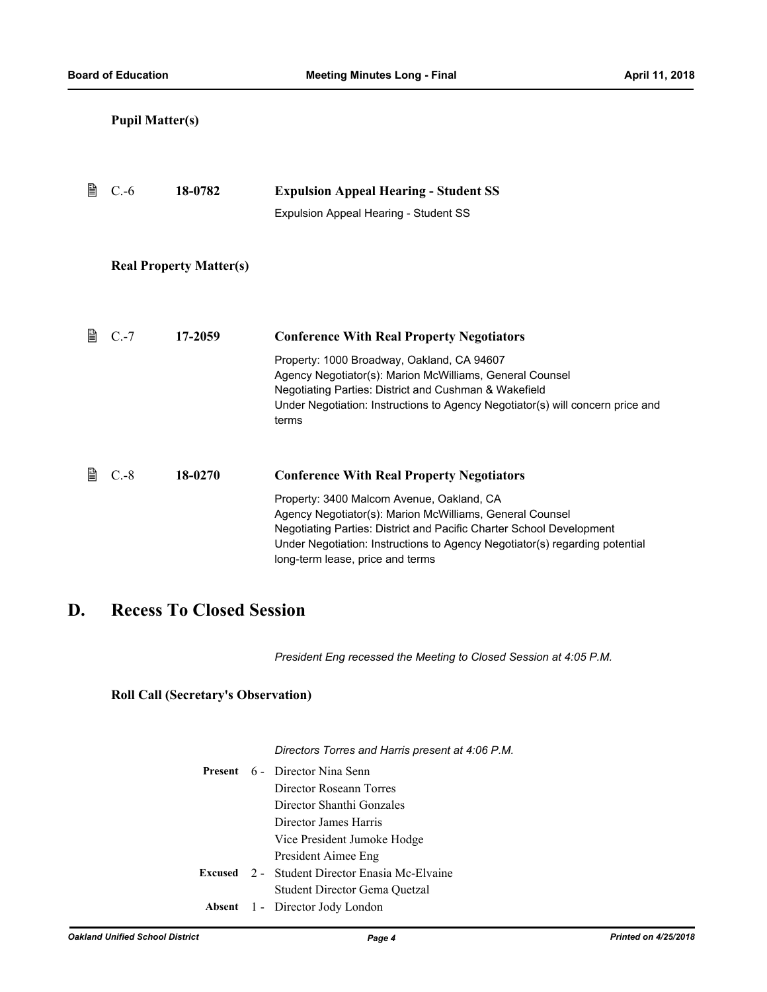|   | <b>Pupil Matter(s)</b> |                                |                                                                                                                                                                                                                                                                                                                                                      |
|---|------------------------|--------------------------------|------------------------------------------------------------------------------------------------------------------------------------------------------------------------------------------------------------------------------------------------------------------------------------------------------------------------------------------------------|
| 閶 | $C.-6$                 | 18-0782                        | <b>Expulsion Appeal Hearing - Student SS</b><br>Expulsion Appeal Hearing - Student SS                                                                                                                                                                                                                                                                |
|   |                        | <b>Real Property Matter(s)</b> |                                                                                                                                                                                                                                                                                                                                                      |
| 窅 | $C.-7$                 | 17-2059                        | <b>Conference With Real Property Negotiators</b><br>Property: 1000 Broadway, Oakland, CA 94607<br>Agency Negotiator(s): Marion McWilliams, General Counsel<br>Negotiating Parties: District and Cushman & Wakefield<br>Under Negotiation: Instructions to Agency Negotiator(s) will concern price and<br>terms                                       |
| 昏 | $C.-8$                 | 18-0270                        | <b>Conference With Real Property Negotiators</b><br>Property: 3400 Malcom Avenue, Oakland, CA<br>Agency Negotiator(s): Marion McWilliams, General Counsel<br>Negotiating Parties: District and Pacific Charter School Development<br>Under Negotiation: Instructions to Agency Negotiator(s) regarding potential<br>long-term lease, price and terms |

# **D. Recess To Closed Session**

*President Eng recessed the Meeting to Closed Session at 4:05 P.M.*

**Roll Call (Secretary's Observation)**

*Directors Torres and Harris present at 4:06 P.M.*

|  | <b>Present</b> 6 - Director Nina Senn          |  |  |
|--|------------------------------------------------|--|--|
|  | Director Roseann Torres                        |  |  |
|  | Director Shanthi Gonzales                      |  |  |
|  | Director James Harris                          |  |  |
|  | Vice President Jumoke Hodge                    |  |  |
|  | President Aimee Eng                            |  |  |
|  | Excused 2 - Student Director Enasia Mc-Elvaine |  |  |
|  | Student Director Gema Quetzal                  |  |  |
|  | <b>Absent</b> 1 - Director Jody London         |  |  |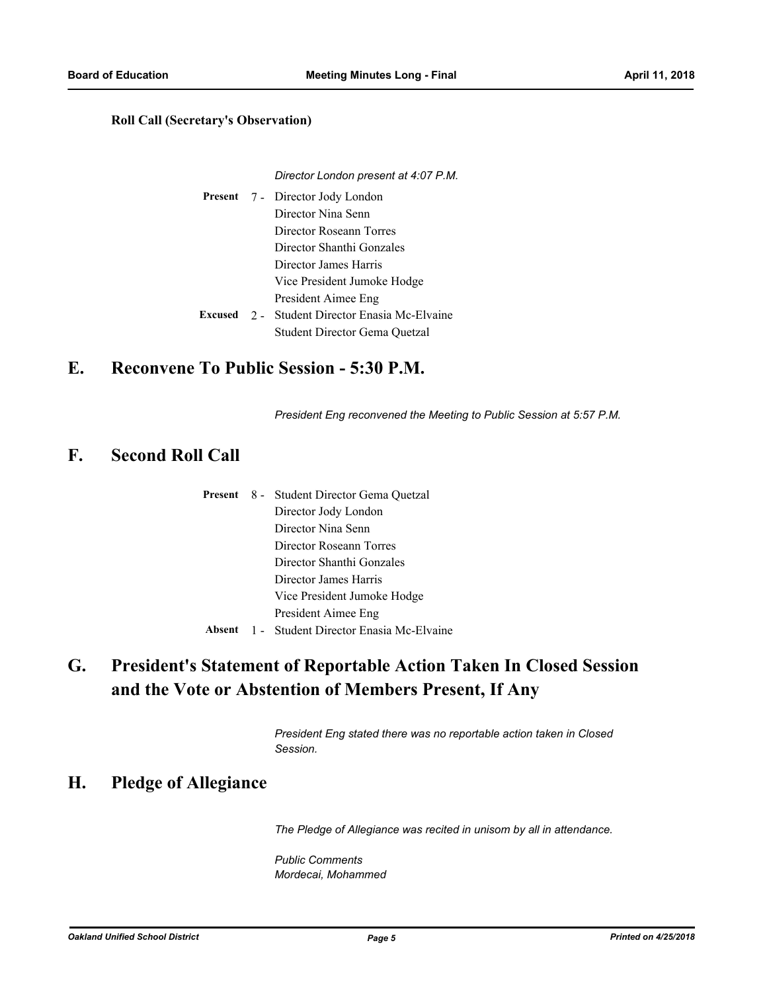### **Roll Call (Secretary's Observation)**

#### *Director London present at 4:07 P.M.*

Present 7 - Director Jody London Director Nina Senn Director Roseann Torres Director Shanthi Gonzales Director James Harris Vice President Jumoke Hodge President Aimee Eng Student Director Enasia Mc-Elvaine Student Director Gema Quetzal **Excused** 2 -

### **E. Reconvene To Public Session - 5:30 P.M.**

*President Eng reconvened the Meeting to Public Session at 5:57 P.M.*

### **F. Second Roll Call**

|  | <b>Present</b> 8 - Student Director Gema Quetzal |  |
|--|--------------------------------------------------|--|
|  | Director Jody London                             |  |
|  | Director Nina Senn                               |  |
|  | Director Roseann Torres                          |  |
|  | Director Shanthi Gonzales                        |  |
|  | Director James Harris                            |  |
|  | Vice President Jumoke Hodge                      |  |
|  | President Aimee Eng                              |  |
|  | Absent 1 - Student Director Enasia Mc-Elvaine    |  |

### **President's Statement of Reportable Action Taken In Closed Session and the Vote or Abstention of Members Present, If Any G.**

*President Eng stated there was no reportable action taken in Closed Session.*

## **H. Pledge of Allegiance**

*The Pledge of Allegiance was recited in unisom by all in attendance.*

*Public Comments Mordecai, Mohammed*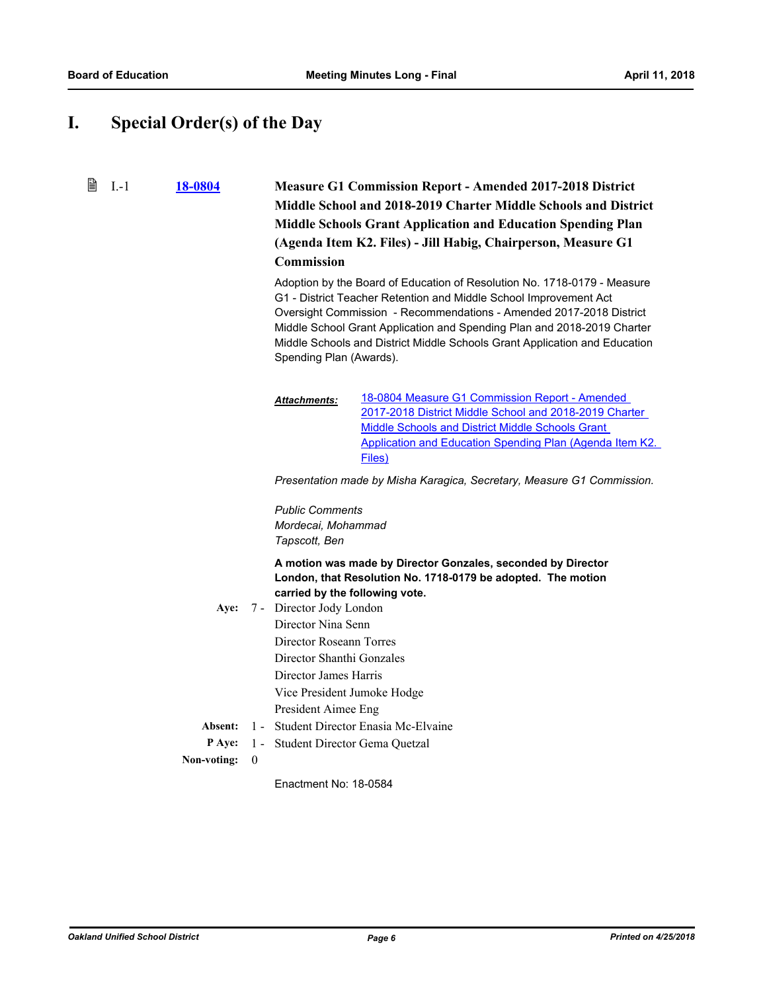## **I. Special Order(s) of the Day**

窅 I.-1 **[18-0804](http://ousd.legistar.com/gateway.aspx?m=l&id=/matter.aspx?key=42984) Measure G1 Commission Report - Amended 2017-2018 District Middle School and 2018-2019 Charter Middle Schools and District Middle Schools Grant Application and Education Spending Plan (Agenda Item K2. Files) - Jill Habig, Chairperson, Measure G1 Commission** Adoption by the Board of Education of Resolution No. 1718-0179 - Measure G1 - District Teacher Retention and Middle School Improvement Act

Oversight Commission - Recommendations - Amended 2017-2018 District Middle School Grant Application and Spending Plan and 2018-2019 Charter Middle Schools and District Middle Schools Grant Application and Education Spending Plan (Awards).

18-0804 Measure G1 Commission Report - Amended 2017-2018 District Middle School and 2018-2019 Charter Middle Schools and District Middle Schools Grant [Application and Education Spending Plan \(Agenda Item K2.](http://ousd.legistar.com/gateway.aspx?M=F&ID=88152.pdf)  Files) *Attachments:*

*Presentation made by Misha Karagica, Secretary, Measure G1 Commission.*

*Public Comments Mordecai, Mohammad Tapscott, Ben*

**A motion was made by Director Gonzales, seconded by Director London, that Resolution No. 1718-0179 be adopted. The motion carried by the following vote.**

Aye: 7 - Director Jody London Director Nina Senn Director Roseann Torres Director Shanthi Gonzales Director James Harris Vice President Jumoke Hodge President Aimee Eng **Absent:** 1 - Student Director Enasia Mc-Elvaine **P Aye:** 1 - Student Director Gema Quetzal

### **Non-voting:** 0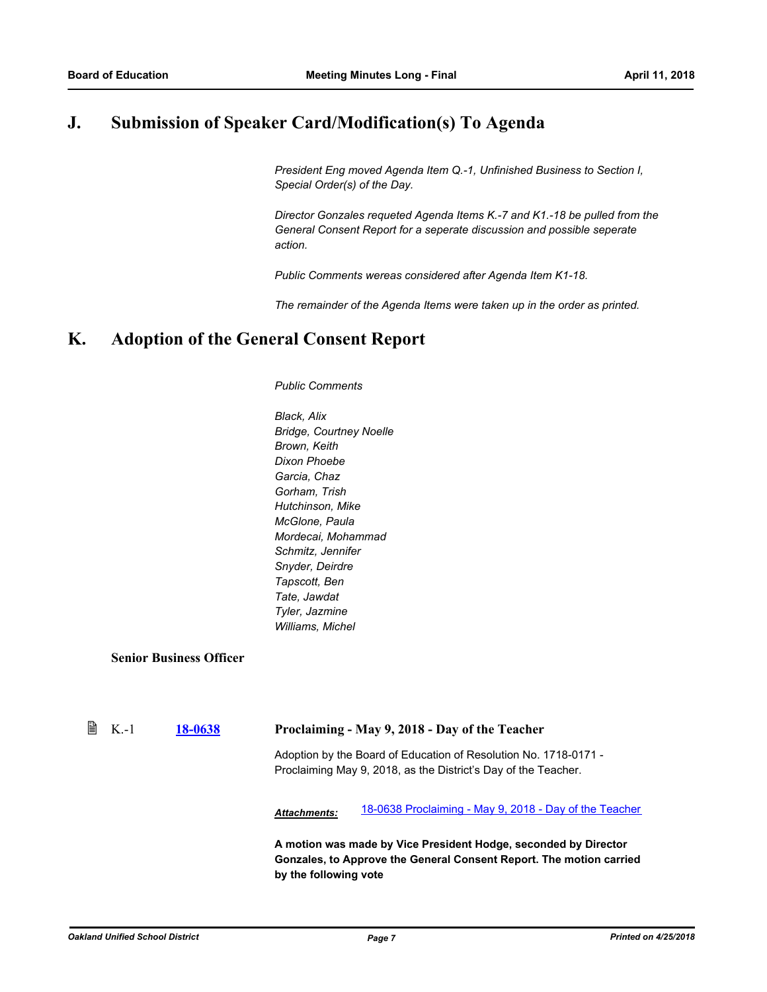## **J. Submission of Speaker Card/Modification(s) To Agenda**

*President Eng moved Agenda Item Q.-1, Unfinished Business to Section I, Special Order(s) of the Day.*

*Director Gonzales requeted Agenda Items K.-7 and K1.-18 be pulled from the General Consent Report for a seperate discussion and possible seperate action.*

*Public Comments wereas considered after Agenda Item K1-18.* 

*The remainder of the Agenda Items were taken up in the order as printed.*

## **K. Adoption of the General Consent Report**

*Public Comments*

*Black, Alix Bridge, Courtney Noelle Brown, Keith Dixon Phoebe Garcia, Chaz Gorham, Trish Hutchinson, Mike McGlone, Paula Mordecai, Mohammad Schmitz, Jennifer Snyder, Deirdre Tapscott, Ben Tate, Jawdat Tyler, Jazmine Williams, Michel*

**Senior Business Officer**

| $\Box$ K.-1 | 18-0638 | Proclaiming - May 9, 2018 - Day of the Teacher |
|-------------|---------|------------------------------------------------|
|             |         |                                                |

Adoption by the Board of Education of Resolution No. 1718-0171 - Proclaiming May 9, 2018, as the District's Day of the Teacher.

*Attachments:* [18-0638 Proclaiming - May 9, 2018 - Day of the Teacher](http://ousd.legistar.com/gateway.aspx?M=F&ID=88044.pdf)

**A motion was made by Vice President Hodge, seconded by Director Gonzales, to Approve the General Consent Report. The motion carried by the following vote**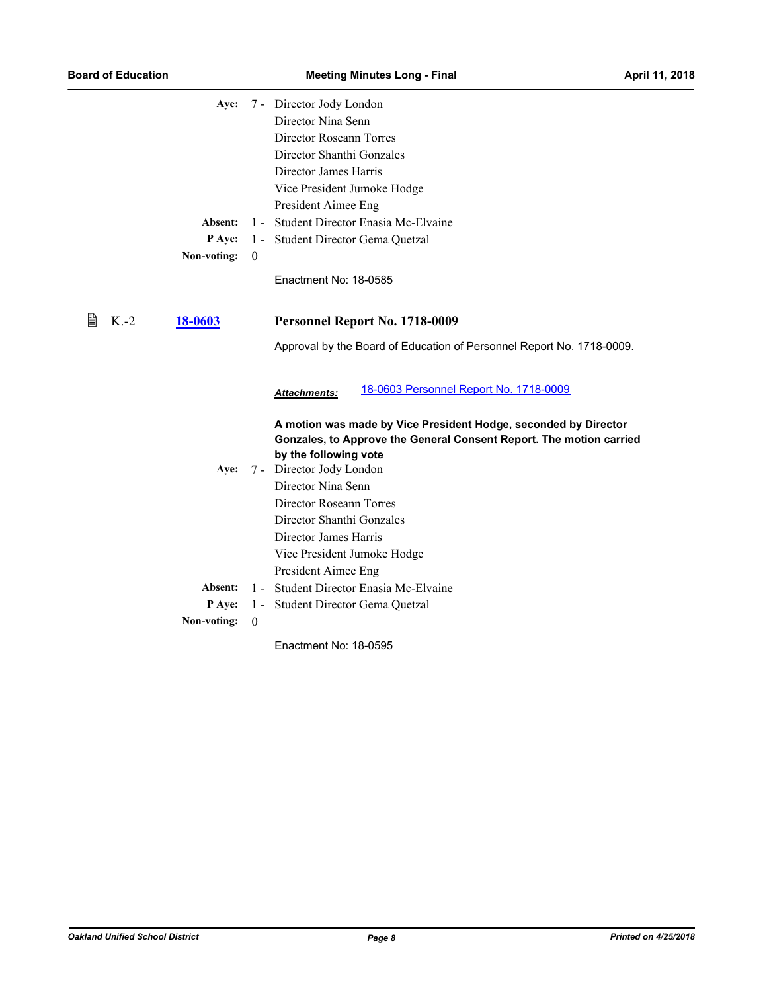|   |        | Aye:        |          | 7 - Director Jody London                                                                     |  |
|---|--------|-------------|----------|----------------------------------------------------------------------------------------------|--|
|   |        |             |          | Director Nina Senn                                                                           |  |
|   |        |             |          | Director Roseann Torres                                                                      |  |
|   |        |             |          | Director Shanthi Gonzales                                                                    |  |
|   |        |             |          | Director James Harris                                                                        |  |
|   |        |             |          | Vice President Jumoke Hodge                                                                  |  |
|   |        |             |          | President Aimee Eng                                                                          |  |
|   |        | Absent:     | $1 -$    | Student Director Enasia Mc-Elvaine                                                           |  |
|   |        | P Aye:      | $1 -$    | Student Director Gema Quetzal                                                                |  |
|   |        | Non-voting: | $\theta$ |                                                                                              |  |
|   |        |             |          | Enactment No: 18-0585                                                                        |  |
|   |        |             |          |                                                                                              |  |
|   |        |             |          |                                                                                              |  |
| 閆 | $K.-2$ | 18-0603     |          | Personnel Report No. 1718-0009                                                               |  |
|   |        |             |          | Approval by the Board of Education of Personnel Report No. 1718-0009.                        |  |
|   |        |             |          |                                                                                              |  |
|   |        |             |          |                                                                                              |  |
|   |        |             |          | 18-0603 Personnel Report No. 1718-0009<br>Attachments:                                       |  |
|   |        |             |          |                                                                                              |  |
|   |        |             |          | A motion was made by Vice President Hodge, seconded by Director                              |  |
|   |        |             |          | Gonzales, to Approve the General Consent Report. The motion carried<br>by the following vote |  |
|   |        | Aye:        |          | 7 - Director Jody London                                                                     |  |
|   |        |             |          | Director Nina Senn                                                                           |  |
|   |        |             |          | Director Roseann Torres                                                                      |  |
|   |        |             |          | Director Shanthi Gonzales                                                                    |  |
|   |        |             |          | Director James Harris                                                                        |  |
|   |        |             |          | Vice President Jumoke Hodge                                                                  |  |
|   |        |             |          | President Aimee Eng                                                                          |  |
|   |        | Absent:     | $1 -$    | Student Director Enasia Mc-Elvaine                                                           |  |
|   |        | P Aye:      | $1 -$    | Student Director Gema Quetzal                                                                |  |
|   |        | Non-voting: | $\theta$ |                                                                                              |  |
|   |        |             |          | Enactment No: 18-0595                                                                        |  |
|   |        |             |          |                                                                                              |  |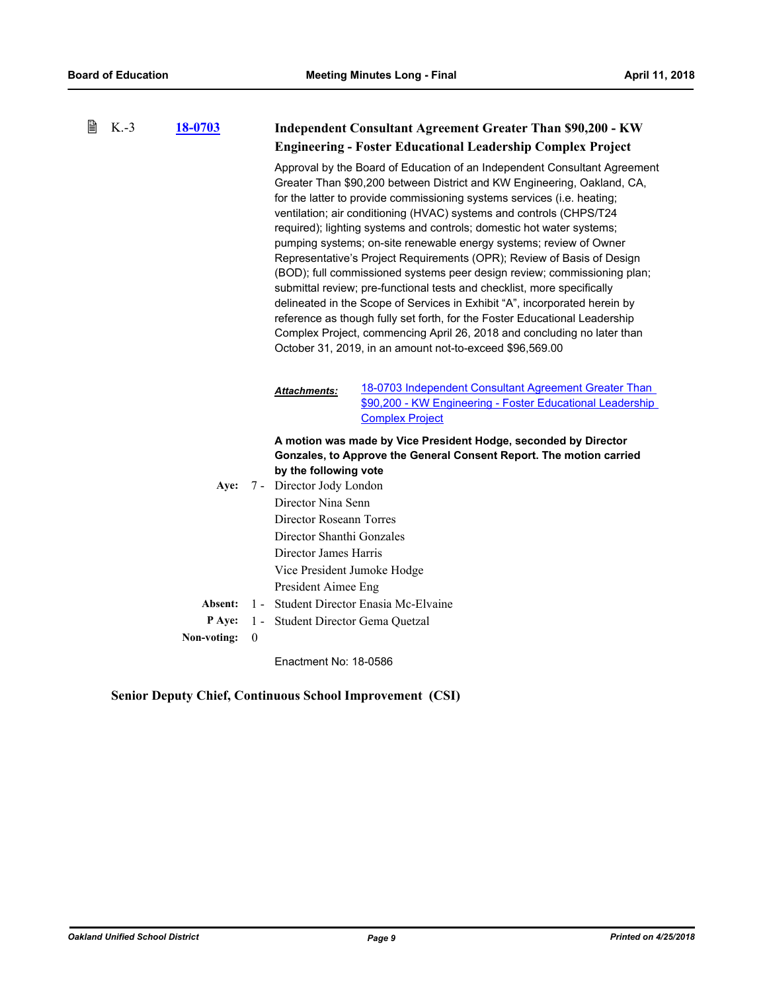| 閆 | $K.-3$ | 18-0703     |              | <b>Independent Consultant Agreement Greater Than \$90,200 - KW</b><br><b>Engineering - Foster Educational Leadership Complex Project</b>                                                                       |                                                                                                                                                                                                                                                                                                                                                                                                                                                                                                                                                                                                                                                                                                                                                                                                                                                                                                                                                                                           |  |
|---|--------|-------------|--------------|----------------------------------------------------------------------------------------------------------------------------------------------------------------------------------------------------------------|-------------------------------------------------------------------------------------------------------------------------------------------------------------------------------------------------------------------------------------------------------------------------------------------------------------------------------------------------------------------------------------------------------------------------------------------------------------------------------------------------------------------------------------------------------------------------------------------------------------------------------------------------------------------------------------------------------------------------------------------------------------------------------------------------------------------------------------------------------------------------------------------------------------------------------------------------------------------------------------------|--|
|   |        |             |              |                                                                                                                                                                                                                | Approval by the Board of Education of an Independent Consultant Agreement<br>Greater Than \$90,200 between District and KW Engineering, Oakland, CA,<br>for the latter to provide commissioning systems services (i.e. heating;<br>ventilation; air conditioning (HVAC) systems and controls (CHPS/T24<br>required); lighting systems and controls; domestic hot water systems;<br>pumping systems; on-site renewable energy systems; review of Owner<br>Representative's Project Requirements (OPR); Review of Basis of Design<br>(BOD); full commissioned systems peer design review; commissioning plan;<br>submittal review; pre-functional tests and checklist, more specifically<br>delineated in the Scope of Services in Exhibit "A", incorporated herein by<br>reference as though fully set forth, for the Foster Educational Leadership<br>Complex Project, commencing April 26, 2018 and concluding no later than<br>October 31, 2019, in an amount not-to-exceed \$96,569.00 |  |
|   |        |             |              | <b>Attachments:</b>                                                                                                                                                                                            | 18-0703 Independent Consultant Agreement Greater Than<br>\$90,200 - KW Engineering - Foster Educational Leadership<br><b>Complex Project</b>                                                                                                                                                                                                                                                                                                                                                                                                                                                                                                                                                                                                                                                                                                                                                                                                                                              |  |
|   |        | Aye:        |              | by the following vote<br>7 - Director Jody London<br>Director Nina Senn<br>Director Roseann Torres<br>Director Shanthi Gonzales<br>Director James Harris<br>Vice President Jumoke Hodge<br>President Aimee Eng | A motion was made by Vice President Hodge, seconded by Director<br>Gonzales, to Approve the General Consent Report. The motion carried                                                                                                                                                                                                                                                                                                                                                                                                                                                                                                                                                                                                                                                                                                                                                                                                                                                    |  |
|   |        | Absent:     |              |                                                                                                                                                                                                                | 1 - Student Director Enasia Mc-Elvaine                                                                                                                                                                                                                                                                                                                                                                                                                                                                                                                                                                                                                                                                                                                                                                                                                                                                                                                                                    |  |
|   |        | P Aye:      |              | 1 - Student Director Gema Quetzal                                                                                                                                                                              |                                                                                                                                                                                                                                                                                                                                                                                                                                                                                                                                                                                                                                                                                                                                                                                                                                                                                                                                                                                           |  |
|   |        | Non-voting: | $\mathbf{0}$ |                                                                                                                                                                                                                |                                                                                                                                                                                                                                                                                                                                                                                                                                                                                                                                                                                                                                                                                                                                                                                                                                                                                                                                                                                           |  |
|   |        |             |              |                                                                                                                                                                                                                |                                                                                                                                                                                                                                                                                                                                                                                                                                                                                                                                                                                                                                                                                                                                                                                                                                                                                                                                                                                           |  |

**Senior Deputy Chief, Continuous School Improvement (CSI)**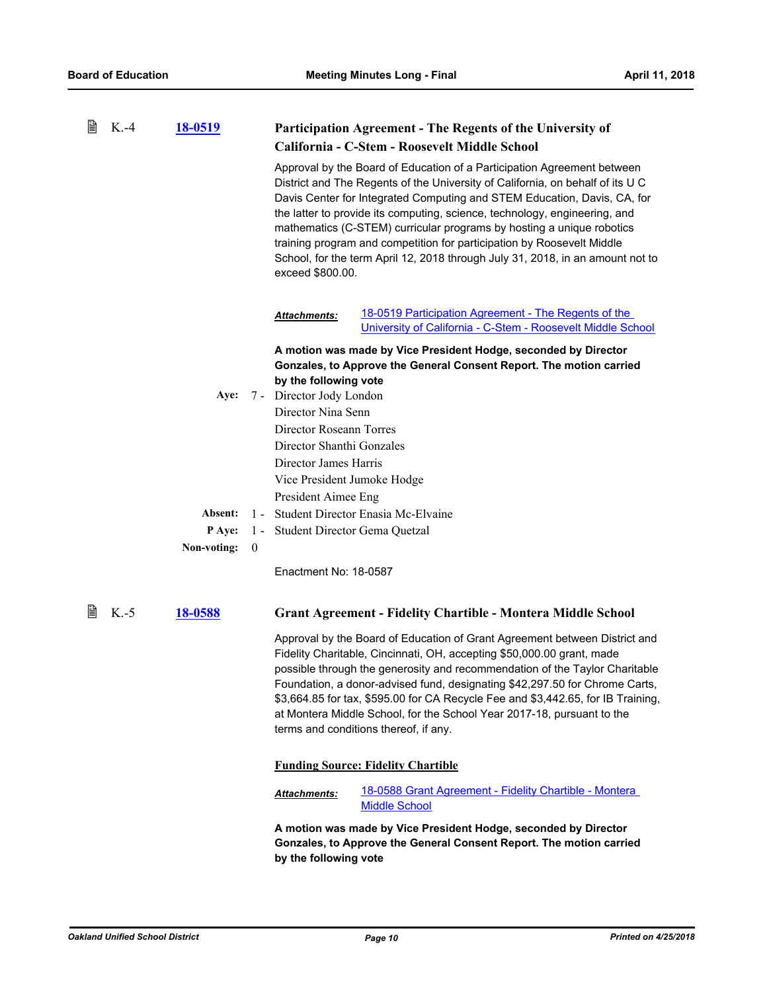| 閶 | $K.-4$ | 18-0519                     |                                                                                                                                                                                                                                                                                                                                                                                                                                                                                                                                                                              | Participation Agreement - The Regents of the University of                                                                                                                                                                                                                                                                                                                                                                                                                                                                |  |  |
|---|--------|-----------------------------|------------------------------------------------------------------------------------------------------------------------------------------------------------------------------------------------------------------------------------------------------------------------------------------------------------------------------------------------------------------------------------------------------------------------------------------------------------------------------------------------------------------------------------------------------------------------------|---------------------------------------------------------------------------------------------------------------------------------------------------------------------------------------------------------------------------------------------------------------------------------------------------------------------------------------------------------------------------------------------------------------------------------------------------------------------------------------------------------------------------|--|--|
|   |        |                             |                                                                                                                                                                                                                                                                                                                                                                                                                                                                                                                                                                              | California - C-Stem - Roosevelt Middle School                                                                                                                                                                                                                                                                                                                                                                                                                                                                             |  |  |
|   |        |                             | Approval by the Board of Education of a Participation Agreement between<br>District and The Regents of the University of California, on behalf of its U C<br>Davis Center for Integrated Computing and STEM Education, Davis, CA, for<br>the latter to provide its computing, science, technology, engineering, and<br>mathematics (C-STEM) curricular programs by hosting a unique robotics<br>training program and competition for participation by Roosevelt Middle<br>School, for the term April 12, 2018 through July 31, 2018, in an amount not to<br>exceed \$800.00. |                                                                                                                                                                                                                                                                                                                                                                                                                                                                                                                           |  |  |
|   |        |                             | Attachments:                                                                                                                                                                                                                                                                                                                                                                                                                                                                                                                                                                 | 18-0519 Participation Agreement - The Regents of the<br>University of California - C-Stem - Roosevelt Middle School                                                                                                                                                                                                                                                                                                                                                                                                       |  |  |
|   |        |                             | by the following vote                                                                                                                                                                                                                                                                                                                                                                                                                                                                                                                                                        | A motion was made by Vice President Hodge, seconded by Director<br>Gonzales, to Approve the General Consent Report. The motion carried                                                                                                                                                                                                                                                                                                                                                                                    |  |  |
|   |        | Aye:                        | 7 - Director Jody London                                                                                                                                                                                                                                                                                                                                                                                                                                                                                                                                                     |                                                                                                                                                                                                                                                                                                                                                                                                                                                                                                                           |  |  |
|   |        |                             | Director Nina Senn                                                                                                                                                                                                                                                                                                                                                                                                                                                                                                                                                           |                                                                                                                                                                                                                                                                                                                                                                                                                                                                                                                           |  |  |
|   |        |                             | Director Roseann Torres                                                                                                                                                                                                                                                                                                                                                                                                                                                                                                                                                      |                                                                                                                                                                                                                                                                                                                                                                                                                                                                                                                           |  |  |
|   |        |                             | Director Shanthi Gonzales                                                                                                                                                                                                                                                                                                                                                                                                                                                                                                                                                    |                                                                                                                                                                                                                                                                                                                                                                                                                                                                                                                           |  |  |
|   |        |                             | Director James Harris                                                                                                                                                                                                                                                                                                                                                                                                                                                                                                                                                        |                                                                                                                                                                                                                                                                                                                                                                                                                                                                                                                           |  |  |
|   |        |                             | Vice President Jumoke Hodge                                                                                                                                                                                                                                                                                                                                                                                                                                                                                                                                                  |                                                                                                                                                                                                                                                                                                                                                                                                                                                                                                                           |  |  |
|   |        |                             | President Aimee Eng                                                                                                                                                                                                                                                                                                                                                                                                                                                                                                                                                          |                                                                                                                                                                                                                                                                                                                                                                                                                                                                                                                           |  |  |
|   |        | Absent:                     |                                                                                                                                                                                                                                                                                                                                                                                                                                                                                                                                                                              | 1 - Student Director Enasia Mc-Elvaine                                                                                                                                                                                                                                                                                                                                                                                                                                                                                    |  |  |
|   |        | P Aye:<br>$1 -$             | Student Director Gema Quetzal                                                                                                                                                                                                                                                                                                                                                                                                                                                                                                                                                |                                                                                                                                                                                                                                                                                                                                                                                                                                                                                                                           |  |  |
|   |        | Non-voting:<br>$\mathbf{0}$ |                                                                                                                                                                                                                                                                                                                                                                                                                                                                                                                                                                              |                                                                                                                                                                                                                                                                                                                                                                                                                                                                                                                           |  |  |
|   |        |                             | Enactment No: 18-0587                                                                                                                                                                                                                                                                                                                                                                                                                                                                                                                                                        |                                                                                                                                                                                                                                                                                                                                                                                                                                                                                                                           |  |  |
| 閆 | $K.-5$ | 18-0588                     |                                                                                                                                                                                                                                                                                                                                                                                                                                                                                                                                                                              | <b>Grant Agreement - Fidelity Chartible - Montera Middle School</b>                                                                                                                                                                                                                                                                                                                                                                                                                                                       |  |  |
|   |        |                             |                                                                                                                                                                                                                                                                                                                                                                                                                                                                                                                                                                              | Approval by the Board of Education of Grant Agreement between District and<br>Fidelity Charitable, Cincinnati, OH, accepting \$50,000.00 grant, made<br>possible through the generosity and recommendation of the Taylor Charitable<br>Foundation, a donor-advised fund, designating \$42,297.50 for Chrome Carts,<br>\$3,664.85 for tax, \$595.00 for CA Recycle Fee and \$3,442.65, for IB Training,<br>at Montera Middle School, for the School Year 2017-18, pursuant to the<br>terms and conditions thereof, if any. |  |  |
|   |        |                             |                                                                                                                                                                                                                                                                                                                                                                                                                                                                                                                                                                              | <b>Funding Source: Fidelity Chartible</b>                                                                                                                                                                                                                                                                                                                                                                                                                                                                                 |  |  |
|   |        |                             | Attachments:                                                                                                                                                                                                                                                                                                                                                                                                                                                                                                                                                                 | 18-0588 Grant Agreement - Fidelity Chartible - Montera<br><b>Middle School</b>                                                                                                                                                                                                                                                                                                                                                                                                                                            |  |  |
|   |        |                             | by the following vote                                                                                                                                                                                                                                                                                                                                                                                                                                                                                                                                                        | A motion was made by Vice President Hodge, seconded by Director<br>Gonzales, to Approve the General Consent Report. The motion carried                                                                                                                                                                                                                                                                                                                                                                                    |  |  |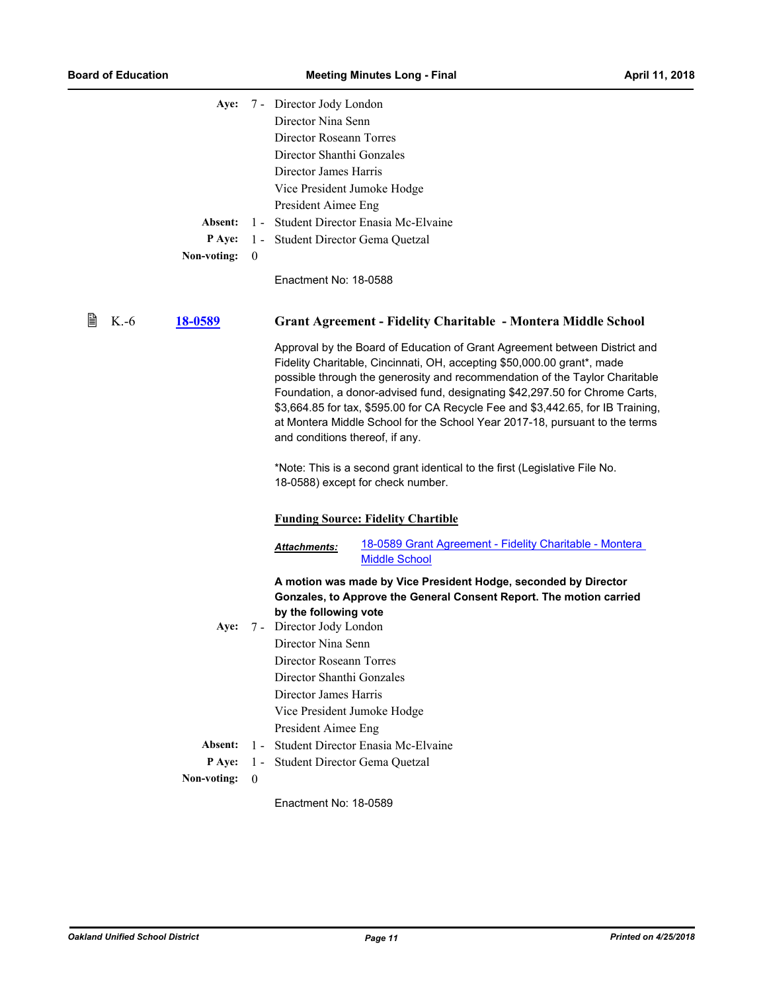| Aye:                   |                  | 7 - Director Jody London                                                                                                                                                                |                                                                                                                                                                                                                                                                                                                                                                                                                                                                                        |
|------------------------|------------------|-----------------------------------------------------------------------------------------------------------------------------------------------------------------------------------------|----------------------------------------------------------------------------------------------------------------------------------------------------------------------------------------------------------------------------------------------------------------------------------------------------------------------------------------------------------------------------------------------------------------------------------------------------------------------------------------|
|                        |                  | Director Nina Senn                                                                                                                                                                      |                                                                                                                                                                                                                                                                                                                                                                                                                                                                                        |
|                        |                  | Director Roseann Torres                                                                                                                                                                 |                                                                                                                                                                                                                                                                                                                                                                                                                                                                                        |
|                        |                  | Director Shanthi Gonzales                                                                                                                                                               |                                                                                                                                                                                                                                                                                                                                                                                                                                                                                        |
|                        |                  | Director James Harris                                                                                                                                                                   |                                                                                                                                                                                                                                                                                                                                                                                                                                                                                        |
|                        |                  | Vice President Jumoke Hodge                                                                                                                                                             |                                                                                                                                                                                                                                                                                                                                                                                                                                                                                        |
|                        |                  | President Aimee Eng                                                                                                                                                                     |                                                                                                                                                                                                                                                                                                                                                                                                                                                                                        |
| Absent:                | $1 -$            |                                                                                                                                                                                         | Student Director Enasia Mc-Elvaine                                                                                                                                                                                                                                                                                                                                                                                                                                                     |
| P Aye:                 |                  | 1 - Student Director Gema Quetzal                                                                                                                                                       |                                                                                                                                                                                                                                                                                                                                                                                                                                                                                        |
| Non-voting:            | $\boldsymbol{0}$ |                                                                                                                                                                                         |                                                                                                                                                                                                                                                                                                                                                                                                                                                                                        |
|                        |                  |                                                                                                                                                                                         |                                                                                                                                                                                                                                                                                                                                                                                                                                                                                        |
|                        |                  | Enactment No: 18-0588                                                                                                                                                                   |                                                                                                                                                                                                                                                                                                                                                                                                                                                                                        |
| 閶<br>$K.-6$<br>18-0589 |                  |                                                                                                                                                                                         | <b>Grant Agreement - Fidelity Charitable - Montera Middle School</b>                                                                                                                                                                                                                                                                                                                                                                                                                   |
|                        |                  | and conditions thereof, if any.                                                                                                                                                         | Approval by the Board of Education of Grant Agreement between District and<br>Fidelity Charitable, Cincinnati, OH, accepting \$50,000.00 grant*, made<br>possible through the generosity and recommendation of the Taylor Charitable<br>Foundation, a donor-advised fund, designating \$42,297.50 for Chrome Carts,<br>\$3,664.85 for tax, \$595.00 for CA Recycle Fee and \$3,442.65, for IB Training,<br>at Montera Middle School for the School Year 2017-18, pursuant to the terms |
|                        |                  |                                                                                                                                                                                         | *Note: This is a second grant identical to the first (Legislative File No.<br>18-0588) except for check number.                                                                                                                                                                                                                                                                                                                                                                        |
|                        |                  |                                                                                                                                                                                         | <b>Funding Source: Fidelity Chartible</b>                                                                                                                                                                                                                                                                                                                                                                                                                                              |
|                        |                  | <b>Attachments:</b>                                                                                                                                                                     | 18-0589 Grant Agreement - Fidelity Charitable - Montera<br><b>Middle School</b>                                                                                                                                                                                                                                                                                                                                                                                                        |
| Aye:                   |                  | by the following vote<br>7 - Director Jody London<br>Director Nina Senn<br>Director Roseann Torres<br>Director Shanthi Gonzales<br>Director James Harris<br>Vice President Jumoke Hodge | A motion was made by Vice President Hodge, seconded by Director<br>Gonzales, to Approve the General Consent Report. The motion carried                                                                                                                                                                                                                                                                                                                                                 |
|                        |                  | President Aimee Eng                                                                                                                                                                     |                                                                                                                                                                                                                                                                                                                                                                                                                                                                                        |
| Absent:                | $1 -$            |                                                                                                                                                                                         | Student Director Enasia Mc-Elvaine                                                                                                                                                                                                                                                                                                                                                                                                                                                     |
| P Aye:                 | $1 -$            | Student Director Gema Quetzal                                                                                                                                                           |                                                                                                                                                                                                                                                                                                                                                                                                                                                                                        |
| Non-voting:            | $\mathbf{0}$     |                                                                                                                                                                                         |                                                                                                                                                                                                                                                                                                                                                                                                                                                                                        |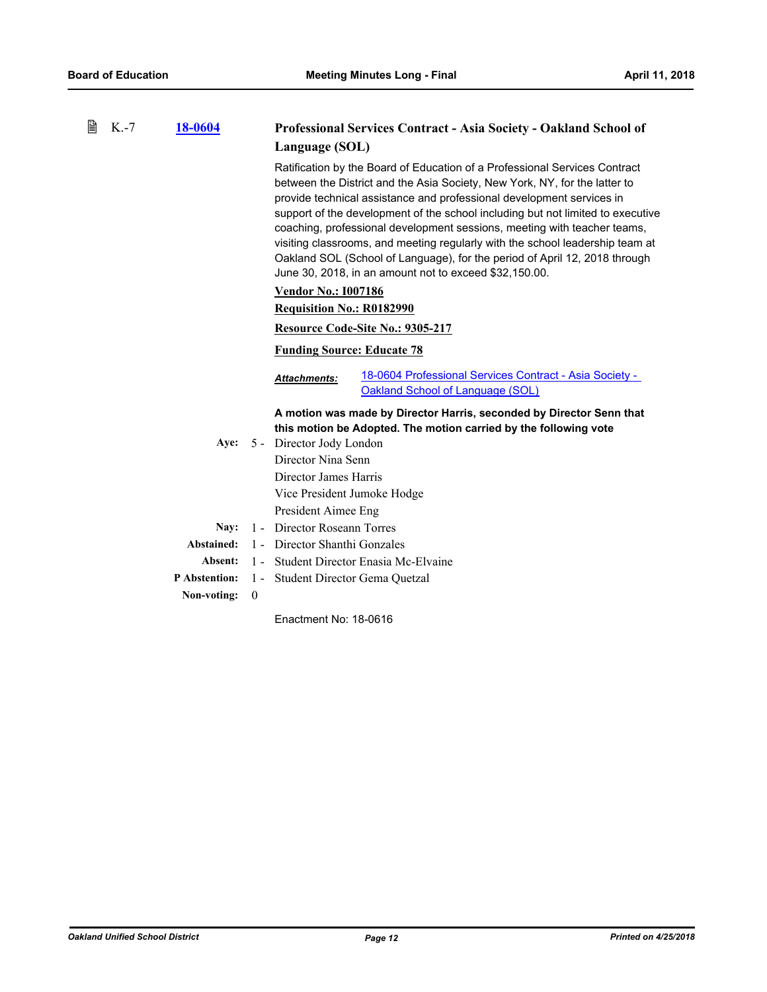| 閶 | $K.-7$ | 18-0604              |              | Professional Services Contract - Asia Society - Oakland School of                                                                                                                                                                                                                                                                                                                                                                                                                                                                                                                                                         |
|---|--------|----------------------|--------------|---------------------------------------------------------------------------------------------------------------------------------------------------------------------------------------------------------------------------------------------------------------------------------------------------------------------------------------------------------------------------------------------------------------------------------------------------------------------------------------------------------------------------------------------------------------------------------------------------------------------------|
|   |        |                      |              | Language (SOL)                                                                                                                                                                                                                                                                                                                                                                                                                                                                                                                                                                                                            |
|   |        |                      |              | Ratification by the Board of Education of a Professional Services Contract<br>between the District and the Asia Society, New York, NY, for the latter to<br>provide technical assistance and professional development services in<br>support of the development of the school including but not limited to executive<br>coaching, professional development sessions, meeting with teacher teams,<br>visiting classrooms, and meeting regularly with the school leadership team at<br>Oakland SOL (School of Language), for the period of April 12, 2018 through<br>June 30, 2018, in an amount not to exceed \$32,150.00. |
|   |        |                      |              | <b>Vendor No.: 1007186</b>                                                                                                                                                                                                                                                                                                                                                                                                                                                                                                                                                                                                |
|   |        |                      |              | Requisition No.: R0182990                                                                                                                                                                                                                                                                                                                                                                                                                                                                                                                                                                                                 |
|   |        |                      |              | Resource Code-Site No.: 9305-217                                                                                                                                                                                                                                                                                                                                                                                                                                                                                                                                                                                          |
|   |        |                      |              | <b>Funding Source: Educate 78</b>                                                                                                                                                                                                                                                                                                                                                                                                                                                                                                                                                                                         |
|   |        |                      |              | 18-0604 Professional Services Contract - Asia Society -<br><b>Attachments:</b><br>Oakland School of Language (SOL)                                                                                                                                                                                                                                                                                                                                                                                                                                                                                                        |
|   |        | Aye:                 |              | A motion was made by Director Harris, seconded by Director Senn that<br>this motion be Adopted. The motion carried by the following vote<br>5 - Director Jody London                                                                                                                                                                                                                                                                                                                                                                                                                                                      |
|   |        |                      |              | Director Nina Senn                                                                                                                                                                                                                                                                                                                                                                                                                                                                                                                                                                                                        |
|   |        |                      |              | Director James Harris                                                                                                                                                                                                                                                                                                                                                                                                                                                                                                                                                                                                     |
|   |        |                      |              | Vice President Jumoke Hodge                                                                                                                                                                                                                                                                                                                                                                                                                                                                                                                                                                                               |
|   |        |                      |              | President Aimee Eng                                                                                                                                                                                                                                                                                                                                                                                                                                                                                                                                                                                                       |
|   |        | Nav:                 |              | 1 - Director Roseann Torres                                                                                                                                                                                                                                                                                                                                                                                                                                                                                                                                                                                               |
|   |        | Abstained:           |              | 1 - Director Shanthi Gonzales                                                                                                                                                                                                                                                                                                                                                                                                                                                                                                                                                                                             |
|   |        | Absent:              |              | 1 - Student Director Enasia Mc-Elvaine                                                                                                                                                                                                                                                                                                                                                                                                                                                                                                                                                                                    |
|   |        | <b>P</b> Abstention: |              | 1 - Student Director Gema Quetzal                                                                                                                                                                                                                                                                                                                                                                                                                                                                                                                                                                                         |
|   |        | Non-voting:          | $\mathbf{0}$ |                                                                                                                                                                                                                                                                                                                                                                                                                                                                                                                                                                                                                           |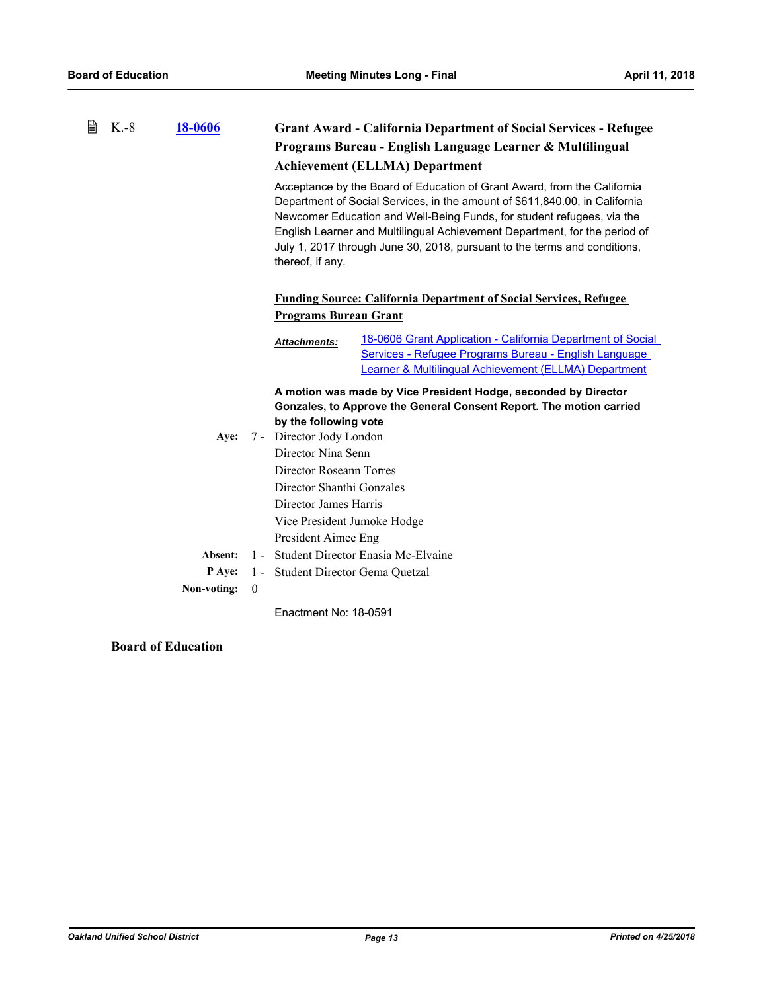| B | $K.-8$ | 18-0606     |                | <b>Grant Award - California Department of Social Services - Refugee</b>                                                                                                                                                                                                                                                                                                                                          |  |
|---|--------|-------------|----------------|------------------------------------------------------------------------------------------------------------------------------------------------------------------------------------------------------------------------------------------------------------------------------------------------------------------------------------------------------------------------------------------------------------------|--|
|   |        |             |                | Programs Bureau - English Language Learner & Multilingual                                                                                                                                                                                                                                                                                                                                                        |  |
|   |        |             |                | <b>Achievement (ELLMA) Department</b>                                                                                                                                                                                                                                                                                                                                                                            |  |
|   |        |             |                | Acceptance by the Board of Education of Grant Award, from the California<br>Department of Social Services, in the amount of \$611,840.00, in California<br>Newcomer Education and Well-Being Funds, for student refugees, via the<br>English Learner and Multilingual Achievement Department, for the period of<br>July 1, 2017 through June 30, 2018, pursuant to the terms and conditions,<br>thereof, if any. |  |
|   |        |             |                | <b>Funding Source: California Department of Social Services, Refugee</b>                                                                                                                                                                                                                                                                                                                                         |  |
|   |        |             |                | <b>Programs Bureau Grant</b>                                                                                                                                                                                                                                                                                                                                                                                     |  |
|   |        |             |                | 18-0606 Grant Application - California Department of Social<br><b>Attachments:</b><br>Services - Refugee Programs Bureau - English Language<br>Learner & Multilingual Achievement (ELLMA) Department                                                                                                                                                                                                             |  |
|   |        |             |                | A motion was made by Vice President Hodge, seconded by Director                                                                                                                                                                                                                                                                                                                                                  |  |
|   |        |             |                | Gonzales, to Approve the General Consent Report. The motion carried                                                                                                                                                                                                                                                                                                                                              |  |
|   |        |             |                | by the following vote                                                                                                                                                                                                                                                                                                                                                                                            |  |
|   |        | Ave:        |                | 7 - Director Jody London                                                                                                                                                                                                                                                                                                                                                                                         |  |
|   |        |             |                | Director Nina Senn                                                                                                                                                                                                                                                                                                                                                                                               |  |
|   |        |             |                | Director Roseann Torres                                                                                                                                                                                                                                                                                                                                                                                          |  |
|   |        |             |                | Director Shanthi Gonzales                                                                                                                                                                                                                                                                                                                                                                                        |  |
|   |        |             |                | Director James Harris                                                                                                                                                                                                                                                                                                                                                                                            |  |
|   |        |             |                | Vice President Jumoke Hodge                                                                                                                                                                                                                                                                                                                                                                                      |  |
|   |        |             |                | President Aimee Eng                                                                                                                                                                                                                                                                                                                                                                                              |  |
|   |        | Absent:     | $1 -$          | Student Director Enasia Mc-Elvaine                                                                                                                                                                                                                                                                                                                                                                               |  |
|   |        | P Aye:      |                | 1 - Student Director Gema Quetzal                                                                                                                                                                                                                                                                                                                                                                                |  |
|   |        | Non-voting: | $\overline{0}$ |                                                                                                                                                                                                                                                                                                                                                                                                                  |  |
|   |        |             |                | Enactment No: 18-0591                                                                                                                                                                                                                                                                                                                                                                                            |  |

**Board of Education**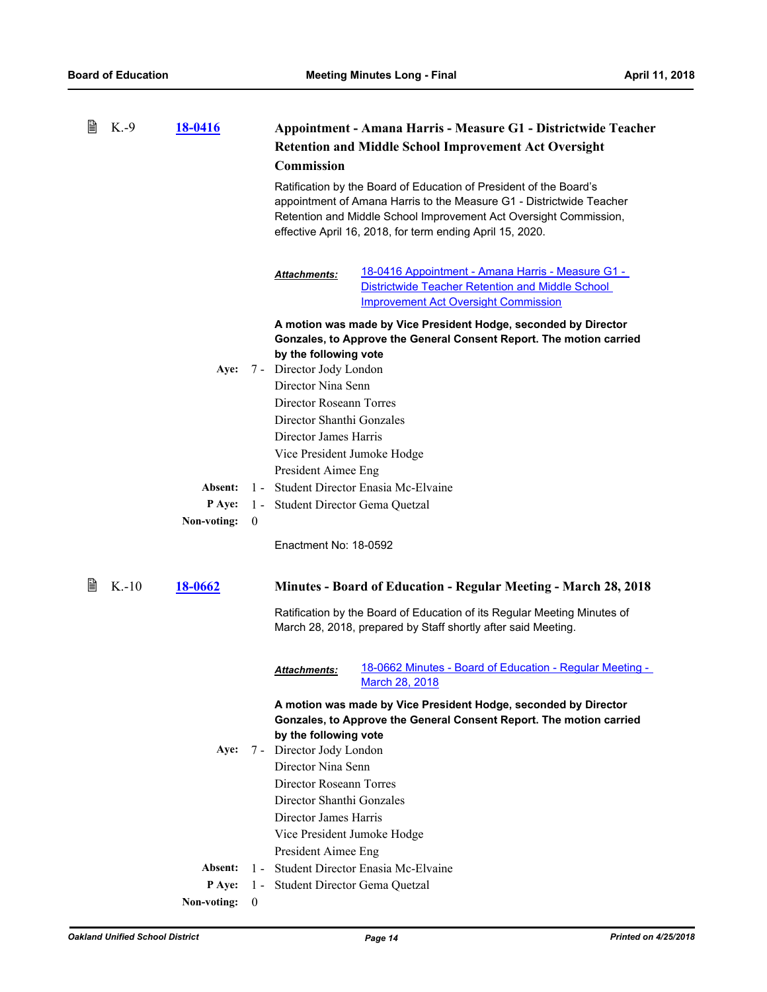| 圁 | $K.-9$ | <b>18-0416</b>    |                | Appointment - Amana Harris - Measure G1 - Districtwide Teacher<br><b>Retention and Middle School Improvement Act Oversight</b><br>Commission<br>Ratification by the Board of Education of President of the Board's<br>appointment of Amana Harris to the Measure G1 - Districtwide Teacher<br>Retention and Middle School Improvement Act Oversight Commission,<br>effective April 16, 2018, for term ending April 15, 2020. |                                                                                                                                                               |  |
|---|--------|-------------------|----------------|------------------------------------------------------------------------------------------------------------------------------------------------------------------------------------------------------------------------------------------------------------------------------------------------------------------------------------------------------------------------------------------------------------------------------|---------------------------------------------------------------------------------------------------------------------------------------------------------------|--|
|   |        |                   |                | Attachments:                                                                                                                                                                                                                                                                                                                                                                                                                 | <u> 18-0416 Appointment - Amana Harris - Measure G1 - </u><br>Districtwide Teacher Retention and Middle School<br><b>Improvement Act Oversight Commission</b> |  |
|   |        | Aye:              |                | by the following vote<br>7 - Director Jody London<br>Director Nina Senn<br>Director Roseann Torres<br>Director Shanthi Gonzales<br>Director James Harris<br>Vice President Jumoke Hodge                                                                                                                                                                                                                                      | A motion was made by Vice President Hodge, seconded by Director<br>Gonzales, to Approve the General Consent Report. The motion carried                        |  |
|   |        |                   |                | President Aimee Eng                                                                                                                                                                                                                                                                                                                                                                                                          |                                                                                                                                                               |  |
|   |        | Absent:<br>P Aye: |                | 1 - Student Director Enasia Mc-Elvaine                                                                                                                                                                                                                                                                                                                                                                                       |                                                                                                                                                               |  |
|   |        | Non-voting:       | $\theta$       | 1 - Student Director Gema Quetzal                                                                                                                                                                                                                                                                                                                                                                                            |                                                                                                                                                               |  |
|   |        |                   |                | Enactment No: 18-0592                                                                                                                                                                                                                                                                                                                                                                                                        |                                                                                                                                                               |  |
| 閶 | $K-10$ | <u>18-0662</u>    |                |                                                                                                                                                                                                                                                                                                                                                                                                                              | <b>Minutes - Board of Education - Regular Meeting - March 28, 2018</b>                                                                                        |  |
|   |        |                   |                |                                                                                                                                                                                                                                                                                                                                                                                                                              | Ratification by the Board of Education of its Regular Meeting Minutes of<br>March 28, 2018, prepared by Staff shortly after said Meeting.                     |  |
|   |        |                   |                | <b>Attachments:</b>                                                                                                                                                                                                                                                                                                                                                                                                          | 18-0662 Minutes - Board of Education - Regular Meeting -<br>March 28, 2018                                                                                    |  |
|   |        |                   |                | by the following vote                                                                                                                                                                                                                                                                                                                                                                                                        | A motion was made by Vice President Hodge, seconded by Director<br>Gonzales, to Approve the General Consent Report. The motion carried                        |  |
|   |        | Aye:              |                | 7 - Director Jody London                                                                                                                                                                                                                                                                                                                                                                                                     |                                                                                                                                                               |  |
|   |        |                   |                | Director Nina Senn                                                                                                                                                                                                                                                                                                                                                                                                           |                                                                                                                                                               |  |
|   |        |                   |                | Director Roseann Torres                                                                                                                                                                                                                                                                                                                                                                                                      |                                                                                                                                                               |  |
|   |        |                   |                | Director Shanthi Gonzales                                                                                                                                                                                                                                                                                                                                                                                                    |                                                                                                                                                               |  |
|   |        |                   |                | Director James Harris                                                                                                                                                                                                                                                                                                                                                                                                        |                                                                                                                                                               |  |
|   |        |                   |                | Vice President Jumoke Hodge                                                                                                                                                                                                                                                                                                                                                                                                  |                                                                                                                                                               |  |
|   |        |                   |                | President Aimee Eng                                                                                                                                                                                                                                                                                                                                                                                                          |                                                                                                                                                               |  |
|   |        | Absent:           | $1 -$          |                                                                                                                                                                                                                                                                                                                                                                                                                              | Student Director Enasia Mc-Elvaine                                                                                                                            |  |
|   |        | P Aye:            |                | 1 - Student Director Gema Quetzal                                                                                                                                                                                                                                                                                                                                                                                            |                                                                                                                                                               |  |
|   |        | Non-voting:       | $\overline{0}$ |                                                                                                                                                                                                                                                                                                                                                                                                                              |                                                                                                                                                               |  |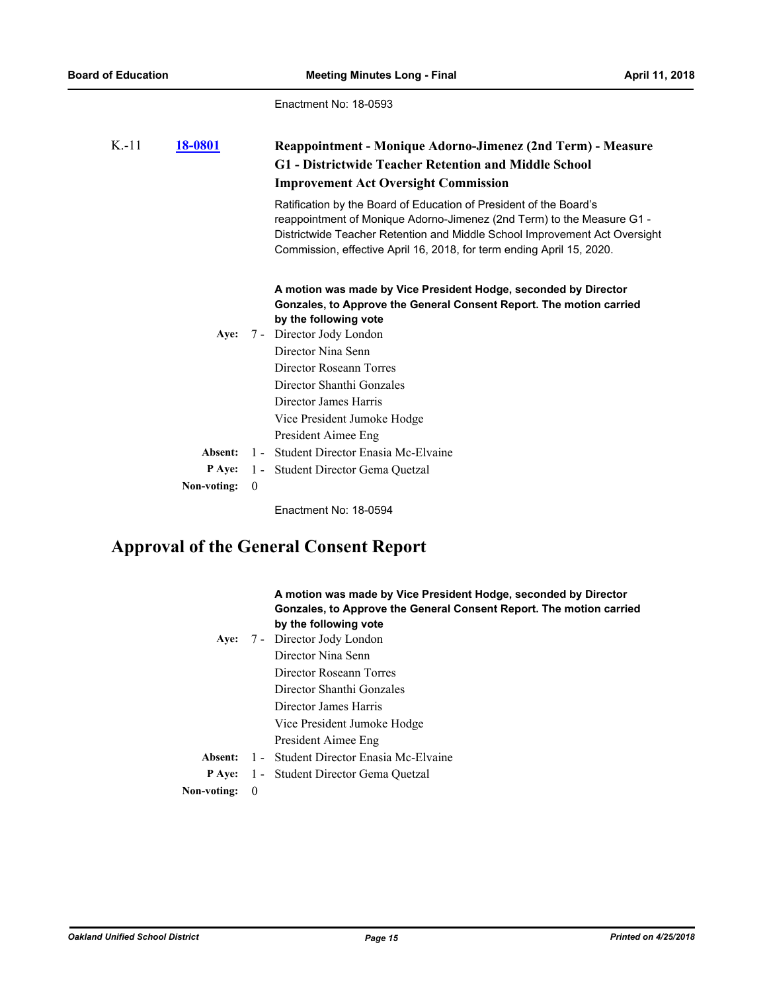| $K-11$ | 18-0801     |          | Reappointment - Monique Adorno-Jimenez (2nd Term) - Measure<br>G1 - Districtwide Teacher Retention and Middle School<br><b>Improvement Act Oversight Commission</b>                                                                                                                                                                                      |  |  |  |
|--------|-------------|----------|----------------------------------------------------------------------------------------------------------------------------------------------------------------------------------------------------------------------------------------------------------------------------------------------------------------------------------------------------------|--|--|--|
|        |             |          | Ratification by the Board of Education of President of the Board's<br>reappointment of Monique Adorno-Jimenez (2nd Term) to the Measure G1 -<br>Districtwide Teacher Retention and Middle School Improvement Act Oversight<br>Commission, effective April 16, 2018, for term ending April 15, 2020.                                                      |  |  |  |
|        | Ave:        |          | A motion was made by Vice President Hodge, seconded by Director<br>Gonzales, to Approve the General Consent Report. The motion carried<br>by the following vote<br>7 - Director Jody London<br>Director Nina Senn<br>Director Roseann Torres<br>Director Shanthi Gonzales<br>Director James Harris<br>Vice President Jumoke Hodge<br>President Aimee Eng |  |  |  |
|        | Absent:     |          | 1 - Student Director Enasia Mc-Elvaine                                                                                                                                                                                                                                                                                                                   |  |  |  |
|        | P Aye:      |          | 1 - Student Director Gema Quetzal                                                                                                                                                                                                                                                                                                                        |  |  |  |
|        | Non-voting: | $\theta$ |                                                                                                                                                                                                                                                                                                                                                          |  |  |  |
|        |             |          | Enactment No: 18-0594                                                                                                                                                                                                                                                                                                                                    |  |  |  |

# **Approval of the General Consent Report**

|             |          | A motion was made by Vice President Hodge, seconded by Director<br>Gonzales, to Approve the General Consent Report. The motion carried<br>by the following vote |
|-------------|----------|-----------------------------------------------------------------------------------------------------------------------------------------------------------------|
| Aye:        |          | 7 - Director Jody London                                                                                                                                        |
|             |          | Director Nina Senn                                                                                                                                              |
|             |          | Director Roseann Torres                                                                                                                                         |
|             |          | Director Shanthi Gonzales                                                                                                                                       |
|             |          | Director James Harris                                                                                                                                           |
|             |          | Vice President Jumoke Hodge                                                                                                                                     |
|             |          | President Aimee Eng                                                                                                                                             |
| Absent:     |          | 1 - Student Director Enasia Mc-Elvaine                                                                                                                          |
| P Ave:      |          | 1 - Student Director Gema Quetzal                                                                                                                               |
| Non-voting: | $\theta$ |                                                                                                                                                                 |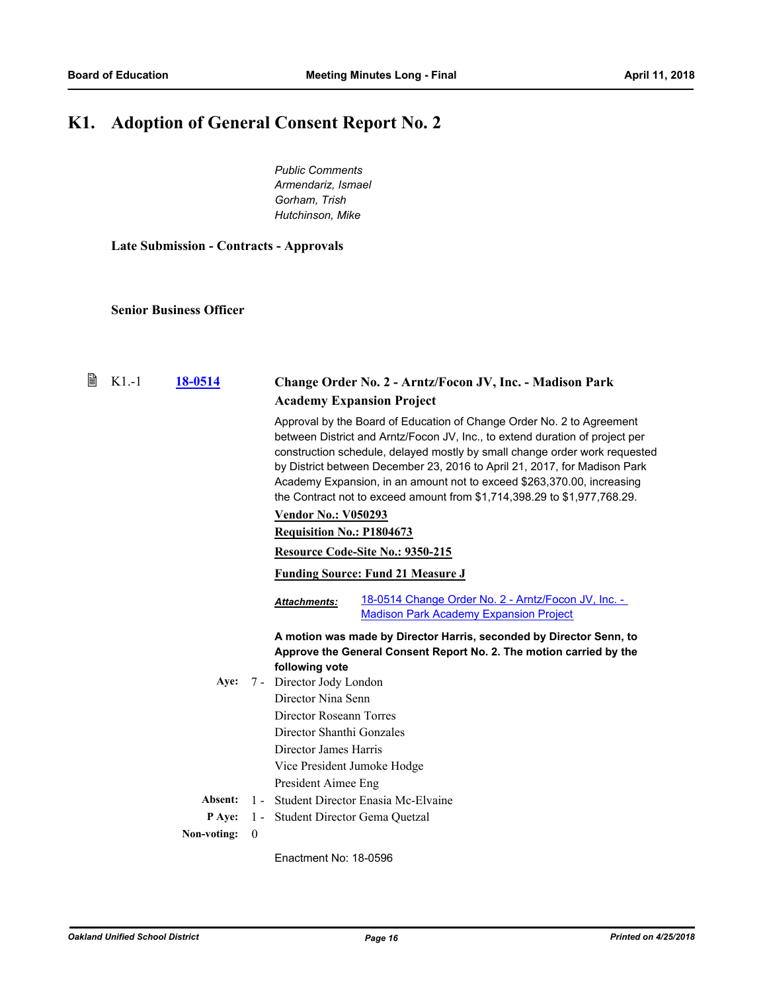# **K1. Adoption of General Consent Report No. 2**

*Public Comments Armendariz, Ismael Gorham, Trish Hutchinson, Mike*

**Late Submission - Contracts - Approvals**

**Senior Business Officer**

| B | $K1-1$ | 18-0514     |              | Change Order No. 2 - Arntz/Focon JV, Inc. - Madison Park                                                                                                                                                                                                                                                                                                                                                                                                                                             |  |  |
|---|--------|-------------|--------------|------------------------------------------------------------------------------------------------------------------------------------------------------------------------------------------------------------------------------------------------------------------------------------------------------------------------------------------------------------------------------------------------------------------------------------------------------------------------------------------------------|--|--|
|   |        |             |              | <b>Academy Expansion Project</b>                                                                                                                                                                                                                                                                                                                                                                                                                                                                     |  |  |
|   |        |             |              | Approval by the Board of Education of Change Order No. 2 to Agreement<br>between District and Arntz/Focon JV, Inc., to extend duration of project per<br>construction schedule, delayed mostly by small change order work requested<br>by District between December 23, 2016 to April 21, 2017, for Madison Park<br>Academy Expansion, in an amount not to exceed \$263,370.00, increasing<br>the Contract not to exceed amount from \$1,714,398.29 to \$1,977,768.29.<br><b>Vendor No.: V050293</b> |  |  |
|   |        |             |              |                                                                                                                                                                                                                                                                                                                                                                                                                                                                                                      |  |  |
|   |        |             |              | <b>Requisition No.: P1804673</b>                                                                                                                                                                                                                                                                                                                                                                                                                                                                     |  |  |
|   |        |             |              | Resource Code-Site No.: 9350-215                                                                                                                                                                                                                                                                                                                                                                                                                                                                     |  |  |
|   |        |             |              | <b>Funding Source: Fund 21 Measure J</b>                                                                                                                                                                                                                                                                                                                                                                                                                                                             |  |  |
|   |        |             |              | 18-0514 Change Order No. 2 - Arntz/Focon JV, Inc. -<br><b>Attachments:</b><br><b>Madison Park Academy Expansion Project</b>                                                                                                                                                                                                                                                                                                                                                                          |  |  |
|   |        |             |              | A motion was made by Director Harris, seconded by Director Senn, to<br>Approve the General Consent Report No. 2. The motion carried by the<br>following vote                                                                                                                                                                                                                                                                                                                                         |  |  |
|   |        | Aye:        |              | 7 - Director Jody London                                                                                                                                                                                                                                                                                                                                                                                                                                                                             |  |  |
|   |        |             |              | Director Nina Senn                                                                                                                                                                                                                                                                                                                                                                                                                                                                                   |  |  |
|   |        |             |              | Director Roseann Torres                                                                                                                                                                                                                                                                                                                                                                                                                                                                              |  |  |
|   |        |             |              | Director Shanthi Gonzales                                                                                                                                                                                                                                                                                                                                                                                                                                                                            |  |  |
|   |        |             |              | Director James Harris                                                                                                                                                                                                                                                                                                                                                                                                                                                                                |  |  |
|   |        |             |              | Vice President Jumoke Hodge                                                                                                                                                                                                                                                                                                                                                                                                                                                                          |  |  |
|   |        |             |              | President Aimee Eng                                                                                                                                                                                                                                                                                                                                                                                                                                                                                  |  |  |
|   |        | Absent:     |              | 1 - Student Director Enasia Mc-Elvaine                                                                                                                                                                                                                                                                                                                                                                                                                                                               |  |  |
|   |        | P Aye:      |              | 1 - Student Director Gema Quetzal                                                                                                                                                                                                                                                                                                                                                                                                                                                                    |  |  |
|   |        | Non-voting: | $\mathbf{0}$ |                                                                                                                                                                                                                                                                                                                                                                                                                                                                                                      |  |  |
|   |        |             |              | Enactment No: 18-0596                                                                                                                                                                                                                                                                                                                                                                                                                                                                                |  |  |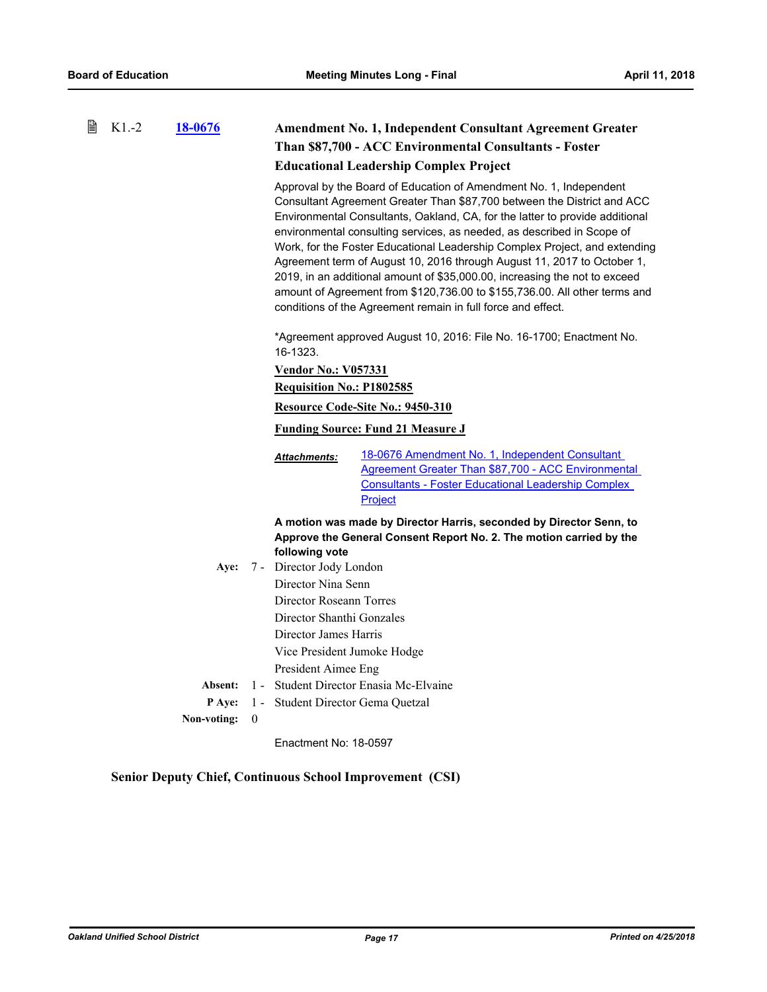| B | $K1.-2$ | 18-0676     |                                          | <b>Amendment No. 1, Independent Consultant Agreement Greater</b>                                                                                                                                                                                                                                                                                                                                                                                                                                                                                                                                                                                                                             |                                                                                                                                                                                        |  |
|---|---------|-------------|------------------------------------------|----------------------------------------------------------------------------------------------------------------------------------------------------------------------------------------------------------------------------------------------------------------------------------------------------------------------------------------------------------------------------------------------------------------------------------------------------------------------------------------------------------------------------------------------------------------------------------------------------------------------------------------------------------------------------------------------|----------------------------------------------------------------------------------------------------------------------------------------------------------------------------------------|--|
|   |         |             |                                          | Than \$87,700 - ACC Environmental Consultants - Foster                                                                                                                                                                                                                                                                                                                                                                                                                                                                                                                                                                                                                                       |                                                                                                                                                                                        |  |
|   |         |             |                                          |                                                                                                                                                                                                                                                                                                                                                                                                                                                                                                                                                                                                                                                                                              | <b>Educational Leadership Complex Project</b>                                                                                                                                          |  |
|   |         |             |                                          | Approval by the Board of Education of Amendment No. 1, Independent<br>Consultant Agreement Greater Than \$87,700 between the District and ACC<br>Environmental Consultants, Oakland, CA, for the latter to provide additional<br>environmental consulting services, as needed, as described in Scope of<br>Work, for the Foster Educational Leadership Complex Project, and extending<br>Agreement term of August 10, 2016 through August 11, 2017 to October 1,<br>2019, in an additional amount of \$35,000.00, increasing the not to exceed<br>amount of Agreement from \$120,736.00 to \$155,736.00. All other terms and<br>conditions of the Agreement remain in full force and effect. |                                                                                                                                                                                        |  |
|   |         |             |                                          | *Agreement approved August 10, 2016: File No. 16-1700; Enactment No.<br>16-1323.                                                                                                                                                                                                                                                                                                                                                                                                                                                                                                                                                                                                             |                                                                                                                                                                                        |  |
|   |         |             |                                          | <b>Vendor No.: V057331</b>                                                                                                                                                                                                                                                                                                                                                                                                                                                                                                                                                                                                                                                                   |                                                                                                                                                                                        |  |
|   |         |             |                                          | <b>Requisition No.: P1802585</b>                                                                                                                                                                                                                                                                                                                                                                                                                                                                                                                                                                                                                                                             |                                                                                                                                                                                        |  |
|   |         |             |                                          | Resource Code-Site No.: 9450-310                                                                                                                                                                                                                                                                                                                                                                                                                                                                                                                                                                                                                                                             |                                                                                                                                                                                        |  |
|   |         |             | <b>Funding Source: Fund 21 Measure J</b> |                                                                                                                                                                                                                                                                                                                                                                                                                                                                                                                                                                                                                                                                                              |                                                                                                                                                                                        |  |
|   |         |             |                                          | Attachments:                                                                                                                                                                                                                                                                                                                                                                                                                                                                                                                                                                                                                                                                                 | 18-0676 Amendment No. 1, Independent Consultant<br><b>Agreement Greater Than \$87,700 - ACC Environmental</b><br><b>Consultants - Foster Educational Leadership Complex</b><br>Project |  |
|   |         | Aye:        |                                          | following vote<br>7 - Director Jody London<br>Director Nina Senn                                                                                                                                                                                                                                                                                                                                                                                                                                                                                                                                                                                                                             | A motion was made by Director Harris, seconded by Director Senn, to<br>Approve the General Consent Report No. 2. The motion carried by the                                             |  |
|   |         |             |                                          | Director Roseann Torres                                                                                                                                                                                                                                                                                                                                                                                                                                                                                                                                                                                                                                                                      |                                                                                                                                                                                        |  |
|   |         |             |                                          | Director Shanthi Gonzales                                                                                                                                                                                                                                                                                                                                                                                                                                                                                                                                                                                                                                                                    |                                                                                                                                                                                        |  |
|   |         |             |                                          | Director James Harris                                                                                                                                                                                                                                                                                                                                                                                                                                                                                                                                                                                                                                                                        |                                                                                                                                                                                        |  |
|   |         |             |                                          | Vice President Jumoke Hodge                                                                                                                                                                                                                                                                                                                                                                                                                                                                                                                                                                                                                                                                  |                                                                                                                                                                                        |  |
|   |         |             |                                          | President Aimee Eng                                                                                                                                                                                                                                                                                                                                                                                                                                                                                                                                                                                                                                                                          |                                                                                                                                                                                        |  |
|   |         | Absent:     |                                          |                                                                                                                                                                                                                                                                                                                                                                                                                                                                                                                                                                                                                                                                                              | 1 - Student Director Enasia Mc-Elvaine                                                                                                                                                 |  |
|   |         | P Aye:      |                                          | 1 - Student Director Gema Quetzal                                                                                                                                                                                                                                                                                                                                                                                                                                                                                                                                                                                                                                                            |                                                                                                                                                                                        |  |
|   |         | Non-voting: | $\mathbf{0}$                             |                                                                                                                                                                                                                                                                                                                                                                                                                                                                                                                                                                                                                                                                                              |                                                                                                                                                                                        |  |

### **Senior Deputy Chief, Continuous School Improvement (CSI)**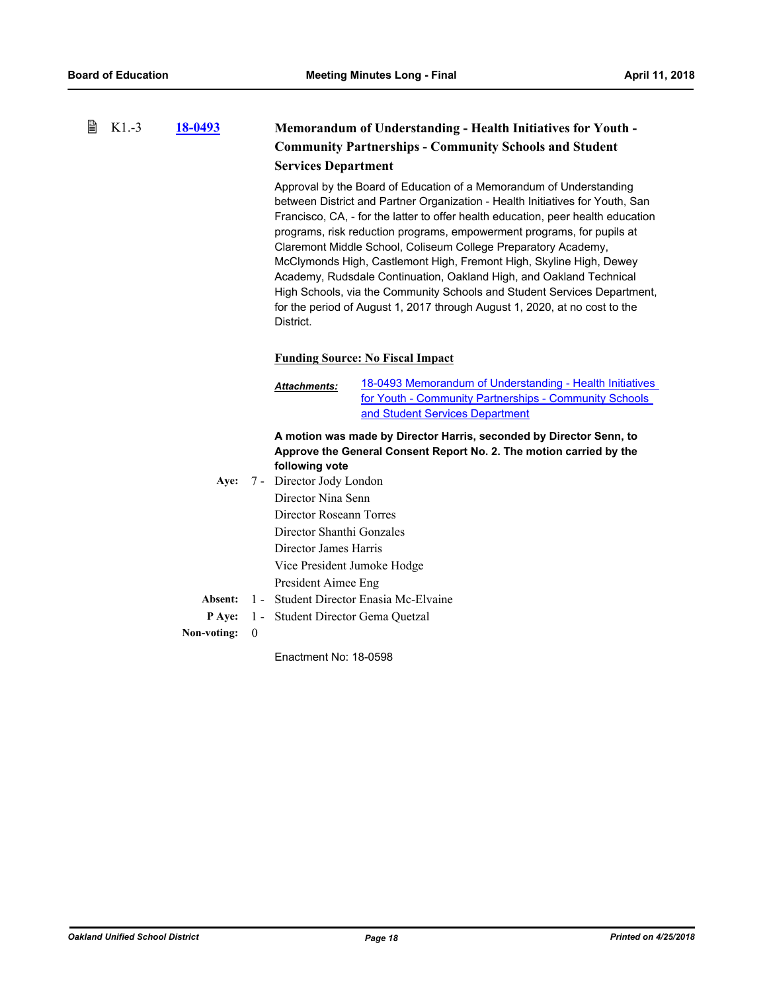#### 昏 K1.-3 **[18-0493](http://ousd.legistar.com/gateway.aspx?m=l&id=/matter.aspx?key=42673) Memorandum of Understanding - Health Initiatives for Youth - Community Partnerships - Community Schools and Student Services Department**

Approval by the Board of Education of a Memorandum of Understanding between District and Partner Organization - Health Initiatives for Youth, San Francisco, CA, - for the latter to offer health education, peer health education programs, risk reduction programs, empowerment programs, for pupils at Claremont Middle School, Coliseum College Preparatory Academy, McClymonds High, Castlemont High, Fremont High, Skyline High, Dewey Academy, Rudsdale Continuation, Oakland High, and Oakland Technical High Schools, via the Community Schools and Student Services Department, for the period of August 1, 2017 through August 1, 2020, at no cost to the District.

### **Funding Source: No Fiscal Impact**

[18-0493 Memorandum of Understanding - Health Initiatives](http://ousd.legistar.com/gateway.aspx?M=F&ID=88071.pdf) for Youth - Community Partnerships - Community Schools and Student Services Department *Attachments:*

### **A motion was made by Director Harris, seconded by Director Senn, to Approve the General Consent Report No. 2. The motion carried by the following vote**

Aye: 7 - Director Jody London Director Nina Senn Director Roseann Torres Director Shanthi Gonzales Director James Harris Vice President Jumoke Hodge President Aimee Eng **Absent:** 1 - Student Director Enasia Mc-Elvaine **P Aye:** 1 - Student Director Gema Quetzal

**Non-voting:** 0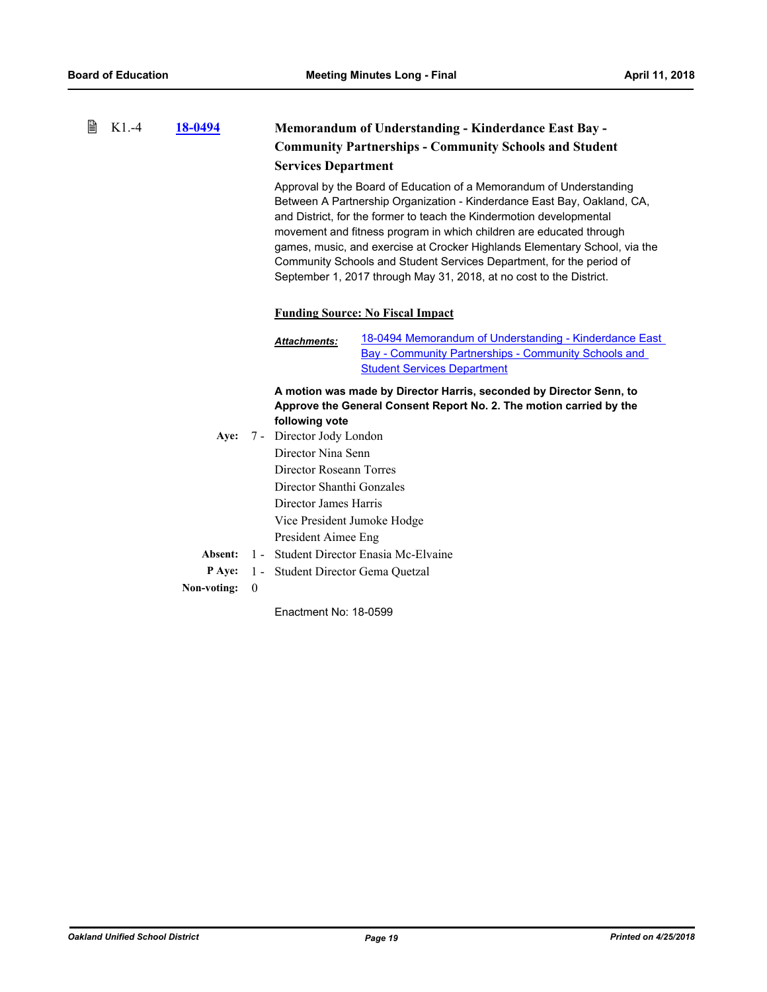#### 昏 K1.-4 **[18-0494](http://ousd.legistar.com/gateway.aspx?m=l&id=/matter.aspx?key=42674) Memorandum of Understanding - Kinderdance East Bay - Community Partnerships - Community Schools and Student Services Department**

Approval by the Board of Education of a Memorandum of Understanding Between A Partnership Organization - Kinderdance East Bay, Oakland, CA, and District, for the former to teach the Kindermotion developmental movement and fitness program in which children are educated through games, music, and exercise at Crocker Highlands Elementary School, via the Community Schools and Student Services Department, for the period of September 1, 2017 through May 31, 2018, at no cost to the District.

#### **Funding Source: No Fiscal Impact**

[18-0494 Memorandum of Understanding - Kinderdance East](http://ousd.legistar.com/gateway.aspx?M=F&ID=88078.pdf) Bay - Community Partnerships - Community Schools and **Student Services Department** *Attachments:*

**A motion was made by Director Harris, seconded by Director Senn, to Approve the General Consent Report No. 2. The motion carried by the following vote**

Aye: 7 - Director Jody London Director Nina Senn Director Roseann Torres Director Shanthi Gonzales Director James Harris Vice President Jumoke Hodge President Aimee Eng **Absent:** 1 - Student Director Enasia Mc-Elvaine **P Aye:** 1 - Student Director Gema Quetzal **Non-voting:** 0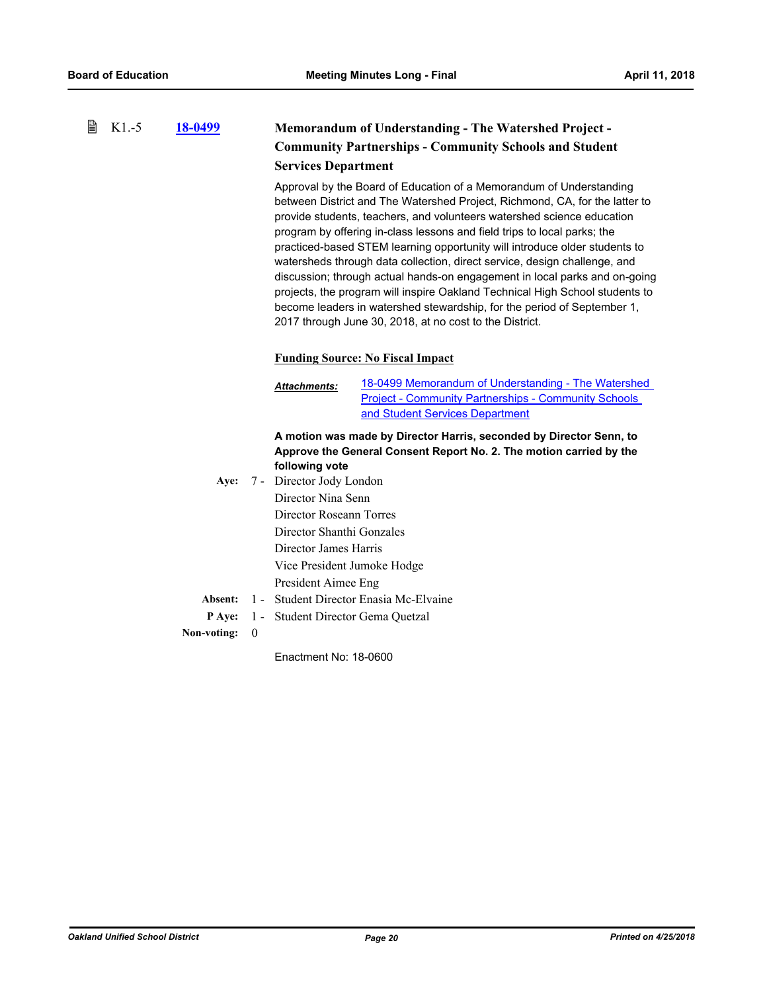#### 昏 K1.-5 **[18-0499](http://ousd.legistar.com/gateway.aspx?m=l&id=/matter.aspx?key=42679) Memorandum of Understanding - The Watershed Project - Community Partnerships - Community Schools and Student Services Department**

Approval by the Board of Education of a Memorandum of Understanding between District and The Watershed Project, Richmond, CA, for the latter to provide students, teachers, and volunteers watershed science education program by offering in-class lessons and field trips to local parks; the practiced-based STEM learning opportunity will introduce older students to watersheds through data collection, direct service, design challenge, and discussion; through actual hands-on engagement in local parks and on-going projects, the program will inspire Oakland Technical High School students to become leaders in watershed stewardship, for the period of September 1, 2017 through June 30, 2018, at no cost to the District.

### **Funding Source: No Fiscal Impact**

[18-0499 Memorandum of Understanding - The Watershed](http://ousd.legistar.com/gateway.aspx?M=F&ID=88088.pdf) Project - Community Partnerships - Community Schools and Student Services Department *Attachments:*

### **A motion was made by Director Harris, seconded by Director Senn, to Approve the General Consent Report No. 2. The motion carried by the following vote**

Aye: 7 - Director Jody London Director Nina Senn Director Roseann Torres Director Shanthi Gonzales Director James Harris Vice President Jumoke Hodge President Aimee Eng **Absent:** 1 - Student Director Enasia Mc-Elvaine **P Aye:** 1 - Student Director Gema Quetzal

**Non-voting:** 0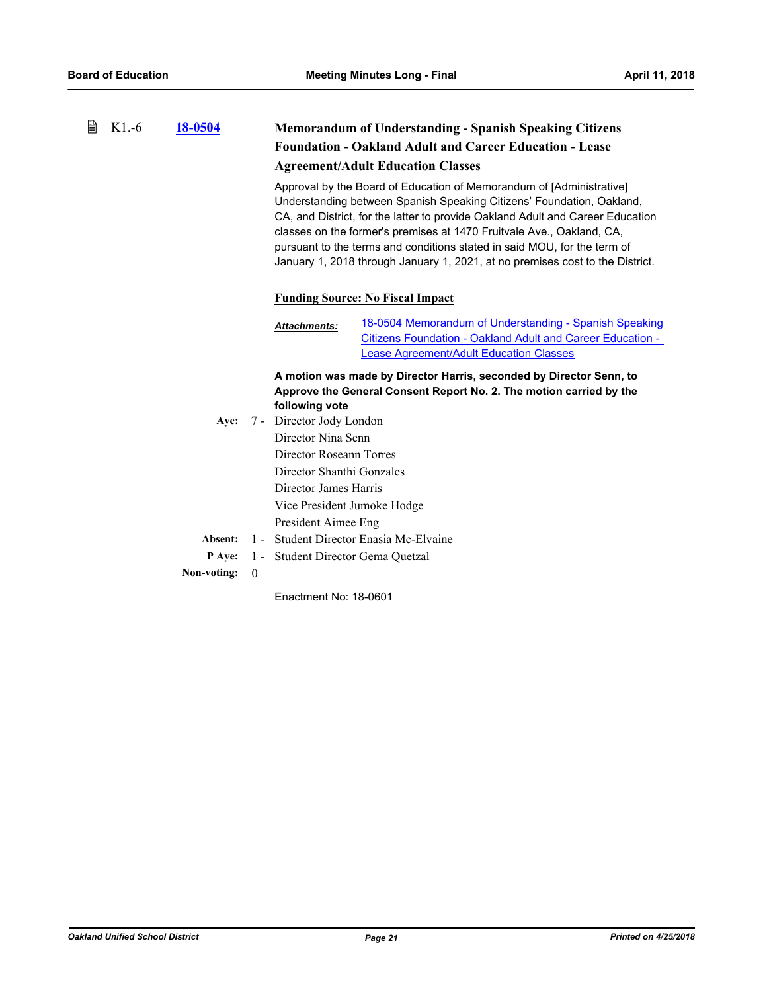#### 昏 K1.-6 **[18-0504](http://ousd.legistar.com/gateway.aspx?m=l&id=/matter.aspx?key=42684) Memorandum of Understanding - Spanish Speaking Citizens Foundation - Oakland Adult and Career Education - Lease Agreement/Adult Education Classes**

Approval by the Board of Education of Memorandum of [Administrative] Understanding between Spanish Speaking Citizens' Foundation, Oakland, CA, and District, for the latter to provide Oakland Adult and Career Education classes on the former's premises at 1470 Fruitvale Ave., Oakland, CA, pursuant to the terms and conditions stated in said MOU, for the term of January 1, 2018 through January 1, 2021, at no premises cost to the District.

### **Funding Source: No Fiscal Impact**

[18-0504 Memorandum of Understanding - Spanish Speaking](http://ousd.legistar.com/gateway.aspx?M=F&ID=88093.pdf) Citizens Foundation - Oakland Adult and Career Education - Lease Agreement/Adult Education Classes *Attachments:*

**A motion was made by Director Harris, seconded by Director Senn, to Approve the General Consent Report No. 2. The motion carried by the following vote**

Aye: 7 - Director Jody London Director Nina Senn Director Roseann Torres Director Shanthi Gonzales Director James Harris Vice President Jumoke Hodge President Aimee Eng **Absent:** 1 - Student Director Enasia Mc-Elvaine **P Aye:** 1 - Student Director Gema Quetzal **Non-voting:** 0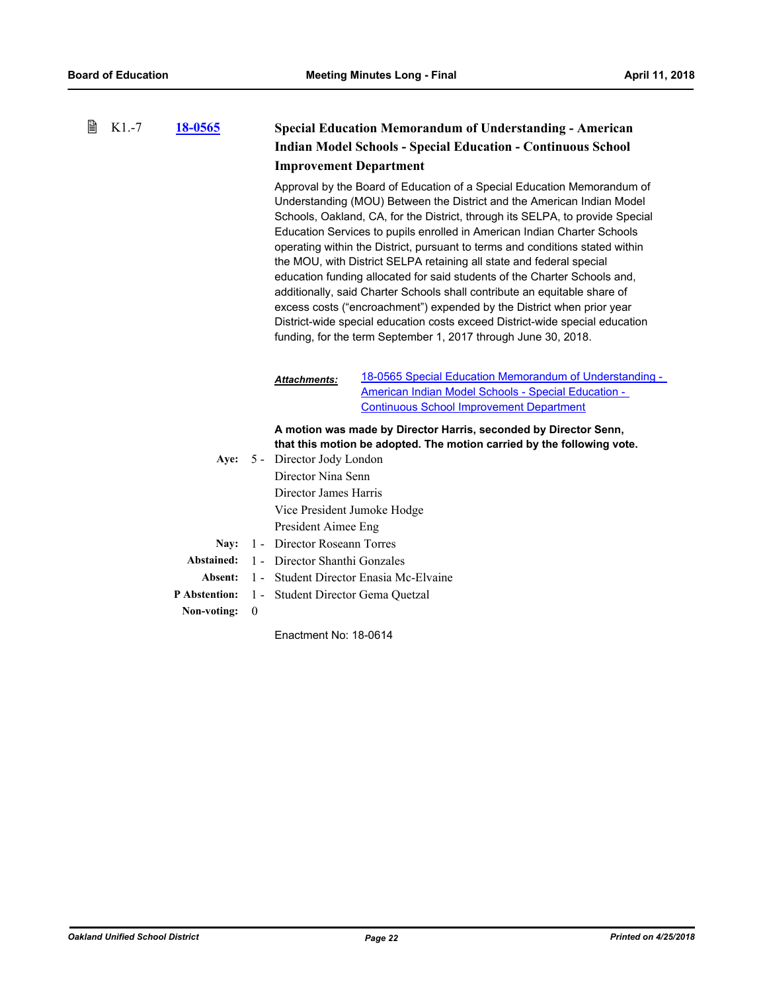| ₿ | $K1.-7$ | 18-0565       |                  | <b>Special Education Memorandum of Understanding - American</b> |                                                                                                                                                                                                                                                                                                                                                                                                                                                                                                                                                                                                                                                                                                                                                                                                                                                               |
|---|---------|---------------|------------------|-----------------------------------------------------------------|---------------------------------------------------------------------------------------------------------------------------------------------------------------------------------------------------------------------------------------------------------------------------------------------------------------------------------------------------------------------------------------------------------------------------------------------------------------------------------------------------------------------------------------------------------------------------------------------------------------------------------------------------------------------------------------------------------------------------------------------------------------------------------------------------------------------------------------------------------------|
|   |         |               |                  |                                                                 | <b>Indian Model Schools - Special Education - Continuous School</b>                                                                                                                                                                                                                                                                                                                                                                                                                                                                                                                                                                                                                                                                                                                                                                                           |
|   |         |               |                  | <b>Improvement Department</b>                                   |                                                                                                                                                                                                                                                                                                                                                                                                                                                                                                                                                                                                                                                                                                                                                                                                                                                               |
|   |         |               |                  |                                                                 | Approval by the Board of Education of a Special Education Memorandum of<br>Understanding (MOU) Between the District and the American Indian Model<br>Schools, Oakland, CA, for the District, through its SELPA, to provide Special<br>Education Services to pupils enrolled in American Indian Charter Schools<br>operating within the District, pursuant to terms and conditions stated within<br>the MOU, with District SELPA retaining all state and federal special<br>education funding allocated for said students of the Charter Schools and,<br>additionally, said Charter Schools shall contribute an equitable share of<br>excess costs ("encroachment") expended by the District when prior year<br>District-wide special education costs exceed District-wide special education<br>funding, for the term September 1, 2017 through June 30, 2018. |
|   |         |               |                  | <b>Attachments:</b>                                             | 18-0565 Special Education Memorandum of Understanding -<br>American Indian Model Schools - Special Education -<br><b>Continuous School Improvement Department</b>                                                                                                                                                                                                                                                                                                                                                                                                                                                                                                                                                                                                                                                                                             |
|   |         |               |                  |                                                                 | A motion was made by Director Harris, seconded by Director Senn,                                                                                                                                                                                                                                                                                                                                                                                                                                                                                                                                                                                                                                                                                                                                                                                              |
|   |         |               |                  |                                                                 | that this motion be adopted. The motion carried by the following vote.                                                                                                                                                                                                                                                                                                                                                                                                                                                                                                                                                                                                                                                                                                                                                                                        |
|   |         | Aye:          |                  | 5 - Director Jody London                                        |                                                                                                                                                                                                                                                                                                                                                                                                                                                                                                                                                                                                                                                                                                                                                                                                                                                               |
|   |         |               |                  | Director Nina Senn                                              |                                                                                                                                                                                                                                                                                                                                                                                                                                                                                                                                                                                                                                                                                                                                                                                                                                                               |
|   |         |               |                  | Director James Harris                                           |                                                                                                                                                                                                                                                                                                                                                                                                                                                                                                                                                                                                                                                                                                                                                                                                                                                               |
|   |         |               |                  | Vice President Jumoke Hodge                                     |                                                                                                                                                                                                                                                                                                                                                                                                                                                                                                                                                                                                                                                                                                                                                                                                                                                               |
|   |         |               |                  | President Aimee Eng                                             |                                                                                                                                                                                                                                                                                                                                                                                                                                                                                                                                                                                                                                                                                                                                                                                                                                                               |
|   |         | Nay:          |                  | 1 - Director Roseann Torres                                     |                                                                                                                                                                                                                                                                                                                                                                                                                                                                                                                                                                                                                                                                                                                                                                                                                                                               |
|   |         | Abstained:    |                  | 1 - Director Shanthi Gonzales                                   |                                                                                                                                                                                                                                                                                                                                                                                                                                                                                                                                                                                                                                                                                                                                                                                                                                                               |
|   |         | Absent:       | $1 -$            |                                                                 | Student Director Enasia Mc-Elvaine                                                                                                                                                                                                                                                                                                                                                                                                                                                                                                                                                                                                                                                                                                                                                                                                                            |
|   |         | P Abstention: |                  | 1 - Student Director Gema Quetzal                               |                                                                                                                                                                                                                                                                                                                                                                                                                                                                                                                                                                                                                                                                                                                                                                                                                                                               |
|   |         | Non-voting:   | $\boldsymbol{0}$ |                                                                 |                                                                                                                                                                                                                                                                                                                                                                                                                                                                                                                                                                                                                                                                                                                                                                                                                                                               |
|   |         |               |                  | Enactment No: 18-0614                                           |                                                                                                                                                                                                                                                                                                                                                                                                                                                                                                                                                                                                                                                                                                                                                                                                                                                               |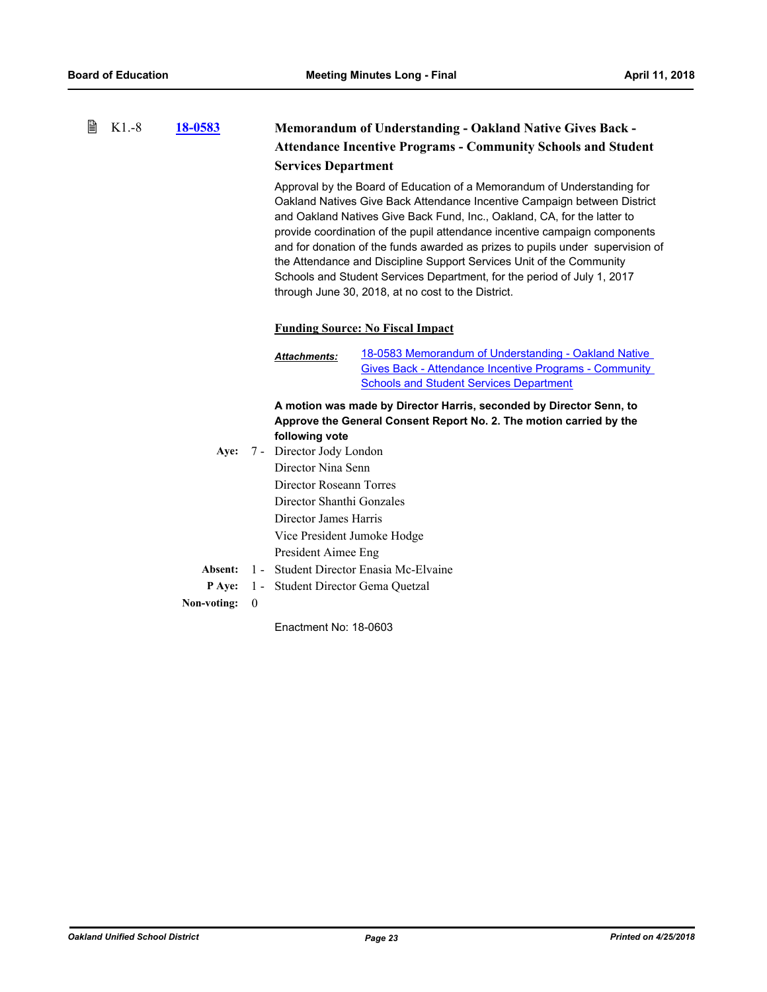| 閆 | $K1.-8$ | 18-0583     |                  | <b>Memorandum of Understanding - Oakland Native Gives Back -</b><br><b>Attendance Incentive Programs - Community Schools and Student</b><br><b>Services Department</b>                                                                                                                                                                                                                                                                                                                                                                                                                                   |  |  |
|---|---------|-------------|------------------|----------------------------------------------------------------------------------------------------------------------------------------------------------------------------------------------------------------------------------------------------------------------------------------------------------------------------------------------------------------------------------------------------------------------------------------------------------------------------------------------------------------------------------------------------------------------------------------------------------|--|--|
|   |         |             |                  | Approval by the Board of Education of a Memorandum of Understanding for<br>Oakland Natives Give Back Attendance Incentive Campaign between District<br>and Oakland Natives Give Back Fund, Inc., Oakland, CA, for the latter to<br>provide coordination of the pupil attendance incentive campaign components<br>and for donation of the funds awarded as prizes to pupils under supervision of<br>the Attendance and Discipline Support Services Unit of the Community<br>Schools and Student Services Department, for the period of July 1, 2017<br>through June 30, 2018, at no cost to the District. |  |  |
|   |         |             |                  | <b>Funding Source: No Fiscal Impact</b>                                                                                                                                                                                                                                                                                                                                                                                                                                                                                                                                                                  |  |  |
|   |         |             |                  | 18-0583 Memorandum of Understanding - Oakland Native<br><b>Attachments:</b><br><b>Gives Back - Attendance Incentive Programs - Community</b><br><b>Schools and Student Services Department</b>                                                                                                                                                                                                                                                                                                                                                                                                           |  |  |
|   |         |             |                  | A motion was made by Director Harris, seconded by Director Senn, to<br>Approve the General Consent Report No. 2. The motion carried by the<br>following vote                                                                                                                                                                                                                                                                                                                                                                                                                                             |  |  |
|   |         | Aye:        |                  | 7 - Director Jody London                                                                                                                                                                                                                                                                                                                                                                                                                                                                                                                                                                                 |  |  |
|   |         |             |                  | Director Nina Senn                                                                                                                                                                                                                                                                                                                                                                                                                                                                                                                                                                                       |  |  |
|   |         |             |                  | Director Roseann Torres                                                                                                                                                                                                                                                                                                                                                                                                                                                                                                                                                                                  |  |  |
|   |         |             |                  | Director Shanthi Gonzales                                                                                                                                                                                                                                                                                                                                                                                                                                                                                                                                                                                |  |  |
|   |         |             |                  | Director James Harris                                                                                                                                                                                                                                                                                                                                                                                                                                                                                                                                                                                    |  |  |
|   |         |             |                  | Vice President Jumoke Hodge                                                                                                                                                                                                                                                                                                                                                                                                                                                                                                                                                                              |  |  |
|   |         |             |                  | President Aimee Eng                                                                                                                                                                                                                                                                                                                                                                                                                                                                                                                                                                                      |  |  |
|   |         | Absent:     |                  | 1 - Student Director Enasia Mc-Elvaine                                                                                                                                                                                                                                                                                                                                                                                                                                                                                                                                                                   |  |  |
|   |         | P Aye:      |                  | 1 - Student Director Gema Quetzal                                                                                                                                                                                                                                                                                                                                                                                                                                                                                                                                                                        |  |  |
|   |         | Non-voting: | $\boldsymbol{0}$ |                                                                                                                                                                                                                                                                                                                                                                                                                                                                                                                                                                                                          |  |  |
|   |         |             |                  | Enactment No: 18-0603                                                                                                                                                                                                                                                                                                                                                                                                                                                                                                                                                                                    |  |  |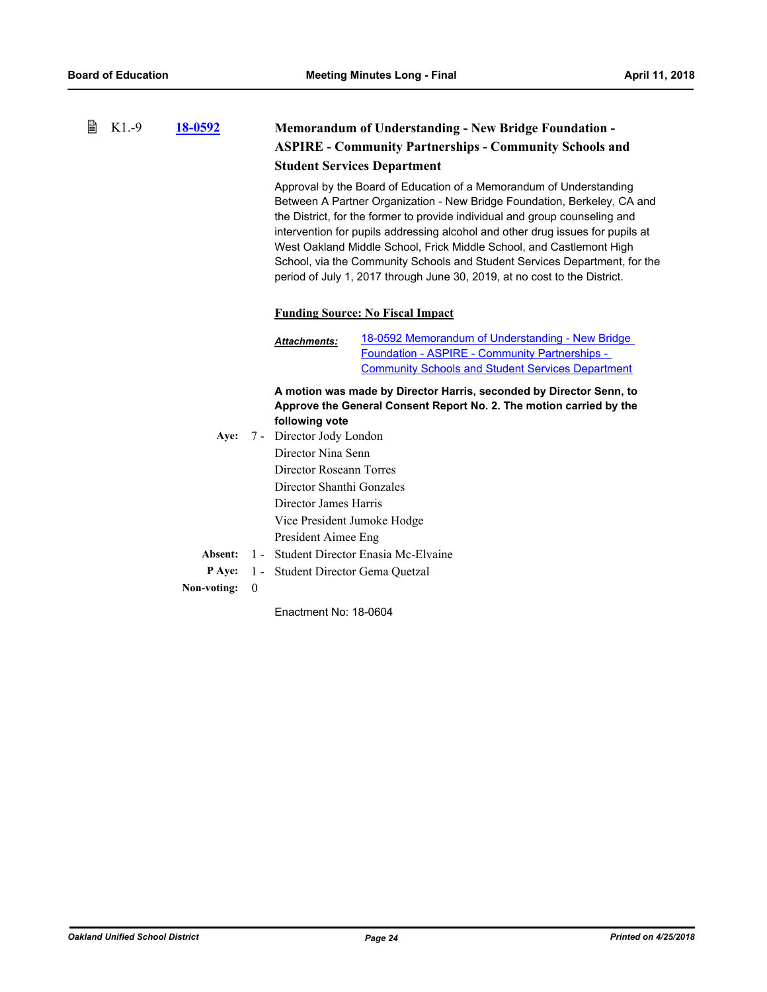#### 昏 K1.-9 **[18-0592](http://ousd.legistar.com/gateway.aspx?m=l&id=/matter.aspx?key=42772) Memorandum of Understanding - New Bridge Foundation - ASPIRE - Community Partnerships - Community Schools and Student Services Department**

Approval by the Board of Education of a Memorandum of Understanding Between A Partner Organization - New Bridge Foundation, Berkeley, CA and the District, for the former to provide individual and group counseling and intervention for pupils addressing alcohol and other drug issues for pupils at West Oakland Middle School, Frick Middle School, and Castlemont High School, via the Community Schools and Student Services Department, for the period of July 1, 2017 through June 30, 2019, at no cost to the District.

#### **Funding Source: No Fiscal Impact**

18-0592 Memorandum of Understanding - New Bridge Foundation - ASPIRE - Community Partnerships - [Community Schools and Student Services Department](http://ousd.legistar.com/gateway.aspx?M=F&ID=88084.pdf) *Attachments:*

**A motion was made by Director Harris, seconded by Director Senn, to Approve the General Consent Report No. 2. The motion carried by the following vote**

Aye: 7 - Director Jody London Director Nina Senn Director Roseann Torres Director Shanthi Gonzales Director James Harris Vice President Jumoke Hodge President Aimee Eng **Absent:** 1 - Student Director Enasia Mc-Elvaine **P Aye:** 1 - Student Director Gema Quetzal **Non-voting:** 0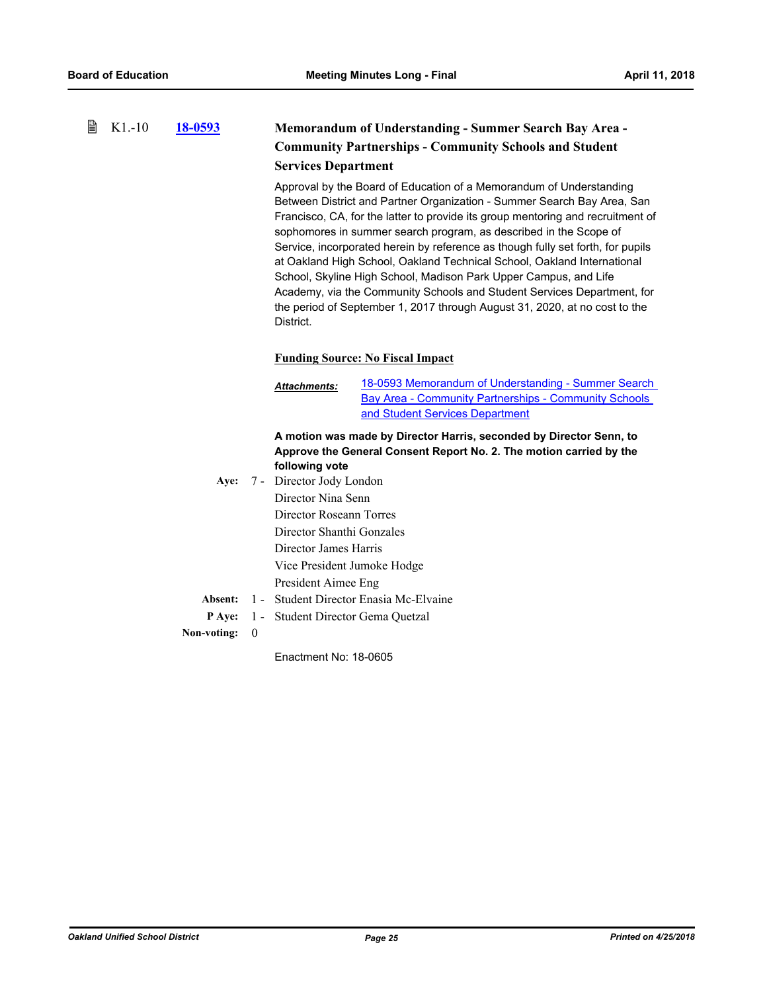#### 昏 K1.-10 **[18-0593](http://ousd.legistar.com/gateway.aspx?m=l&id=/matter.aspx?key=42773) Memorandum of Understanding - Summer Search Bay Area - Community Partnerships - Community Schools and Student Services Department**

Approval by the Board of Education of a Memorandum of Understanding Between District and Partner Organization - Summer Search Bay Area, San Francisco, CA, for the latter to provide its group mentoring and recruitment of sophomores in summer search program, as described in the Scope of Service, incorporated herein by reference as though fully set forth, for pupils at Oakland High School, Oakland Technical School, Oakland International School, Skyline High School, Madison Park Upper Campus, and Life Academy, via the Community Schools and Student Services Department, for the period of September 1, 2017 through August 31, 2020, at no cost to the District.

### **Funding Source: No Fiscal Impact**

[18-0593 Memorandum of Understanding - Summer Search](http://ousd.legistar.com/gateway.aspx?M=F&ID=88070.pdf) Bay Area - Community Partnerships - Community Schools and Student Services Department *Attachments:*

### **A motion was made by Director Harris, seconded by Director Senn, to Approve the General Consent Report No. 2. The motion carried by the following vote**

Aye: 7 - Director Jody London Director Nina Senn Director Roseann Torres Director Shanthi Gonzales Director James Harris Vice President Jumoke Hodge President Aimee Eng **Absent:** 1 - Student Director Enasia Mc-Elvaine **P Aye:** 1 - Student Director Gema Quetzal

**Non-voting:** 0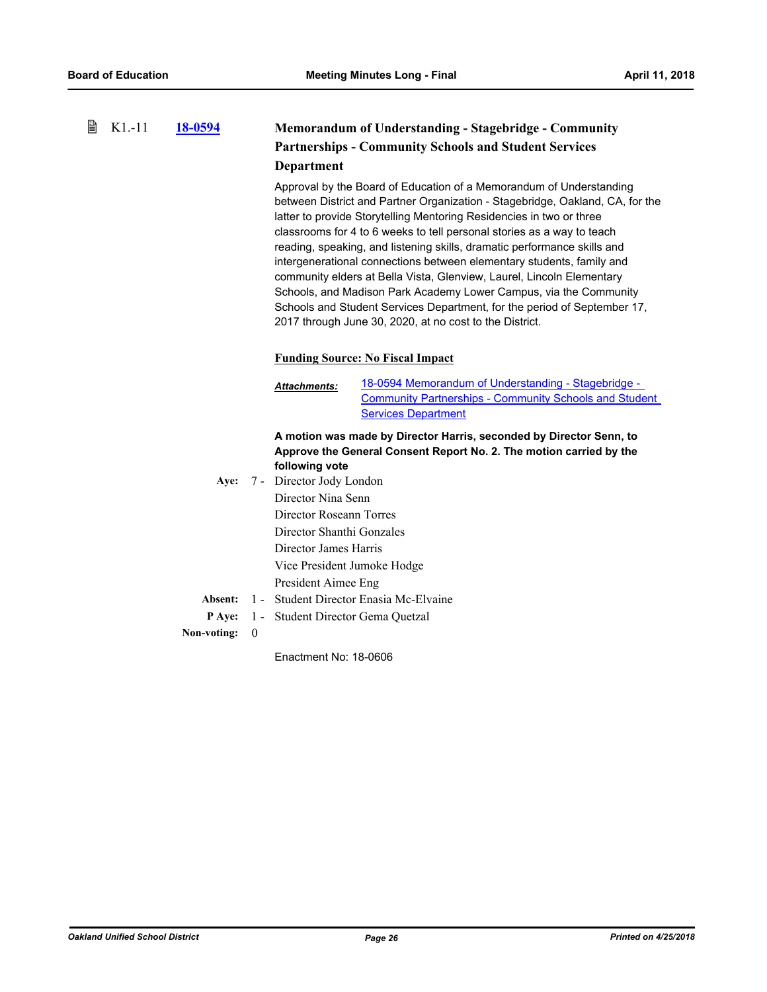#### 昏 K1.-11 **[18-0594](http://ousd.legistar.com/gateway.aspx?m=l&id=/matter.aspx?key=42774) Memorandum of Understanding - Stagebridge - Community Partnerships - Community Schools and Student Services Department**

Approval by the Board of Education of a Memorandum of Understanding between District and Partner Organization - Stagebridge, Oakland, CA, for the latter to provide Storytelling Mentoring Residencies in two or three classrooms for 4 to 6 weeks to tell personal stories as a way to teach reading, speaking, and listening skills, dramatic performance skills and intergenerational connections between elementary students, family and community elders at Bella Vista, Glenview, Laurel, Lincoln Elementary Schools, and Madison Park Academy Lower Campus, via the Community Schools and Student Services Department, for the period of September 17, 2017 through June 30, 2020, at no cost to the District.

### **Funding Source: No Fiscal Impact**

18-0594 Memorandum of Understanding - Stagebridge - [Community Partnerships - Community Schools and Student](http://ousd.legistar.com/gateway.aspx?M=F&ID=88059.pdf)  Services Department *Attachments:*

### **A motion was made by Director Harris, seconded by Director Senn, to Approve the General Consent Report No. 2. The motion carried by the following vote**

Aye: 7 - Director Jody London Director Nina Senn Director Roseann Torres Director Shanthi Gonzales Director James Harris Vice President Jumoke Hodge President Aimee Eng **Absent:** 1 - Student Director Enasia Mc-Elvaine **P Aye:** 1 - Student Director Gema Quetzal

**Non-voting:** 0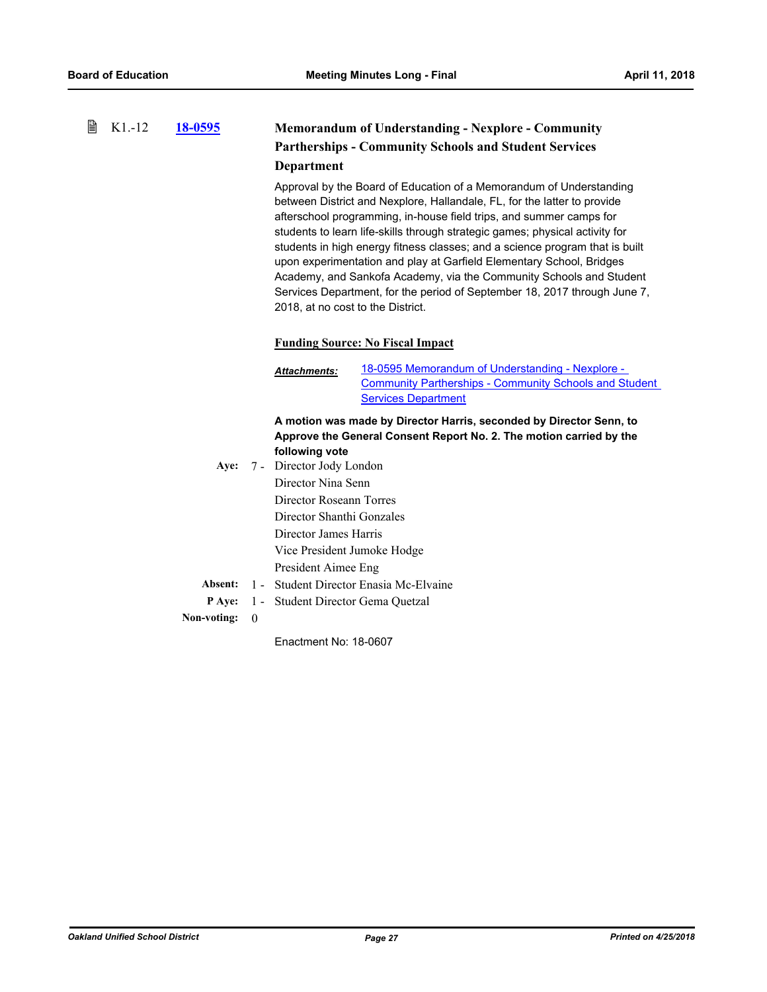#### 昏 K1.-12 **[18-0595](http://ousd.legistar.com/gateway.aspx?m=l&id=/matter.aspx?key=42775) Memorandum of Understanding - Nexplore - Community Partherships - Community Schools and Student Services Department**

Approval by the Board of Education of a Memorandum of Understanding between District and Nexplore, Hallandale, FL, for the latter to provide afterschool programming, in-house field trips, and summer camps for students to learn life-skills through strategic games; physical activity for students in high energy fitness classes; and a science program that is built upon experimentation and play at Garfield Elementary School, Bridges Academy, and Sankofa Academy, via the Community Schools and Student Services Department, for the period of September 18, 2017 through June 7, 2018, at no cost to the District.

#### **Funding Source: No Fiscal Impact**

18-0595 Memorandum of Understanding - Nexplore - [Community Partherships - Community Schools and Student](http://ousd.legistar.com/gateway.aspx?M=F&ID=88085.pdf)  **Services Department** *Attachments:*

**A motion was made by Director Harris, seconded by Director Senn, to Approve the General Consent Report No. 2. The motion carried by the following vote**

|  | Aye: 7 - Director Jody London                         |
|--|-------------------------------------------------------|
|  | Director Nina Senn                                    |
|  | Director Roseann Torres                               |
|  | Director Shanthi Gonzales                             |
|  | Director James Harris                                 |
|  | Vice President Jumoke Hodge                           |
|  | President Aimee Eng                                   |
|  | <b>Absent:</b> 1 - Student Director Enasia Mc-Elvaine |
|  | <b>P</b> Aye: 1 - Student Director Gema Quetzal       |
|  |                                                       |

**Non-voting:** 0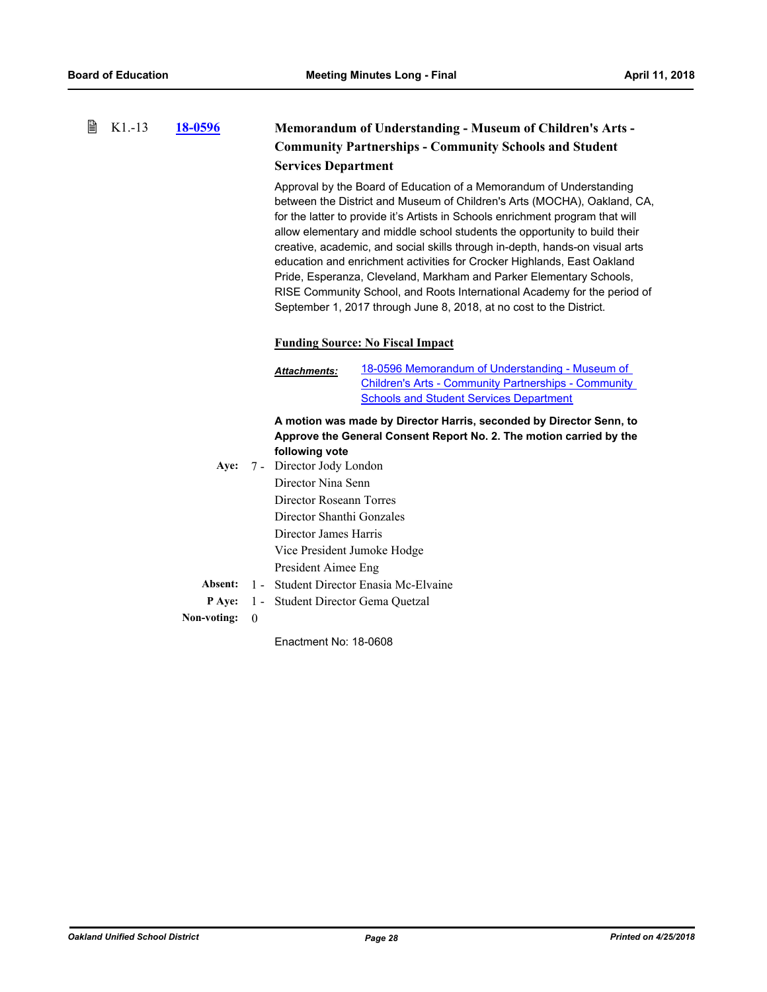#### 昏 K1.-13 **[18-0596](http://ousd.legistar.com/gateway.aspx?m=l&id=/matter.aspx?key=42776) Memorandum of Understanding - Museum of Children's Arts - Community Partnerships - Community Schools and Student Services Department**

Approval by the Board of Education of a Memorandum of Understanding between the District and Museum of Children's Arts (MOCHA), Oakland, CA, for the latter to provide it's Artists in Schools enrichment program that will allow elementary and middle school students the opportunity to build their creative, academic, and social skills through in-depth, hands-on visual arts education and enrichment activities for Crocker Highlands, East Oakland Pride, Esperanza, Cleveland, Markham and Parker Elementary Schools, RISE Community School, and Roots International Academy for the period of September 1, 2017 through June 8, 2018, at no cost to the District.

### **Funding Source: No Fiscal Impact**

18-0596 Memorandum of Understanding - Museum of [Children's Arts - Community Partnerships - Community](http://ousd.legistar.com/gateway.aspx?M=F&ID=88060.pdf)  **Schools and Student Services Department** *Attachments:*

**A motion was made by Director Harris, seconded by Director Senn, to Approve the General Consent Report No. 2. The motion carried by the following vote**

|  | Aye: 7 - Director Jody London                   |
|--|-------------------------------------------------|
|  | Director Nina Senn                              |
|  | Director Roseann Torres                         |
|  | Director Shanthi Gonzales                       |
|  | Director James Harris                           |
|  | Vice President Jumoke Hodge                     |
|  | President Aimee Eng                             |
|  | Absent: 1 - Student Director Enasia Mc-Elvaine  |
|  | <b>P Aye:</b> 1 - Student Director Gema Quetzal |
|  |                                                 |

**Non-voting:** 0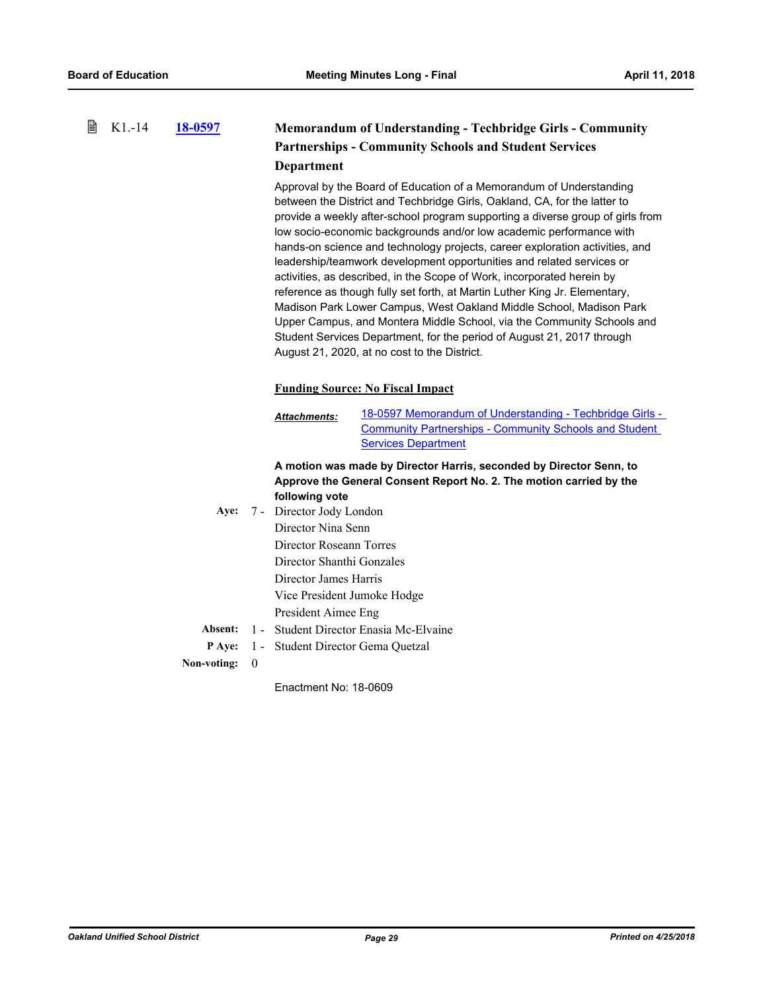昏

#### **[18-0597](http://ousd.legistar.com/gateway.aspx?m=l&id=/matter.aspx?key=42777) Memorandum of Understanding - Techbridge Girls - Community Partnerships - Community Schools and Student Services Department** K1.-14

Approval by the Board of Education of a Memorandum of Understanding between the District and Techbridge Girls, Oakland, CA, for the latter to provide a weekly after-school program supporting a diverse group of girls from low socio-economic backgrounds and/or low academic performance with hands-on science and technology projects, career exploration activities, and leadership/teamwork development opportunities and related services or activities, as described, in the Scope of Work, incorporated herein by reference as though fully set forth, at Martin Luther King Jr. Elementary, Madison Park Lower Campus, West Oakland Middle School, Madison Park Upper Campus, and Montera Middle School, via the Community Schools and Student Services Department, for the period of August 21, 2017 through August 21, 2020, at no cost to the District.

#### **Funding Source: No Fiscal Impact**

[18-0597 Memorandum of Understanding - Techbridge Girls -](http://ousd.legistar.com/gateway.aspx?M=F&ID=88086.pdf) Community Partnerships - Community Schools and Student Services Department *Attachments:*

#### **A motion was made by Director Harris, seconded by Director Senn, to Approve the General Consent Report No. 2. The motion carried by the following vote**

Aye: 7 - Director Jody London Director Nina Senn Director Roseann Torres Director Shanthi Gonzales Director James Harris Vice President Jumoke Hodge President Aimee Eng **Absent:** 1 - Student Director Enasia Mc-Elvaine

**P Aye:** 1 - Student Director Gema Quetzal

**Non-voting:** 0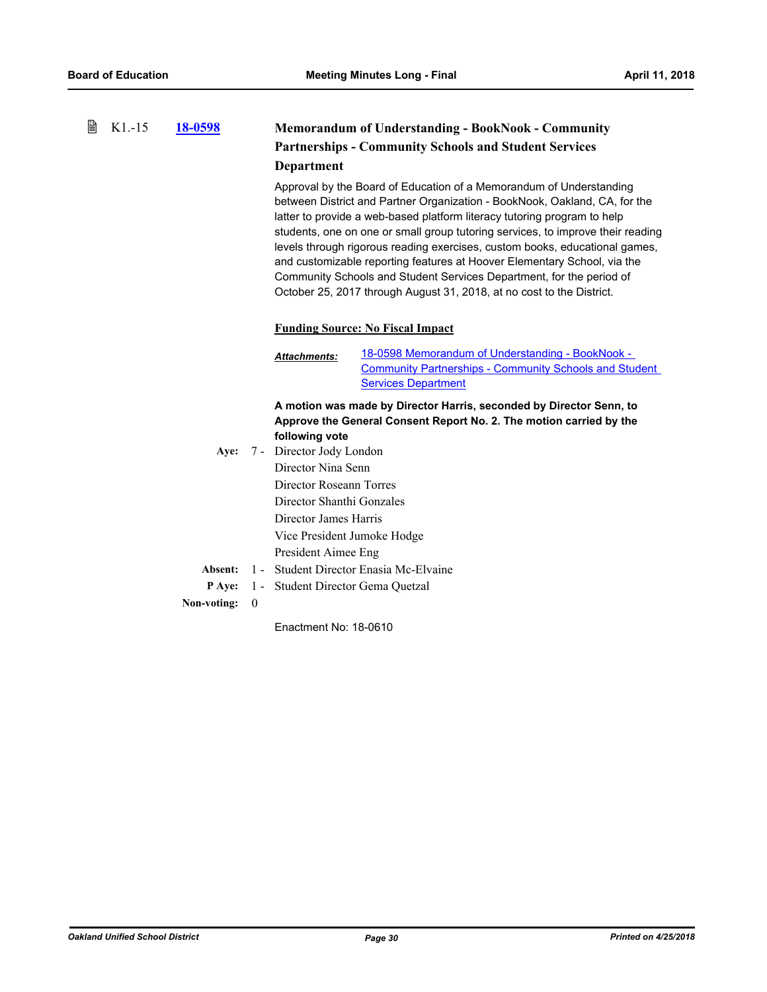#### 昏 K1.-15 **[18-0598](http://ousd.legistar.com/gateway.aspx?m=l&id=/matter.aspx?key=42778) Memorandum of Understanding - BookNook - Community Partnerships - Community Schools and Student Services Department**

Approval by the Board of Education of a Memorandum of Understanding between District and Partner Organization - BookNook, Oakland, CA, for the latter to provide a web-based platform literacy tutoring program to help students, one on one or small group tutoring services, to improve their reading levels through rigorous reading exercises, custom books, educational games, and customizable reporting features at Hoover Elementary School, via the Community Schools and Student Services Department, for the period of October 25, 2017 through August 31, 2018, at no cost to the District.

#### **Funding Source: No Fiscal Impact**

18-0598 Memorandum of Understanding - BookNook - [Community Partnerships - Community Schools and Student](http://ousd.legistar.com/gateway.aspx?M=F&ID=88087.pdf)  Services Department *Attachments:*

**A motion was made by Director Harris, seconded by Director Senn, to Approve the General Consent Report No. 2. The motion carried by the following vote**

|  | Aye: 7 - Director Jody London                   |
|--|-------------------------------------------------|
|  | Director Nina Senn                              |
|  | Director Roseann Torres                         |
|  | Director Shanthi Gonzales                       |
|  | Director James Harris                           |
|  | Vice President Jumoke Hodge                     |
|  | President Aimee Eng                             |
|  | Absent: 1 - Student Director Enasia Mc-Elvaine  |
|  | <b>P</b> Aye: 1 - Student Director Gema Quetzal |

#### **Non-voting:** 0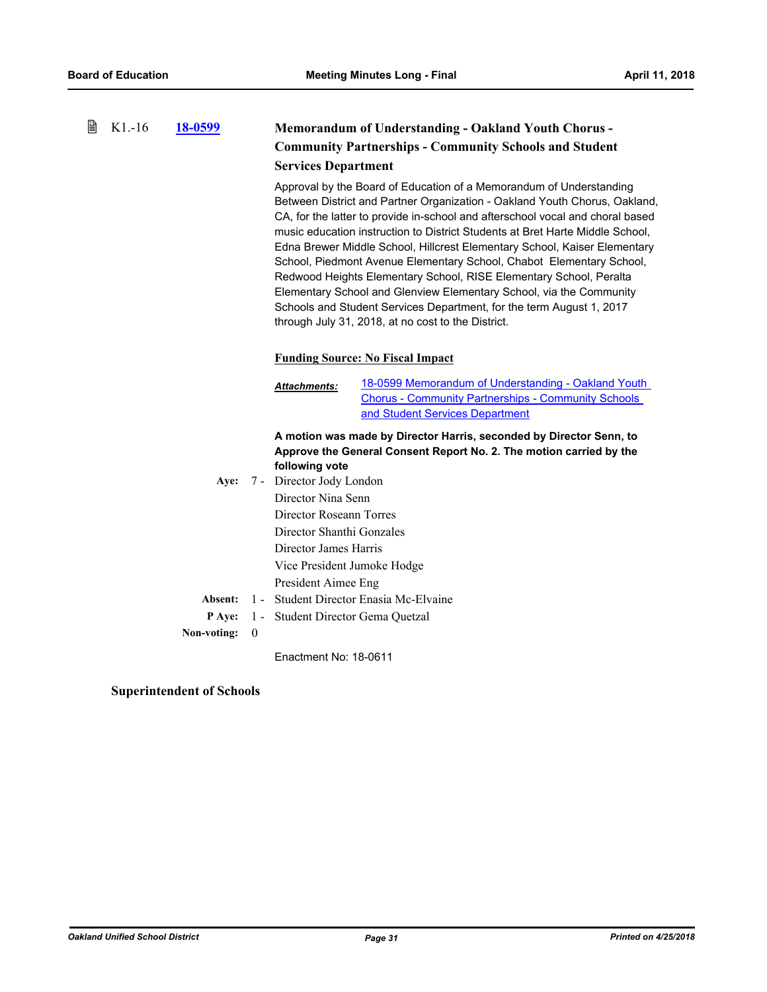#### 昏 K1.-16 **[18-0599](http://ousd.legistar.com/gateway.aspx?m=l&id=/matter.aspx?key=42779) Memorandum of Understanding - Oakland Youth Chorus - Community Partnerships - Community Schools and Student Services Department**

Approval by the Board of Education of a Memorandum of Understanding Between District and Partner Organization - Oakland Youth Chorus, Oakland, CA, for the latter to provide in-school and afterschool vocal and choral based music education instruction to District Students at Bret Harte Middle School, Edna Brewer Middle School, Hillcrest Elementary School, Kaiser Elementary School, Piedmont Avenue Elementary School, Chabot Elementary School, Redwood Heights Elementary School, RISE Elementary School, Peralta Elementary School and Glenview Elementary School, via the Community Schools and Student Services Department, for the term August 1, 2017 through July 31, 2018, at no cost to the District.

### **Funding Source: No Fiscal Impact**

[18-0599 Memorandum of Understanding - Oakland Youth](http://ousd.legistar.com/gateway.aspx?M=F&ID=88055.pdf) Chorus - Community Partnerships - Community Schools and Student Services Department *Attachments:*

### **A motion was made by Director Harris, seconded by Director Senn, to Approve the General Consent Report No. 2. The motion carried by the following vote**

Aye: 7 - Director Jody London Director Nina Senn Director Roseann Torres Director Shanthi Gonzales Director James Harris Vice President Jumoke Hodge President Aimee Eng **Absent:** 1 - Student Director Enasia Mc-Elvaine **P Aye:** 1 - Student Director Gema Quetzal **Non-voting:** 0

Enactment No: 18-0611

**Superintendent of Schools**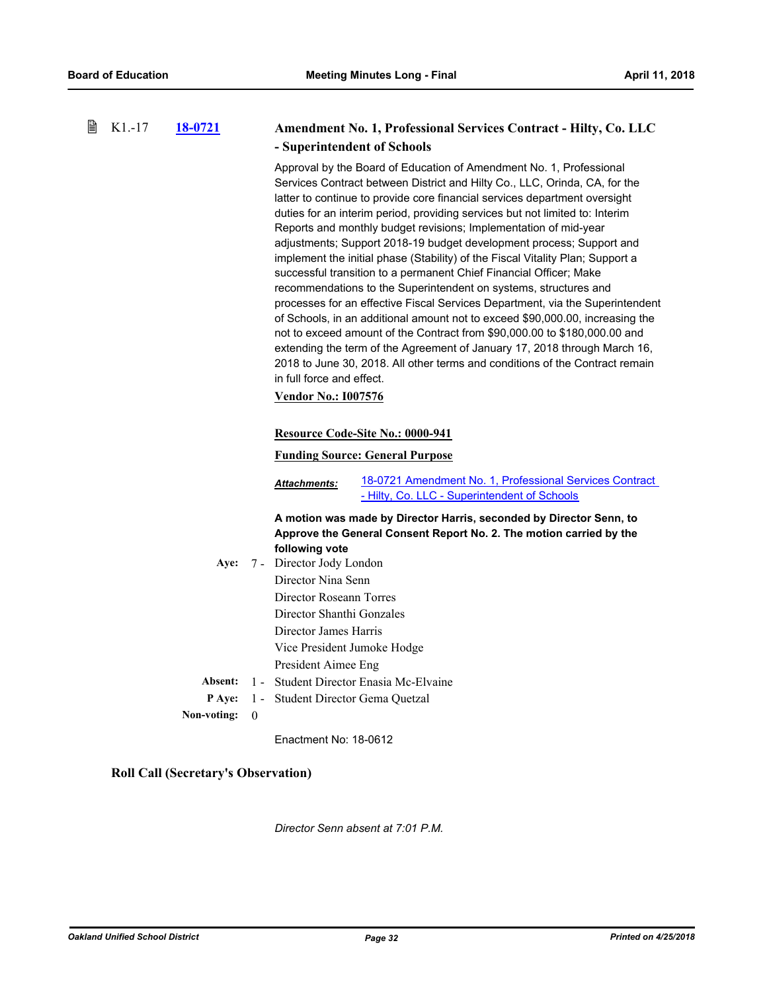**圖 K1.-17** 

| B | $K1-17$ | 18-0721     |          |                                                                                                                                                                                                                                                                                                                                                                                                                                                                                                                                                                                                                                                                                                                                                                                                                                                                                                                                                                                                                                                                                                                                                                                                    | Amendment No. 1, Professional Services Contract - Hilty, Co. LLC                                                                           |  |
|---|---------|-------------|----------|----------------------------------------------------------------------------------------------------------------------------------------------------------------------------------------------------------------------------------------------------------------------------------------------------------------------------------------------------------------------------------------------------------------------------------------------------------------------------------------------------------------------------------------------------------------------------------------------------------------------------------------------------------------------------------------------------------------------------------------------------------------------------------------------------------------------------------------------------------------------------------------------------------------------------------------------------------------------------------------------------------------------------------------------------------------------------------------------------------------------------------------------------------------------------------------------------|--------------------------------------------------------------------------------------------------------------------------------------------|--|
|   |         |             |          |                                                                                                                                                                                                                                                                                                                                                                                                                                                                                                                                                                                                                                                                                                                                                                                                                                                                                                                                                                                                                                                                                                                                                                                                    | - Superintendent of Schools                                                                                                                |  |
|   |         |             |          | Approval by the Board of Education of Amendment No. 1, Professional<br>Services Contract between District and Hilty Co., LLC, Orinda, CA, for the<br>latter to continue to provide core financial services department oversight<br>duties for an interim period, providing services but not limited to: Interim<br>Reports and monthly budget revisions; Implementation of mid-year<br>adjustments; Support 2018-19 budget development process; Support and<br>implement the initial phase (Stability) of the Fiscal Vitality Plan; Support a<br>successful transition to a permanent Chief Financial Officer; Make<br>recommendations to the Superintendent on systems, structures and<br>processes for an effective Fiscal Services Department, via the Superintendent<br>of Schools, in an additional amount not to exceed \$90,000.00, increasing the<br>not to exceed amount of the Contract from \$90,000.00 to \$180,000.00 and<br>extending the term of the Agreement of January 17, 2018 through March 16,<br>2018 to June 30, 2018. All other terms and conditions of the Contract remain<br>in full force and effect.<br><b>Vendor No.: 1007576</b><br>Resource Code-Site No.: 0000-941 |                                                                                                                                            |  |
|   |         |             |          | <b>Funding Source: General Purpose</b>                                                                                                                                                                                                                                                                                                                                                                                                                                                                                                                                                                                                                                                                                                                                                                                                                                                                                                                                                                                                                                                                                                                                                             |                                                                                                                                            |  |
|   |         |             |          | Attachments:                                                                                                                                                                                                                                                                                                                                                                                                                                                                                                                                                                                                                                                                                                                                                                                                                                                                                                                                                                                                                                                                                                                                                                                       | 18-0721 Amendment No. 1, Professional Services Contract<br>- Hilty, Co. LLC - Superintendent of Schools                                    |  |
|   |         | Aye:        |          | following vote<br>7 - Director Jody London<br>Director Nina Senn<br>Director Roseann Torres<br>Director Shanthi Gonzales<br>Director James Harris<br>Vice President Jumoke Hodge<br>President Aimee Eng                                                                                                                                                                                                                                                                                                                                                                                                                                                                                                                                                                                                                                                                                                                                                                                                                                                                                                                                                                                            | A motion was made by Director Harris, seconded by Director Senn, to<br>Approve the General Consent Report No. 2. The motion carried by the |  |
|   |         | Absent:     |          |                                                                                                                                                                                                                                                                                                                                                                                                                                                                                                                                                                                                                                                                                                                                                                                                                                                                                                                                                                                                                                                                                                                                                                                                    | 1 - Student Director Enasia Mc-Elvaine                                                                                                     |  |
|   |         | P Aye:      | $1 -$    |                                                                                                                                                                                                                                                                                                                                                                                                                                                                                                                                                                                                                                                                                                                                                                                                                                                                                                                                                                                                                                                                                                                                                                                                    | Student Director Gema Quetzal                                                                                                              |  |
|   |         | Non-voting: | $\bf{0}$ |                                                                                                                                                                                                                                                                                                                                                                                                                                                                                                                                                                                                                                                                                                                                                                                                                                                                                                                                                                                                                                                                                                                                                                                                    |                                                                                                                                            |  |

Enactment No: 18-0612

### **Roll Call (Secretary's Observation)**

*Director Senn absent at 7:01 P.M.*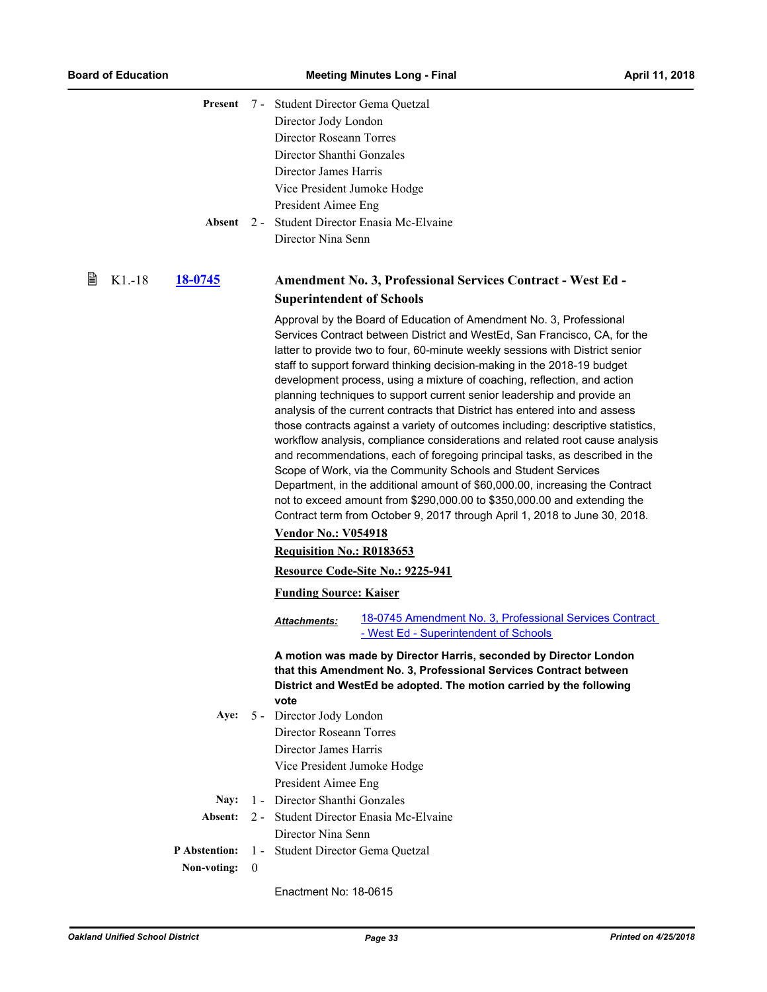|   |         | Present              |              | 7 - Student Director Gema Quetzal                       |                                                                                                                                                                                                                                                                                                                                                                                                                                                                                                                                                                                                                                                                                                                                                                                                                                                                                                                                                                                                                                                                                                                  |
|---|---------|----------------------|--------------|---------------------------------------------------------|------------------------------------------------------------------------------------------------------------------------------------------------------------------------------------------------------------------------------------------------------------------------------------------------------------------------------------------------------------------------------------------------------------------------------------------------------------------------------------------------------------------------------------------------------------------------------------------------------------------------------------------------------------------------------------------------------------------------------------------------------------------------------------------------------------------------------------------------------------------------------------------------------------------------------------------------------------------------------------------------------------------------------------------------------------------------------------------------------------------|
|   |         |                      |              | Director Jody London                                    |                                                                                                                                                                                                                                                                                                                                                                                                                                                                                                                                                                                                                                                                                                                                                                                                                                                                                                                                                                                                                                                                                                                  |
|   |         |                      |              | Director Roseann Torres                                 |                                                                                                                                                                                                                                                                                                                                                                                                                                                                                                                                                                                                                                                                                                                                                                                                                                                                                                                                                                                                                                                                                                                  |
|   |         |                      |              | Director Shanthi Gonzales                               |                                                                                                                                                                                                                                                                                                                                                                                                                                                                                                                                                                                                                                                                                                                                                                                                                                                                                                                                                                                                                                                                                                                  |
|   |         |                      |              | Director James Harris                                   |                                                                                                                                                                                                                                                                                                                                                                                                                                                                                                                                                                                                                                                                                                                                                                                                                                                                                                                                                                                                                                                                                                                  |
|   |         |                      |              | Vice President Jumoke Hodge                             |                                                                                                                                                                                                                                                                                                                                                                                                                                                                                                                                                                                                                                                                                                                                                                                                                                                                                                                                                                                                                                                                                                                  |
|   |         |                      |              | President Aimee Eng                                     |                                                                                                                                                                                                                                                                                                                                                                                                                                                                                                                                                                                                                                                                                                                                                                                                                                                                                                                                                                                                                                                                                                                  |
|   |         |                      |              |                                                         | 2 - Student Director Enasia Mc-Elvaine                                                                                                                                                                                                                                                                                                                                                                                                                                                                                                                                                                                                                                                                                                                                                                                                                                                                                                                                                                                                                                                                           |
|   |         | Absent               |              |                                                         |                                                                                                                                                                                                                                                                                                                                                                                                                                                                                                                                                                                                                                                                                                                                                                                                                                                                                                                                                                                                                                                                                                                  |
|   |         |                      |              | Director Nina Senn                                      |                                                                                                                                                                                                                                                                                                                                                                                                                                                                                                                                                                                                                                                                                                                                                                                                                                                                                                                                                                                                                                                                                                                  |
| 閶 | $K1-18$ | <u>18-0745</u>       |              |                                                         | Amendment No. 3, Professional Services Contract - West Ed -                                                                                                                                                                                                                                                                                                                                                                                                                                                                                                                                                                                                                                                                                                                                                                                                                                                                                                                                                                                                                                                      |
|   |         |                      |              | <b>Superintendent of Schools</b>                        |                                                                                                                                                                                                                                                                                                                                                                                                                                                                                                                                                                                                                                                                                                                                                                                                                                                                                                                                                                                                                                                                                                                  |
|   |         |                      |              | <b>Vendor No.: V054918</b><br>Requisition No.: R0183653 | Approval by the Board of Education of Amendment No. 3, Professional<br>Services Contract between District and WestEd, San Francisco, CA, for the<br>latter to provide two to four, 60-minute weekly sessions with District senior<br>staff to support forward thinking decision-making in the 2018-19 budget<br>development process, using a mixture of coaching, reflection, and action<br>planning techniques to support current senior leadership and provide an<br>analysis of the current contracts that District has entered into and assess<br>those contracts against a variety of outcomes including: descriptive statistics,<br>workflow analysis, compliance considerations and related root cause analysis<br>and recommendations, each of foregoing principal tasks, as described in the<br>Scope of Work, via the Community Schools and Student Services<br>Department, in the additional amount of \$60,000.00, increasing the Contract<br>not to exceed amount from \$290,000.00 to \$350,000.00 and extending the<br>Contract term from October 9, 2017 through April 1, 2018 to June 30, 2018. |
|   |         |                      |              | Resource Code-Site No.: 9225-941                        |                                                                                                                                                                                                                                                                                                                                                                                                                                                                                                                                                                                                                                                                                                                                                                                                                                                                                                                                                                                                                                                                                                                  |
|   |         |                      |              | <b>Funding Source: Kaiser</b>                           |                                                                                                                                                                                                                                                                                                                                                                                                                                                                                                                                                                                                                                                                                                                                                                                                                                                                                                                                                                                                                                                                                                                  |
|   |         |                      |              | <b>Attachments:</b>                                     | 18-0745 Amendment No. 3, Professional Services Contract<br>- West Ed - Superintendent of Schools                                                                                                                                                                                                                                                                                                                                                                                                                                                                                                                                                                                                                                                                                                                                                                                                                                                                                                                                                                                                                 |
|   |         |                      |              | vote                                                    | A motion was made by Director Harris, seconded by Director London<br>that this Amendment No. 3, Professional Services Contract between<br>District and WestEd be adopted. The motion carried by the following                                                                                                                                                                                                                                                                                                                                                                                                                                                                                                                                                                                                                                                                                                                                                                                                                                                                                                    |
|   |         | Aye:                 |              | 5 - Director Jody London                                |                                                                                                                                                                                                                                                                                                                                                                                                                                                                                                                                                                                                                                                                                                                                                                                                                                                                                                                                                                                                                                                                                                                  |
|   |         |                      |              | Director Roseann Torres                                 |                                                                                                                                                                                                                                                                                                                                                                                                                                                                                                                                                                                                                                                                                                                                                                                                                                                                                                                                                                                                                                                                                                                  |
|   |         |                      |              | Director James Harris                                   |                                                                                                                                                                                                                                                                                                                                                                                                                                                                                                                                                                                                                                                                                                                                                                                                                                                                                                                                                                                                                                                                                                                  |
|   |         |                      |              | Vice President Jumoke Hodge                             |                                                                                                                                                                                                                                                                                                                                                                                                                                                                                                                                                                                                                                                                                                                                                                                                                                                                                                                                                                                                                                                                                                                  |
|   |         |                      |              | President Aimee Eng                                     |                                                                                                                                                                                                                                                                                                                                                                                                                                                                                                                                                                                                                                                                                                                                                                                                                                                                                                                                                                                                                                                                                                                  |
|   |         | Nay:                 |              | 1 - Director Shanthi Gonzales                           |                                                                                                                                                                                                                                                                                                                                                                                                                                                                                                                                                                                                                                                                                                                                                                                                                                                                                                                                                                                                                                                                                                                  |
|   |         | Absent:              |              |                                                         | 2 - Student Director Enasia Mc-Elvaine                                                                                                                                                                                                                                                                                                                                                                                                                                                                                                                                                                                                                                                                                                                                                                                                                                                                                                                                                                                                                                                                           |
|   |         |                      |              | Director Nina Senn                                      |                                                                                                                                                                                                                                                                                                                                                                                                                                                                                                                                                                                                                                                                                                                                                                                                                                                                                                                                                                                                                                                                                                                  |
|   |         | <b>P</b> Abstention: |              | 1 - Student Director Gema Quetzal                       |                                                                                                                                                                                                                                                                                                                                                                                                                                                                                                                                                                                                                                                                                                                                                                                                                                                                                                                                                                                                                                                                                                                  |
|   |         | Non-voting:          | $\mathbf{0}$ |                                                         |                                                                                                                                                                                                                                                                                                                                                                                                                                                                                                                                                                                                                                                                                                                                                                                                                                                                                                                                                                                                                                                                                                                  |
|   |         |                      |              | Enactment No: 18-0615                                   |                                                                                                                                                                                                                                                                                                                                                                                                                                                                                                                                                                                                                                                                                                                                                                                                                                                                                                                                                                                                                                                                                                                  |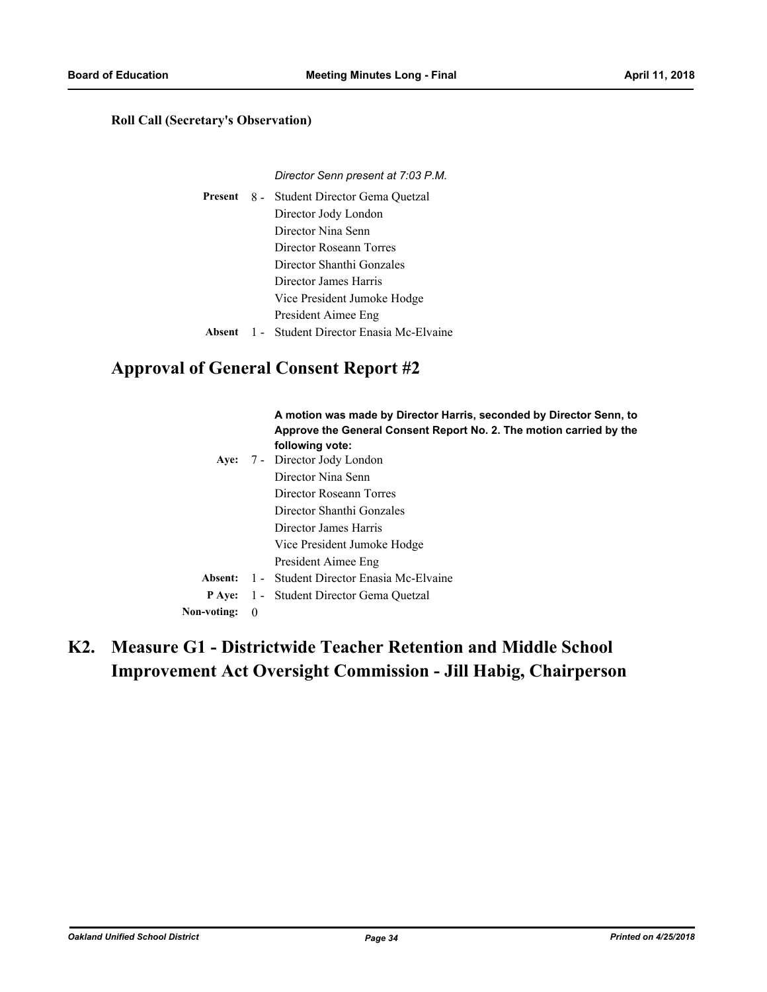### **Roll Call (Secretary's Observation)**

#### *Director Senn present at 7:03 P.M.*

|  | <b>Present</b> 8 - Student Director Gema Quetzal |
|--|--------------------------------------------------|
|  | Director Jody London                             |
|  | Director Nina Senn                               |
|  | Director Roseann Torres                          |
|  | Director Shanthi Gonzales                        |
|  | Director James Harris                            |
|  | Vice President Jumoke Hodge                      |
|  | President Aimee Eng                              |
|  | Absent 1 - Student Director Enasia Mc-Elvaine    |

# **Approval of General Consent Report #2**

|             |                  | A motion was made by Director Harris, seconded by Director Senn, to<br>Approve the General Consent Report No. 2. The motion carried by the<br>following vote: |
|-------------|------------------|---------------------------------------------------------------------------------------------------------------------------------------------------------------|
|             |                  | Aye: 7 - Director Jody London                                                                                                                                 |
|             |                  | Director Nina Senn                                                                                                                                            |
|             |                  | Director Roseann Torres                                                                                                                                       |
|             |                  | Director Shanthi Gonzales                                                                                                                                     |
|             |                  | Director James Harris                                                                                                                                         |
|             |                  | Vice President Jumoke Hodge                                                                                                                                   |
|             |                  | President Aimee Eng                                                                                                                                           |
| Absent:     |                  | 1 - Student Director Enasia Mc-Elvaine                                                                                                                        |
| P Ave:      |                  | 1 - Student Director Gema Quetzal                                                                                                                             |
| Non-voting: | $\boldsymbol{0}$ |                                                                                                                                                               |

# **Measure G1 - Districtwide Teacher Retention and Middle School K2. Improvement Act Oversight Commission - Jill Habig, Chairperson**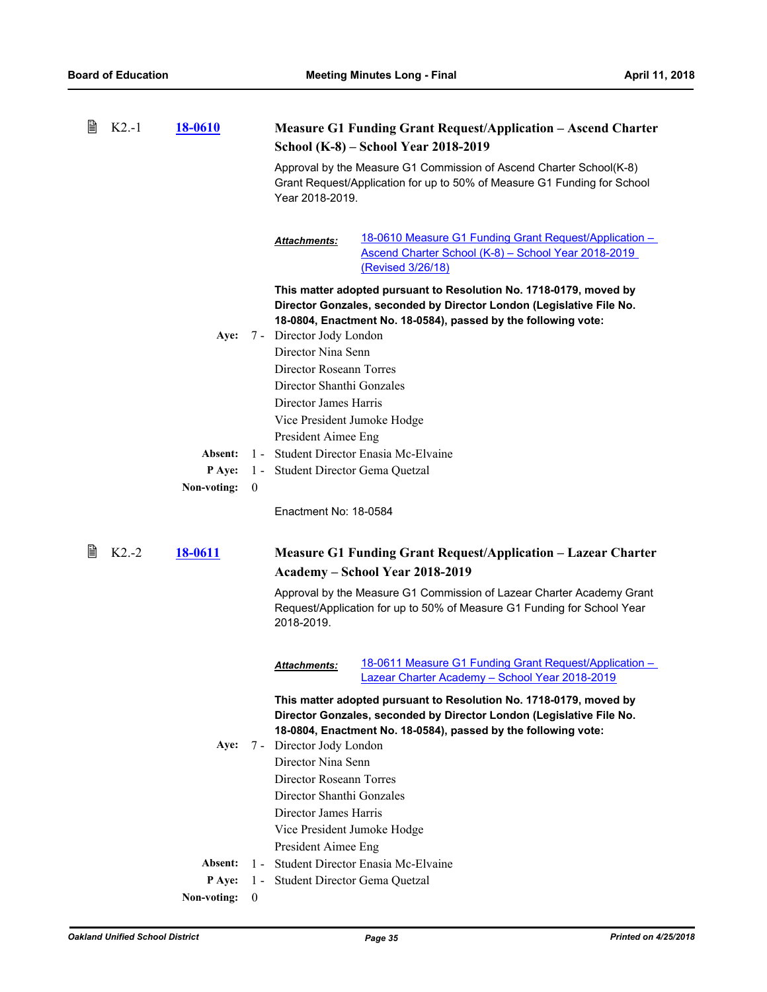| B | $K2-1$  | <b>18-0610</b> |                | <b>Measure G1 Funding Grant Request/Application – Ascend Charter</b>                                                                                                                                         |
|---|---------|----------------|----------------|--------------------------------------------------------------------------------------------------------------------------------------------------------------------------------------------------------------|
|   |         |                |                | School (K-8) – School Year 2018-2019                                                                                                                                                                         |
|   |         |                |                | Approval by the Measure G1 Commission of Ascend Charter School(K-8)<br>Grant Request/Application for up to 50% of Measure G1 Funding for School<br>Year 2018-2019.                                           |
|   |         |                |                | 18-0610 Measure G1 Funding Grant Request/Application -<br>Attachments:<br>Ascend Charter School (K-8) - School Year 2018-2019<br>(Revised 3/26/18)                                                           |
|   |         |                |                | This matter adopted pursuant to Resolution No. 1718-0179, moved by<br>Director Gonzales, seconded by Director London (Legislative File No.<br>18-0804, Enactment No. 18-0584), passed by the following vote: |
|   |         | Aye:           |                | 7 - Director Jody London                                                                                                                                                                                     |
|   |         |                |                | Director Nina Senn                                                                                                                                                                                           |
|   |         |                |                | Director Roseann Torres                                                                                                                                                                                      |
|   |         |                |                | Director Shanthi Gonzales                                                                                                                                                                                    |
|   |         |                |                | Director James Harris                                                                                                                                                                                        |
|   |         |                |                | Vice President Jumoke Hodge                                                                                                                                                                                  |
|   |         |                |                | President Aimee Eng                                                                                                                                                                                          |
|   |         | Absent:        | $1 -$          | Student Director Enasia Mc-Elvaine                                                                                                                                                                           |
|   |         | P Aye:         | $1 -$          | Student Director Gema Quetzal                                                                                                                                                                                |
|   |         |                |                |                                                                                                                                                                                                              |
|   |         | Non-voting:    | $\overline{0}$ |                                                                                                                                                                                                              |
|   |         |                |                | Enactment No: 18-0584                                                                                                                                                                                        |
| 閆 | $K2.-2$ | <b>18-0611</b> |                | <b>Measure G1 Funding Grant Request/Application – Lazear Charter</b><br>Academy - School Year 2018-2019                                                                                                      |
|   |         |                |                | Approval by the Measure G1 Commission of Lazear Charter Academy Grant<br>Request/Application for up to 50% of Measure G1 Funding for School Year<br>2018-2019.                                               |
|   |         |                |                | 18-0611 Measure G1 Funding Grant Request/Application -<br><b>Attachments:</b><br>Lazear Charter Academy - School Year 2018-2019                                                                              |
|   |         |                |                | This matter adopted pursuant to Resolution No. 1718-0179, moved by<br>Director Gonzales, seconded by Director London (Legislative File No.<br>18-0804, Enactment No. 18-0584), passed by the following vote: |
|   |         | Aye:           |                | 7 - Director Jody London                                                                                                                                                                                     |
|   |         |                |                | Director Nina Senn                                                                                                                                                                                           |
|   |         |                |                | Director Roseann Torres                                                                                                                                                                                      |
|   |         |                |                | Director Shanthi Gonzales                                                                                                                                                                                    |
|   |         |                |                | Director James Harris                                                                                                                                                                                        |
|   |         |                |                | Vice President Jumoke Hodge                                                                                                                                                                                  |
|   |         |                |                | President Aimee Eng                                                                                                                                                                                          |
|   |         | Absent:        |                | 1 - Student Director Enasia Mc-Elvaine                                                                                                                                                                       |
|   |         | <b>P</b> Aye:  |                | 1 - Student Director Gema Quetzal                                                                                                                                                                            |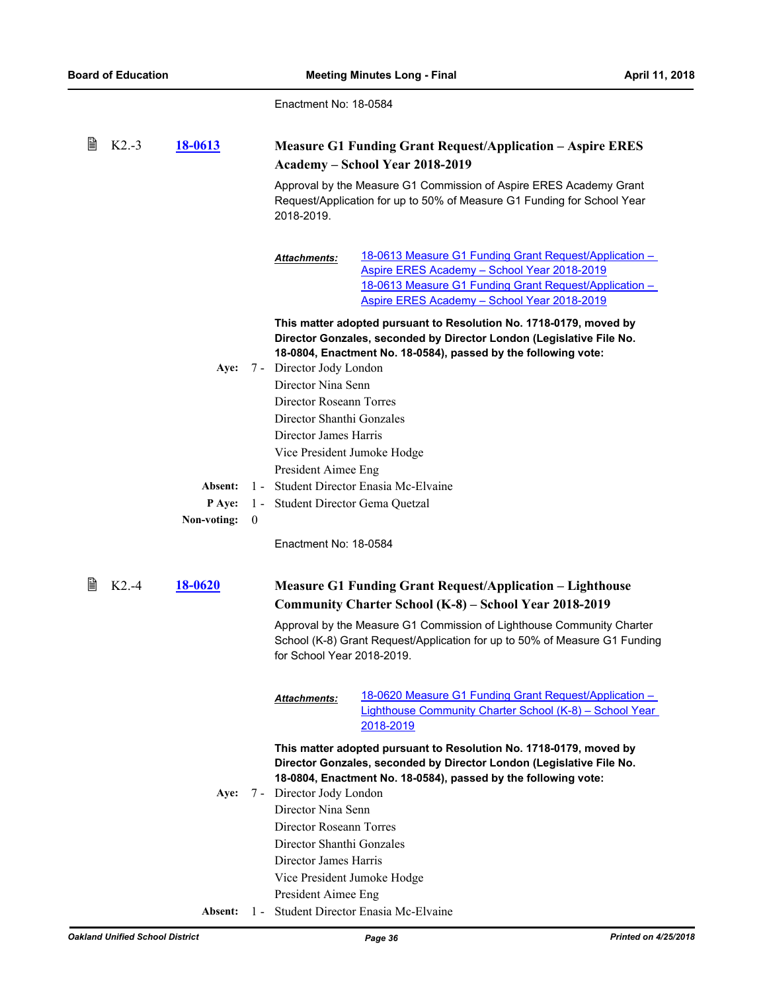| 閆 | $K2.-3$ | 18-0613     |              | <b>Measure G1 Funding Grant Request/Application - Aspire ERES</b><br>Academy - School Year 2018-2019 |                                                                                                                                                                                                                |
|---|---------|-------------|--------------|------------------------------------------------------------------------------------------------------|----------------------------------------------------------------------------------------------------------------------------------------------------------------------------------------------------------------|
|   |         |             |              | 2018-2019.                                                                                           | Approval by the Measure G1 Commission of Aspire ERES Academy Grant<br>Request/Application for up to 50% of Measure G1 Funding for School Year                                                                  |
|   |         |             |              | Attachments:                                                                                         | 18-0613 Measure G1 Funding Grant Request/Application -<br>Aspire ERES Academy - School Year 2018-2019<br>18-0613 Measure G1 Funding Grant Request/Application -<br>Aspire ERES Academy - School Year 2018-2019 |
|   |         |             |              |                                                                                                      | This matter adopted pursuant to Resolution No. 1718-0179, moved by<br>Director Gonzales, seconded by Director London (Legislative File No.<br>18-0804, Enactment No. 18-0584), passed by the following vote:   |
|   |         | Aye:        |              | 7 - Director Jody London<br>Director Nina Senn                                                       |                                                                                                                                                                                                                |
|   |         |             |              | Director Roseann Torres                                                                              |                                                                                                                                                                                                                |
|   |         |             |              | Director Shanthi Gonzales                                                                            |                                                                                                                                                                                                                |
|   |         |             |              | Director James Harris                                                                                |                                                                                                                                                                                                                |
|   |         |             |              | Vice President Jumoke Hodge                                                                          |                                                                                                                                                                                                                |
|   |         |             |              | President Aimee Eng                                                                                  |                                                                                                                                                                                                                |
|   |         | Absent:     |              |                                                                                                      | 1 - Student Director Enasia Mc-Elvaine                                                                                                                                                                         |
|   |         | P Aye:      |              | 1 - Student Director Gema Quetzal                                                                    |                                                                                                                                                                                                                |
|   |         | Non-voting: | $\mathbf{0}$ |                                                                                                      |                                                                                                                                                                                                                |
|   |         |             |              | Enactment No: 18-0584                                                                                |                                                                                                                                                                                                                |
| 閶 | $K2.-4$ | 18-0620     |              |                                                                                                      | <b>Measure G1 Funding Grant Request/Application – Lighthouse</b>                                                                                                                                               |
|   |         |             |              |                                                                                                      | Community Charter School (K-8) – School Year 2018-2019                                                                                                                                                         |
|   |         |             |              | for School Year 2018-2019.                                                                           | Approval by the Measure G1 Commission of Lighthouse Community Charter<br>School (K-8) Grant Request/Application for up to 50% of Measure G1 Funding                                                            |
|   |         |             |              | <b>Attachments:</b>                                                                                  | 18-0620 Measure G1 Funding Grant Request/Application -<br>Lighthouse Community Charter School (K-8) - School Year<br>2018-2019                                                                                 |
|   |         | Aye:        |              | 7 - Director Jody London                                                                             | This matter adopted pursuant to Resolution No. 1718-0179, moved by<br>Director Gonzales, seconded by Director London (Legislative File No.<br>18-0804, Enactment No. 18-0584), passed by the following vote:   |
|   |         |             |              | Director Nina Senn                                                                                   |                                                                                                                                                                                                                |
|   |         |             |              | Director Roseann Torres                                                                              |                                                                                                                                                                                                                |
|   |         |             |              | Director Shanthi Gonzales                                                                            |                                                                                                                                                                                                                |
|   |         |             |              | Director James Harris                                                                                |                                                                                                                                                                                                                |
|   |         |             |              | Vice President Jumoke Hodge                                                                          |                                                                                                                                                                                                                |
|   |         |             |              | President Aimee Eng                                                                                  |                                                                                                                                                                                                                |
|   |         |             |              |                                                                                                      |                                                                                                                                                                                                                |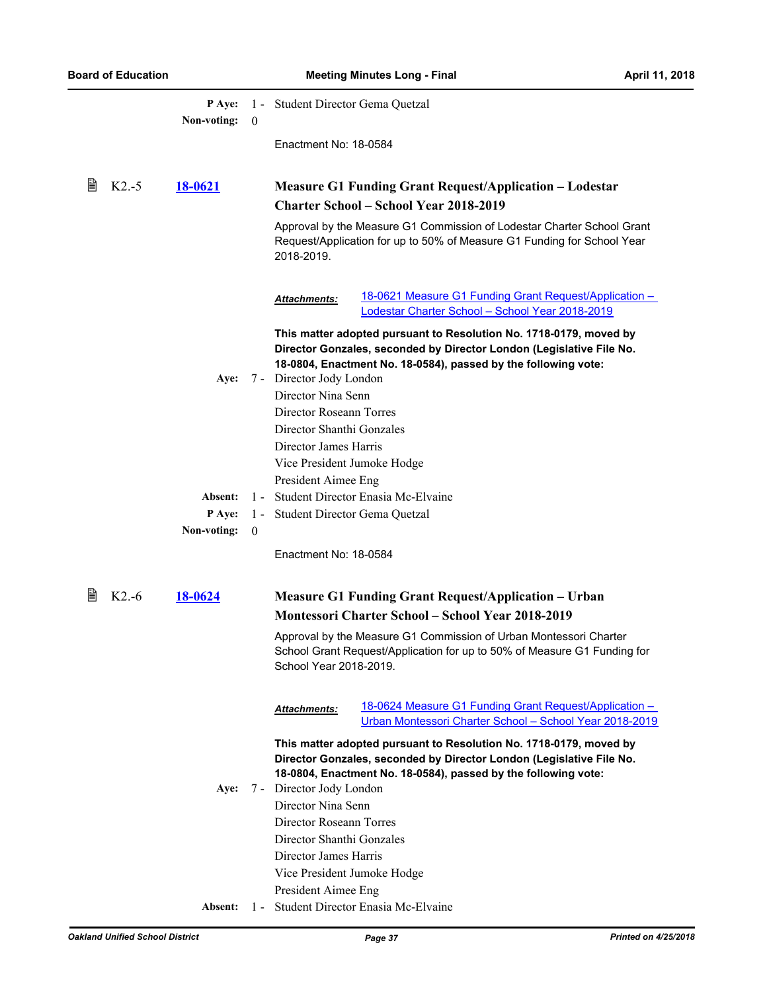|   |         | <b>P</b> Aye:<br>Non-voting: | $\bf{0}$          | 1 - Student Director Gema Quetzal                                                                                                                                                                            |
|---|---------|------------------------------|-------------------|--------------------------------------------------------------------------------------------------------------------------------------------------------------------------------------------------------------|
|   |         |                              |                   | Enactment No: 18-0584                                                                                                                                                                                        |
| 閶 | $K2.-5$ | 18-0621                      |                   | <b>Measure G1 Funding Grant Request/Application – Lodestar</b><br><b>Charter School – School Year 2018-2019</b>                                                                                              |
|   |         |                              |                   | Approval by the Measure G1 Commission of Lodestar Charter School Grant<br>Request/Application for up to 50% of Measure G1 Funding for School Year<br>2018-2019.                                              |
|   |         |                              |                   | 18-0621 Measure G1 Funding Grant Request/Application -<br>Attachments:<br>Lodestar Charter School - School Year 2018-2019                                                                                    |
|   |         |                              |                   | This matter adopted pursuant to Resolution No. 1718-0179, moved by<br>Director Gonzales, seconded by Director London (Legislative File No.<br>18-0804, Enactment No. 18-0584), passed by the following vote: |
|   |         | Aye:                         |                   | 7 - Director Jody London<br>Director Nina Senn                                                                                                                                                               |
|   |         |                              |                   | Director Roseann Torres                                                                                                                                                                                      |
|   |         |                              |                   | Director Shanthi Gonzales                                                                                                                                                                                    |
|   |         |                              |                   | Director James Harris                                                                                                                                                                                        |
|   |         |                              |                   | Vice President Jumoke Hodge                                                                                                                                                                                  |
|   |         |                              |                   | President Aimee Eng                                                                                                                                                                                          |
|   |         | Absent:                      | $1 -$             | Student Director Enasia Mc-Elvaine                                                                                                                                                                           |
|   |         | P Aye:<br>Non-voting:        | $1 -$<br>$\theta$ | Student Director Gema Quetzal                                                                                                                                                                                |
|   |         |                              |                   | Enactment No: 18-0584                                                                                                                                                                                        |
| 閶 | $K2.-6$ | 18-0624                      |                   | <b>Measure G1 Funding Grant Request/Application – Urban</b><br><b>Montessori Charter School - School Year 2018-2019</b>                                                                                      |
|   |         |                              |                   | Approval by the Measure G1 Commission of Urban Montessori Charter<br>School Grant Request/Application for up to 50% of Measure G1 Funding for<br>School Year 2018-2019.                                      |
|   |         |                              |                   | 18-0624 Measure G1 Funding Grant Request/Application -<br>Attachments:<br>Urban Montessori Charter School - School Year 2018-2019                                                                            |
|   |         |                              |                   | This matter adopted pursuant to Resolution No. 1718-0179, moved by<br>Director Gonzales, seconded by Director London (Legislative File No.<br>18-0804, Enactment No. 18-0584), passed by the following vote: |
|   |         | Aye:                         |                   | 7 - Director Jody London<br>Director Nina Senn                                                                                                                                                               |
|   |         |                              |                   | Director Roseann Torres                                                                                                                                                                                      |
|   |         |                              |                   | Director Shanthi Gonzales                                                                                                                                                                                    |
|   |         |                              |                   | Director James Harris                                                                                                                                                                                        |
|   |         |                              |                   | Vice President Jumoke Hodge                                                                                                                                                                                  |
|   |         |                              |                   | President Aimee Eng                                                                                                                                                                                          |
|   |         | Absent:                      |                   | 1 - Student Director Enasia Mc-Elvaine                                                                                                                                                                       |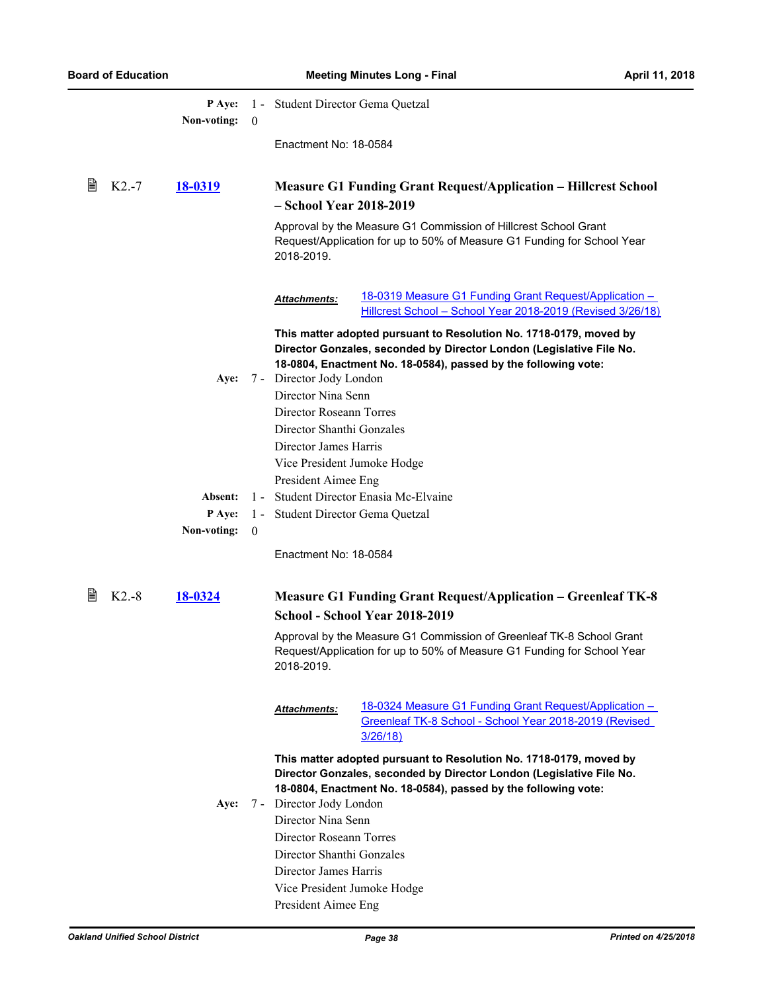|   |         | P Ave:<br>Non-voting: | $\theta$ | 1 - Student Director Gema Quetzal                                                                                                                                                                                                        |
|---|---------|-----------------------|----------|------------------------------------------------------------------------------------------------------------------------------------------------------------------------------------------------------------------------------------------|
|   |         |                       |          | Enactment No: 18-0584                                                                                                                                                                                                                    |
| 閶 | $K2.-7$ | 18-0319               |          | <b>Measure G1 Funding Grant Request/Application – Hillcrest School</b><br>- School Year 2018-2019                                                                                                                                        |
|   |         |                       |          | Approval by the Measure G1 Commission of Hillcrest School Grant<br>Request/Application for up to 50% of Measure G1 Funding for School Year<br>2018-2019.                                                                                 |
|   |         |                       |          | 18-0319 Measure G1 Funding Grant Request/Application -<br><b>Attachments:</b><br>Hillcrest School - School Year 2018-2019 (Revised 3/26/18)                                                                                              |
|   |         | Aye:                  |          | This matter adopted pursuant to Resolution No. 1718-0179, moved by<br>Director Gonzales, seconded by Director London (Legislative File No.<br>18-0804, Enactment No. 18-0584), passed by the following vote:<br>7 - Director Jody London |
|   |         |                       |          | Director Nina Senn<br>Director Roseann Torres<br>Director Shanthi Gonzales<br>Director James Harris<br>Vice President Jumoke Hodge                                                                                                       |
|   |         | Absent:               | $1 -$    | President Aimee Eng<br>Student Director Enasia Mc-Elvaine                                                                                                                                                                                |
|   |         | P Aye:                | $1 -$    | Student Director Gema Quetzal                                                                                                                                                                                                            |
|   |         | Non-voting:           | $\theta$ |                                                                                                                                                                                                                                          |
|   |         |                       |          | Enactment No: 18-0584                                                                                                                                                                                                                    |
| 閶 | $K2.-8$ | 18-0324               |          | <b>Measure G1 Funding Grant Request/Application - Greenleaf TK-8</b><br>School - School Year 2018-2019                                                                                                                                   |
|   |         |                       |          | Approval by the Measure G1 Commission of Greenleaf TK-8 School Grant<br>Request/Application for up to 50% of Measure G1 Funding for School Year<br>2018-2019.                                                                            |
|   |         |                       |          | 18-0324 Measure G1 Funding Grant Request/Application -<br>Attachments:<br>Greenleaf TK-8 School - School Year 2018-2019 (Revised<br>3/26/18)                                                                                             |
|   |         |                       |          | This matter adopted pursuant to Resolution No. 1718-0179, moved by<br>Director Gonzales, seconded by Director London (Legislative File No.<br>18-0804, Enactment No. 18-0584), passed by the following vote:                             |
|   |         | Aye:                  |          | 7 - Director Jody London                                                                                                                                                                                                                 |
|   |         |                       |          | Director Nina Senn<br>Director Roseann Torres                                                                                                                                                                                            |
|   |         |                       |          | Director Shanthi Gonzales                                                                                                                                                                                                                |
|   |         |                       |          | Director James Harris                                                                                                                                                                                                                    |
|   |         |                       |          | Vice President Jumoke Hodge                                                                                                                                                                                                              |
|   |         |                       |          | President Aimee Eng                                                                                                                                                                                                                      |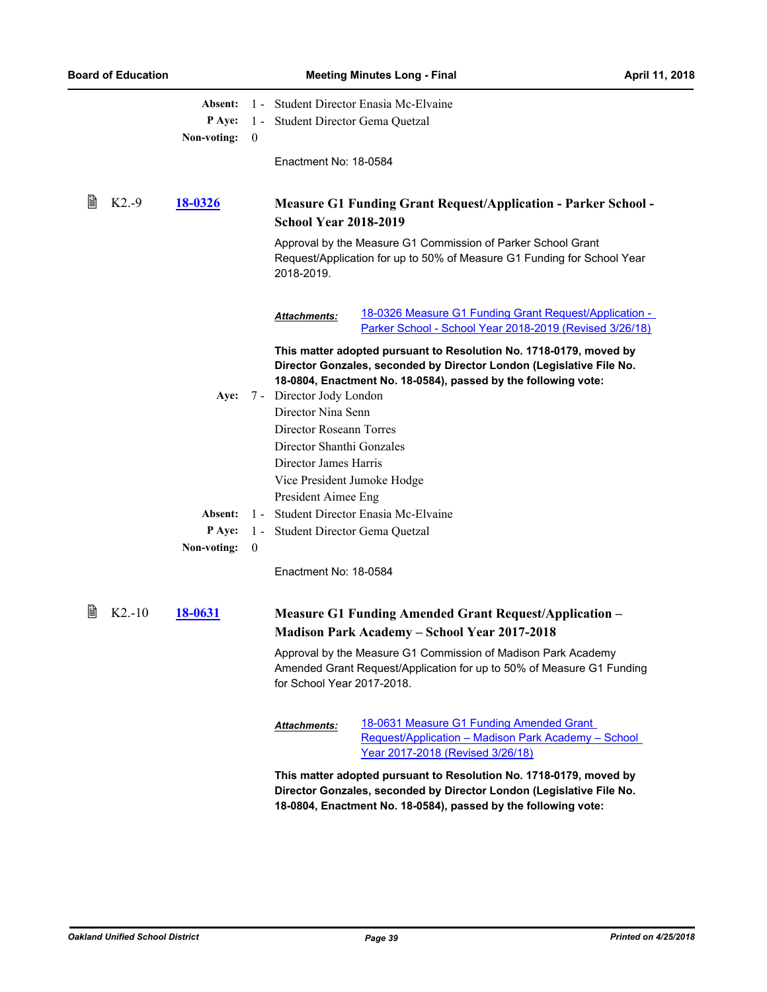|   |           | Absent:        |              | 1 - Student Director Enasia Mc-Elvaine |                                                                                                                                                                                                              |  |
|---|-----------|----------------|--------------|----------------------------------------|--------------------------------------------------------------------------------------------------------------------------------------------------------------------------------------------------------------|--|
|   |           | P Aye:         |              | 1 - Student Director Gema Quetzal      |                                                                                                                                                                                                              |  |
|   |           | Non-voting:    | $\theta$     |                                        |                                                                                                                                                                                                              |  |
|   |           |                |              | Enactment No: 18-0584                  |                                                                                                                                                                                                              |  |
| 閶 | $K2.-9$   | <u>18-0326</u> |              | <b>School Year 2018-2019</b>           | <b>Measure G1 Funding Grant Request/Application - Parker School -</b>                                                                                                                                        |  |
|   |           |                |              |                                        |                                                                                                                                                                                                              |  |
|   |           |                |              | 2018-2019.                             | Approval by the Measure G1 Commission of Parker School Grant<br>Request/Application for up to 50% of Measure G1 Funding for School Year                                                                      |  |
|   |           |                |              | <b>Attachments:</b>                    | 18-0326 Measure G1 Funding Grant Request/Application -<br>Parker School - School Year 2018-2019 (Revised 3/26/18)                                                                                            |  |
|   |           |                |              |                                        | This matter adopted pursuant to Resolution No. 1718-0179, moved by<br>Director Gonzales, seconded by Director London (Legislative File No.<br>18-0804, Enactment No. 18-0584), passed by the following vote: |  |
|   |           | Aye:           |              | 7 - Director Jody London               |                                                                                                                                                                                                              |  |
|   |           |                |              | Director Nina Senn                     |                                                                                                                                                                                                              |  |
|   |           |                |              | Director Roseann Torres                |                                                                                                                                                                                                              |  |
|   |           |                |              | Director Shanthi Gonzales              |                                                                                                                                                                                                              |  |
|   |           |                |              | Director James Harris                  |                                                                                                                                                                                                              |  |
|   |           |                |              | Vice President Jumoke Hodge            |                                                                                                                                                                                                              |  |
|   |           |                |              | President Aimee Eng                    |                                                                                                                                                                                                              |  |
|   |           | Absent:        |              |                                        | 1 - Student Director Enasia Mc-Elvaine                                                                                                                                                                       |  |
|   |           | P Aye:         | $1 -$        | Student Director Gema Quetzal          |                                                                                                                                                                                                              |  |
|   |           | Non-voting:    | $\mathbf{0}$ |                                        |                                                                                                                                                                                                              |  |
|   |           |                |              | Enactment No: 18-0584                  |                                                                                                                                                                                                              |  |
| 閶 | $K2 - 10$ | <u>18-0631</u> |              |                                        | <b>Measure G1 Funding Amended Grant Request/Application -</b><br><b>Madison Park Academy - School Year 2017-2018</b>                                                                                         |  |
|   |           |                |              | for School Year 2017-2018.             | Approval by the Measure G1 Commission of Madison Park Academy<br>Amended Grant Request/Application for up to 50% of Measure G1 Funding                                                                       |  |
|   |           |                |              | Attachments:                           | 18-0631 Measure G1 Funding Amended Grant                                                                                                                                                                     |  |
|   |           |                |              |                                        | Request/Application - Madison Park Academy - School<br>Year 2017-2018 (Revised 3/26/18)                                                                                                                      |  |
|   |           |                |              |                                        | This matter adopted pursuant to Resolution No. 1718-0179, moved by<br>Director Gonzales, seconded by Director London (Legislative File No.<br>18-0804, Enactment No. 18-0584), passed by the following vote: |  |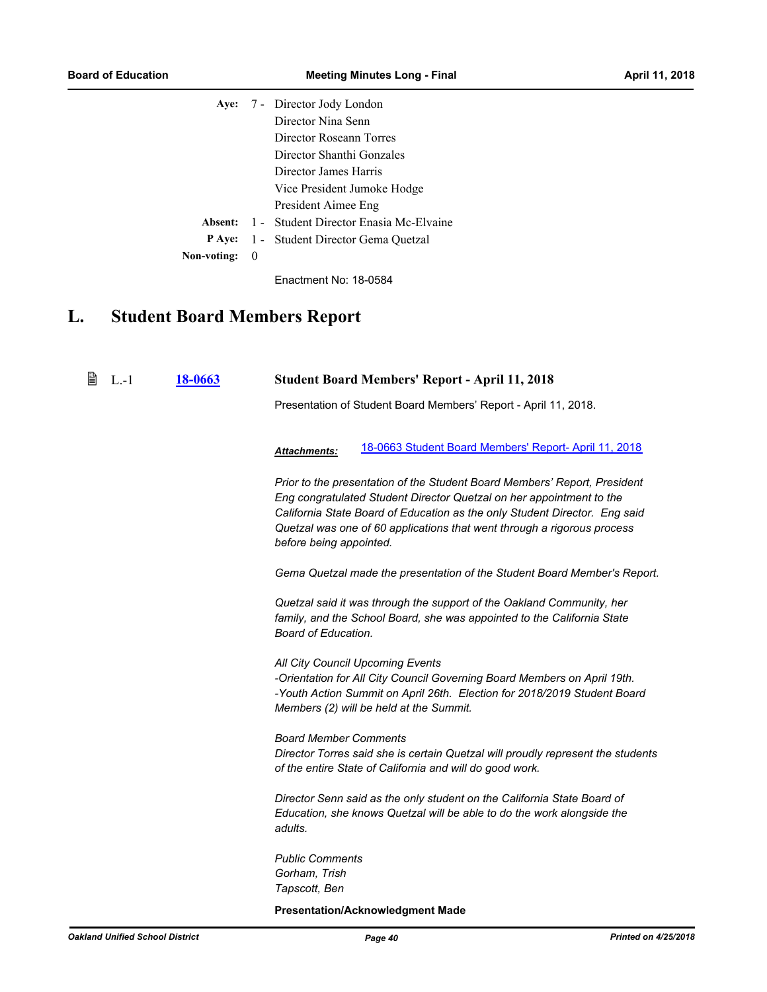|             |     | Aye: 7 - Director Jody London                         |
|-------------|-----|-------------------------------------------------------|
|             |     | Director Nina Senn                                    |
|             |     | Director Roseann Torres                               |
|             |     | Director Shanthi Gonzales                             |
|             |     | Director James Harris                                 |
|             |     | Vice President Jumoke Hodge                           |
|             |     | President Aimee Eng                                   |
|             |     | <b>Absent:</b> 1 - Student Director Enasia Mc-Elvaine |
|             |     | <b>P</b> Aye: 1 - Student Director Gema Quetzal       |
| Non-voting: | - 0 |                                                       |

# **L. Student Board Members Report**

| B | $L-1$ | 18-0663 |                                                          | <b>Student Board Members' Report - April 11, 2018</b>                                                                                                                                                                                                                                                      |
|---|-------|---------|----------------------------------------------------------|------------------------------------------------------------------------------------------------------------------------------------------------------------------------------------------------------------------------------------------------------------------------------------------------------------|
|   |       |         |                                                          | Presentation of Student Board Members' Report - April 11, 2018.                                                                                                                                                                                                                                            |
|   |       |         | <b>Attachments:</b>                                      | 18-0663 Student Board Members' Report- April 11, 2018                                                                                                                                                                                                                                                      |
|   |       |         | before being appointed.                                  | Prior to the presentation of the Student Board Members' Report, President<br>Eng congratulated Student Director Quetzal on her appointment to the<br>California State Board of Education as the only Student Director. Eng said<br>Quetzal was one of 60 applications that went through a rigorous process |
|   |       |         |                                                          | Gema Quetzal made the presentation of the Student Board Member's Report.                                                                                                                                                                                                                                   |
|   |       |         | Board of Education.                                      | Quetzal said it was through the support of the Oakland Community, her<br>family, and the School Board, she was appointed to the California State                                                                                                                                                           |
|   |       |         |                                                          | All City Council Upcoming Events<br>-Orientation for All City Council Governing Board Members on April 19th.<br>-Youth Action Summit on April 26th. Election for 2018/2019 Student Board<br>Members (2) will be held at the Summit.                                                                        |
|   |       |         | <b>Board Member Comments</b>                             | Director Torres said she is certain Quetzal will proudly represent the students<br>of the entire State of California and will do good work.                                                                                                                                                                |
|   |       |         | adults.                                                  | Director Senn said as the only student on the California State Board of<br>Education, she knows Quetzal will be able to do the work alongside the                                                                                                                                                          |
|   |       |         | <b>Public Comments</b><br>Gorham, Trish<br>Tapscott, Ben |                                                                                                                                                                                                                                                                                                            |

### **Presentation/Acknowledgment Made**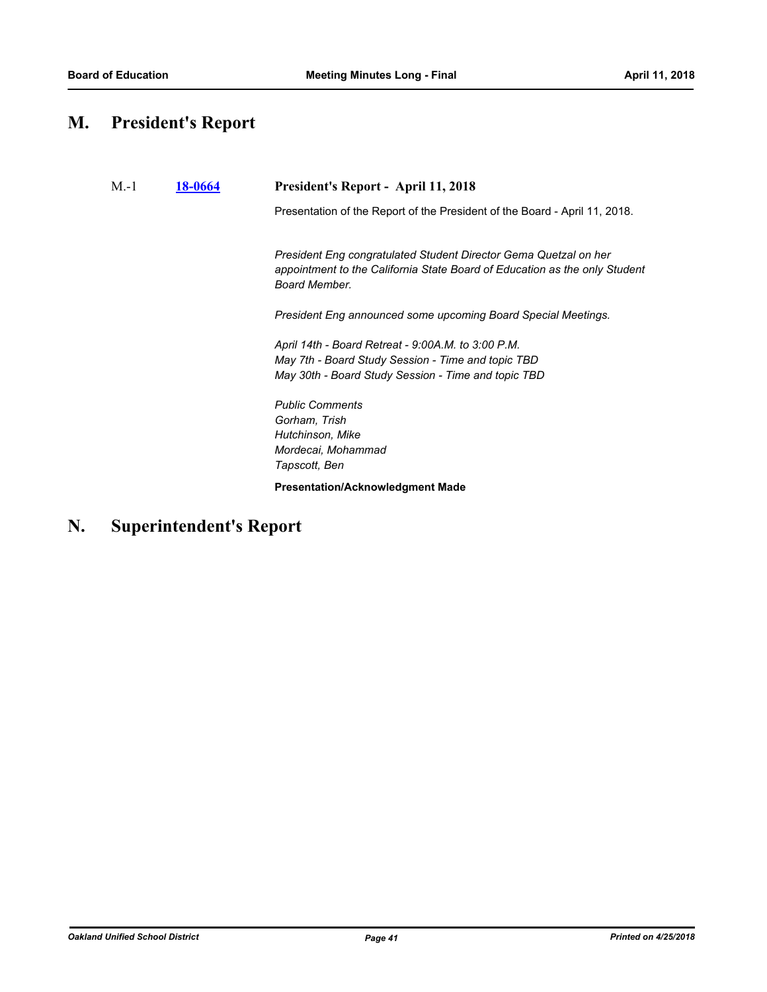# **M. President's Report**

| $M-1$ | <b>18-0664</b> | President's Report - April 11, 2018                                                                                                                             |
|-------|----------------|-----------------------------------------------------------------------------------------------------------------------------------------------------------------|
|       |                | Presentation of the Report of the President of the Board - April 11, 2018.                                                                                      |
|       |                | President Eng congratulated Student Director Gema Quetzal on her<br>appointment to the California State Board of Education as the only Student<br>Board Member. |
|       |                | President Eng announced some upcoming Board Special Meetings.                                                                                                   |
|       |                | April 14th - Board Retreat - 9:00A.M. to 3:00 P.M.<br>May 7th - Board Study Session - Time and topic TBD<br>May 30th - Board Study Session - Time and topic TBD |
|       |                | <b>Public Comments</b><br>Gorham, Trish<br>Hutchinson, Mike<br>Mordecai, Mohammad<br>Tapscott, Ben                                                              |
|       |                | <b>Presentation/Acknowledgment Made</b>                                                                                                                         |

# **N. Superintendent's Report**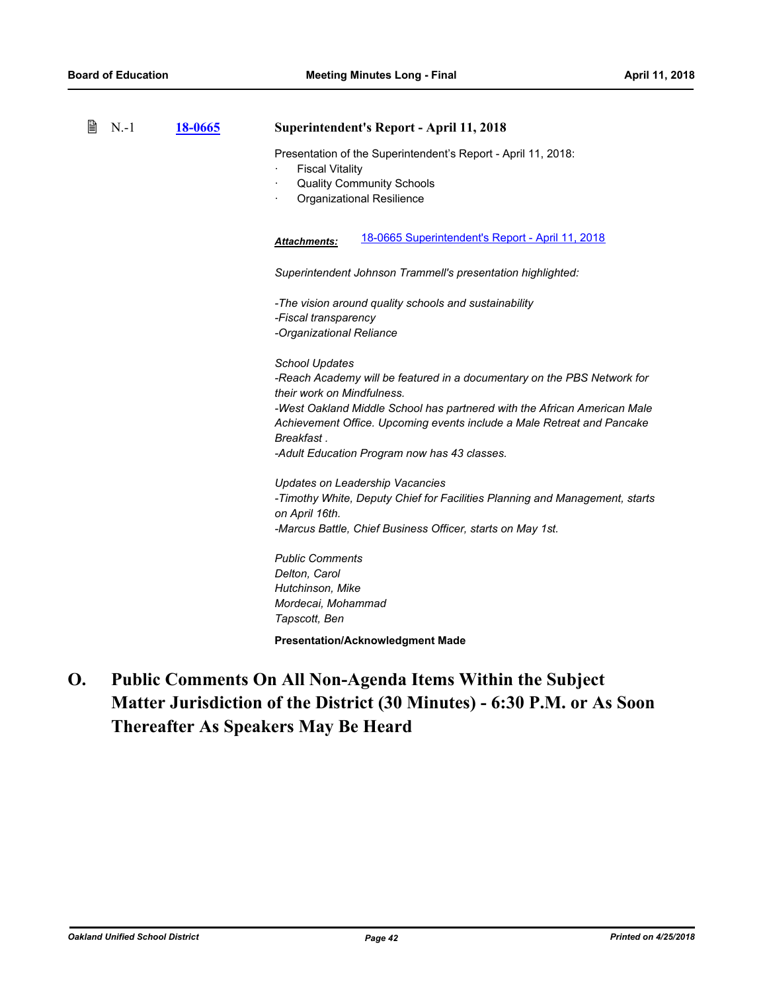| B | $N-1$ | 18-0665 | <b>Superintendent's Report - April 11, 2018</b>                                                                                                                                                                                                                                                                                                    |
|---|-------|---------|----------------------------------------------------------------------------------------------------------------------------------------------------------------------------------------------------------------------------------------------------------------------------------------------------------------------------------------------------|
|   |       |         | Presentation of the Superintendent's Report - April 11, 2018:<br><b>Fiscal Vitality</b><br><b>Quality Community Schools</b><br>Organizational Resilience                                                                                                                                                                                           |
|   |       |         | 18-0665 Superintendent's Report - April 11, 2018<br>Attachments:                                                                                                                                                                                                                                                                                   |
|   |       |         | Superintendent Johnson Trammell's presentation highlighted:                                                                                                                                                                                                                                                                                        |
|   |       |         | -The vision around quality schools and sustainability<br>-Fiscal transparency<br>-Organizational Reliance                                                                                                                                                                                                                                          |
|   |       |         | <b>School Updates</b><br>-Reach Academy will be featured in a documentary on the PBS Network for<br>their work on Mindfulness.<br>-West Oakland Middle School has partnered with the African American Male<br>Achievement Office. Upcoming events include a Male Retreat and Pancake<br>Breakfast.<br>-Adult Education Program now has 43 classes. |
|   |       |         | Updates on Leadership Vacancies<br>-Timothy White, Deputy Chief for Facilities Planning and Management, starts<br>on April 16th.<br>-Marcus Battle, Chief Business Officer, starts on May 1st.                                                                                                                                                     |
|   |       |         | <b>Public Comments</b><br>Delton, Carol<br>Hutchinson, Mike<br>Mordecai, Mohammad<br>Tapscott, Ben                                                                                                                                                                                                                                                 |
|   |       |         | <b>Presentation/Acknowledgment Made</b>                                                                                                                                                                                                                                                                                                            |

**Public Comments On All Non-Agenda Items Within the Subject Matter Jurisdiction of the District (30 Minutes) - 6:30 P.M. or As Soon Thereafter As Speakers May Be Heard O.**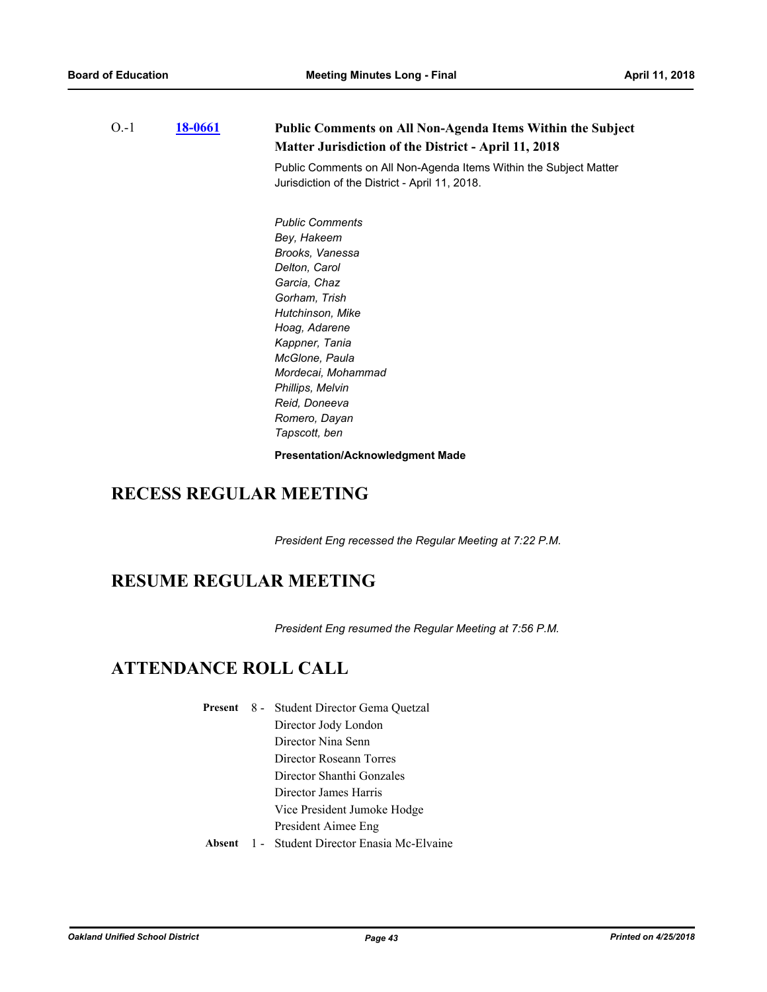| $O.-1$ | <u>18-0661</u> | <b>Public Comments on All Non-Agenda Items Within the Subject</b><br><b>Matter Jurisdiction of the District - April 11, 2018</b><br>Public Comments on All Non-Agenda Items Within the Subject Matter<br>Jurisdiction of the District - April 11, 2018.                          |
|--------|----------------|----------------------------------------------------------------------------------------------------------------------------------------------------------------------------------------------------------------------------------------------------------------------------------|
|        |                | <b>Public Comments</b><br>Bey, Hakeem<br>Brooks, Vanessa<br>Delton, Carol<br>Garcia, Chaz<br>Gorham, Trish<br>Hutchinson, Mike<br>Hoag, Adarene<br>Kappner, Tania<br>McGlone, Paula<br>Mordecai, Mohammad<br>Phillips, Melvin<br>Reid, Doneeva<br>Romero, Dayan<br>Tapscott, ben |
|        |                | <b>Presentation/Acknowledgment Made</b>                                                                                                                                                                                                                                          |

# **RECESS REGULAR MEETING**

*President Eng recessed the Regular Meeting at 7:22 P.M.*

# **RESUME REGULAR MEETING**

*President Eng resumed the Regular Meeting at 7:56 P.M.*

# **ATTENDANCE ROLL CALL**

|  | <b>Present</b> 8 - Student Director Gema Quetzal |
|--|--------------------------------------------------|
|  | Director Jody London                             |
|  | Director Nina Senn                               |
|  | Director Roseann Torres                          |
|  | Director Shanthi Gonzales                        |
|  | Director James Harris                            |
|  | Vice President Jumoke Hodge                      |
|  | President Aimee Eng                              |
|  | Absent 1 - Student Director Enasia Mc-Elvaine    |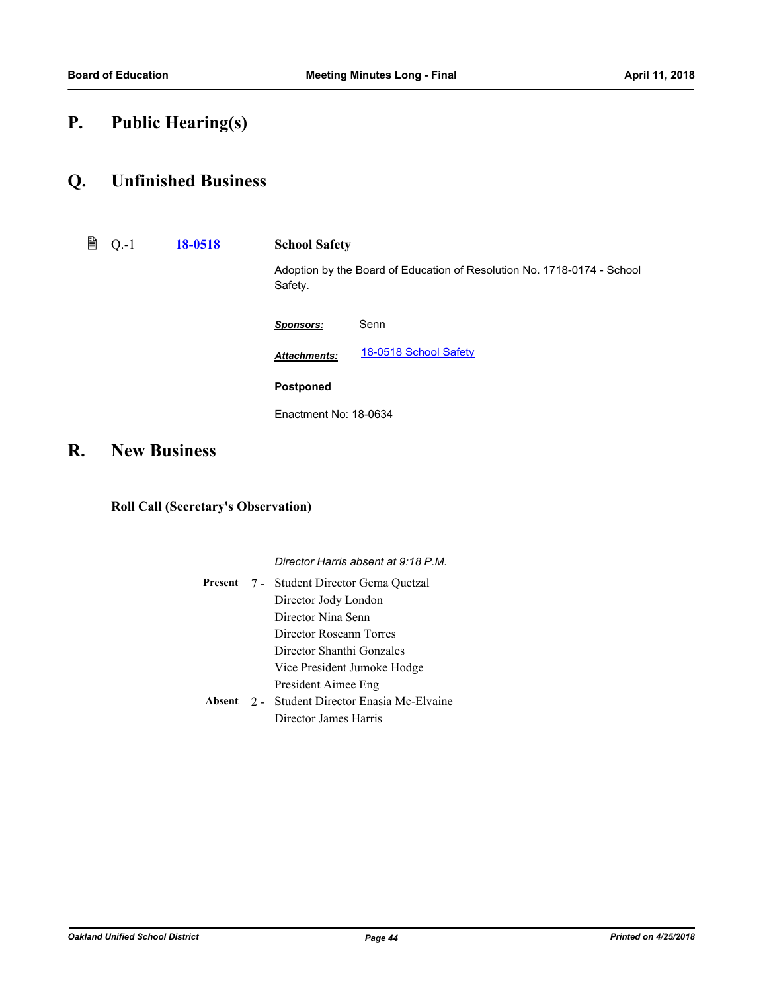# **P. Public Hearing(s)**

## **Q. Unfinished Business**

Q.-1 **[18-0518](http://ousd.legistar.com/gateway.aspx?m=l&id=/matter.aspx?key=42698) School Safety**

Adoption by the Board of Education of Resolution No. 1718-0174 - School Safety.

| <b>Sponsors:</b>      | Senn                  |
|-----------------------|-----------------------|
| <b>Attachments:</b>   | 18-0518 School Safety |
| <b>Postponed</b>      |                       |
| Fnactment No: 18-0634 |                       |

# **R. New Business**

### **Roll Call (Secretary's Observation)**

*Director Harris absent at 9:18 P.M.*

|  | <b>Present</b> 7 - Student Director Gema Quetzal |
|--|--------------------------------------------------|
|  | Director Jody London                             |
|  | Director Nina Senn                               |
|  | Director Roseann Torres                          |
|  | Director Shanthi Gonzales                        |
|  | Vice President Jumoke Hodge                      |
|  | President Aimee Eng                              |
|  | Absent 2 - Student Director Enasia Mc-Elvaine    |
|  | Director James Harris                            |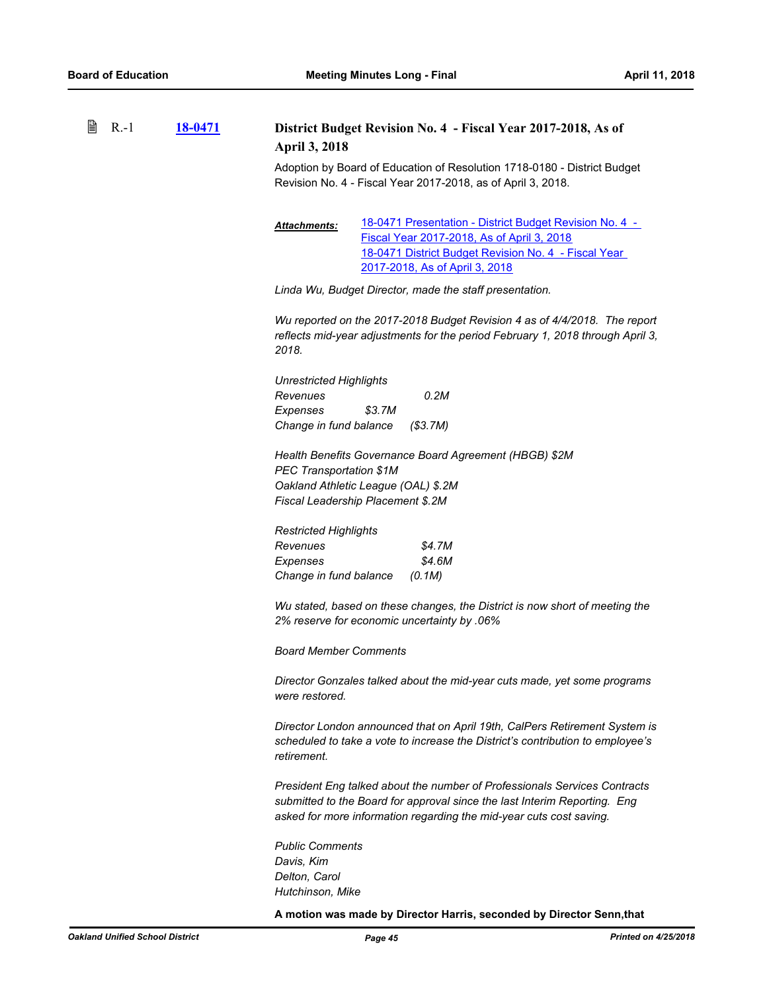| €<br>$R - 1$ | 18-0471 | District Budget Revision No. 4 - Fiscal Year 2017-2018, As of<br><b>April 3, 2018</b>                                                                                                                                         |  |
|--------------|---------|-------------------------------------------------------------------------------------------------------------------------------------------------------------------------------------------------------------------------------|--|
|              |         | Adoption by Board of Education of Resolution 1718-0180 - District Budget<br>Revision No. 4 - Fiscal Year 2017-2018, as of April 3, 2018.                                                                                      |  |
|              |         | 18-0471 Presentation - District Budget Revision No. 4 -<br>Attachments:<br>Fiscal Year 2017-2018, As of April 3, 2018<br>18-0471 District Budget Revision No. 4 - Fiscal Year<br>2017-2018, As of April 3, 2018               |  |
|              |         | Linda Wu, Budget Director, made the staff presentation.                                                                                                                                                                       |  |
|              |         | Wu reported on the 2017-2018 Budget Revision 4 as of 4/4/2018. The report<br>reflects mid-year adjustments for the period February 1, 2018 through April 3,<br>2018.                                                          |  |
|              |         | <b>Unrestricted Highlights</b><br>0.2M<br>Revenues<br>\$3.7M<br>Expenses<br>Change in fund balance<br>(\$3.7M)                                                                                                                |  |
|              |         | Health Benefits Governance Board Agreement (HBGB) \$2M<br><b>PEC Transportation \$1M</b><br>Oakland Athletic League (OAL) \$.2M<br>Fiscal Leadership Placement \$.2M                                                          |  |
|              |         | <b>Restricted Highlights</b><br>Revenues<br>\$4.7M<br>\$4.6M<br>Expenses<br>Change in fund balance<br>(0.1M)                                                                                                                  |  |
|              |         | Wu stated, based on these changes, the District is now short of meeting the<br>2% reserve for economic uncertainty by .06%                                                                                                    |  |
|              |         | <b>Board Member Comments</b>                                                                                                                                                                                                  |  |
|              |         | Director Gonzales talked about the mid-year cuts made, yet some programs<br>were restored.                                                                                                                                    |  |
|              |         | Director London announced that on April 19th, CalPers Retirement System is<br>scheduled to take a vote to increase the District's contribution to employee's<br>retirement.                                                   |  |
|              |         | President Eng talked about the number of Professionals Services Contracts<br>submitted to the Board for approval since the last Interim Reporting. Eng<br>asked for more information regarding the mid-year cuts cost saving. |  |
|              |         | <b>Public Comments</b><br>Davis, Kim<br>Delton, Carol<br>Hutchinson, Mike                                                                                                                                                     |  |
|              |         | A motion was made by Director Harris, seconded by Director Senn, that                                                                                                                                                         |  |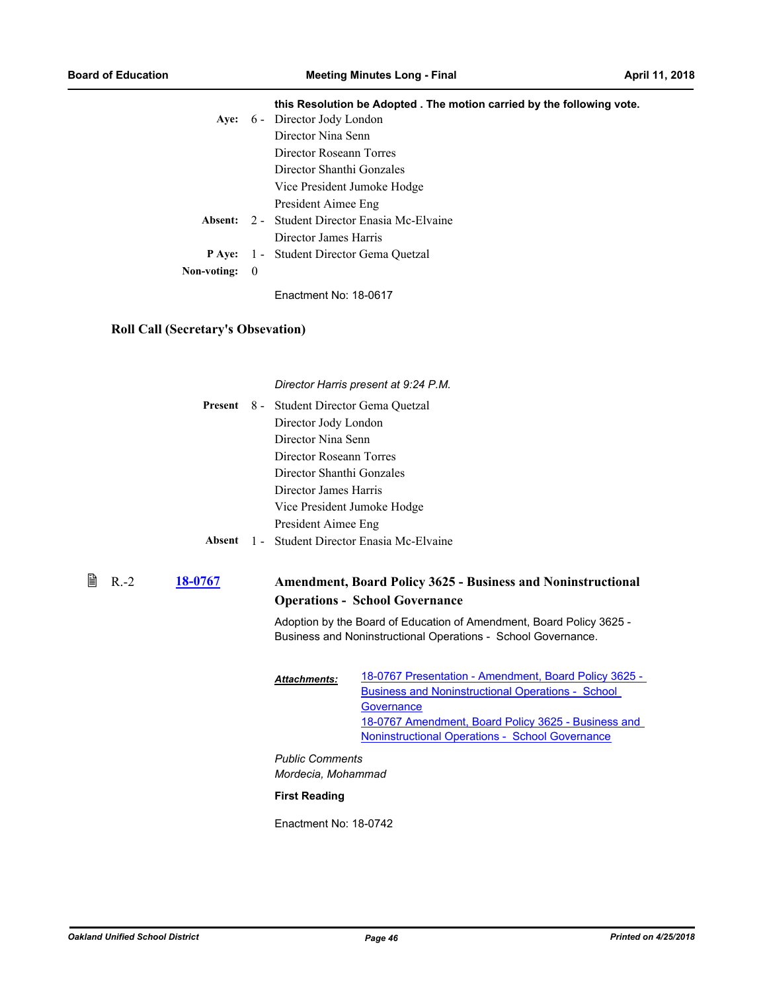|               |     | this Resolution be Adopted. The motion carried by the following vote. |
|---------------|-----|-----------------------------------------------------------------------|
|               |     | Aye: 6 - Director Jody London                                         |
|               |     | Director Nina Senn                                                    |
|               |     | Director Roseann Torres                                               |
|               |     | Director Shanthi Gonzales                                             |
|               |     | Vice President Jumoke Hodge                                           |
|               |     | President Aimee Eng                                                   |
|               |     | <b>Absent:</b> 2 - Student Director Enasia Mc-Elvaine                 |
|               |     | Director James Harris                                                 |
| <b>P</b> Ave: |     | 1 - Student Director Gema Quetzal                                     |
| Non-voting:   | - 0 |                                                                       |
|               |     |                                                                       |

### **Roll Call (Secretary's Obsevation)**

*Director Harris present at 9:24 P.M.*

|  | Present 8 - Student Director Gema Quetzal     |
|--|-----------------------------------------------|
|  | Director Jody London                          |
|  | Director Nina Senn                            |
|  | Director Roseann Torres                       |
|  | Director Shanthi Gonzales                     |
|  | Director James Harris                         |
|  | Vice President Jumoke Hodge                   |
|  | President Aimee Eng                           |
|  | Absent 1 - Student Director Enasia Mc-Elvaine |

#### **[18-0767](http://ousd.legistar.com/gateway.aspx?m=l&id=/matter.aspx?key=42947) Amendment, Board Policy 3625 - Business and Noninstructional Operations - School Governance**  $\mathbb{B}$  R.-2

Adoption by the Board of Education of Amendment, Board Policy 3625 - Business and Noninstructional Operations - School Governance.

| <b>Attachments:</b> | 18-0767 Presentation - Amendment, Board Policy 3625 -    |
|---------------------|----------------------------------------------------------|
|                     | <b>Business and Noninstructional Operations - School</b> |
|                     | Governance                                               |
|                     | 18-0767 Amendment, Board Policy 3625 - Business and      |
|                     | <b>Noninstructional Operations - School Governance</b>   |
|                     |                                                          |

*Public Comments Mordecia, Mohammad*

#### **First Reading**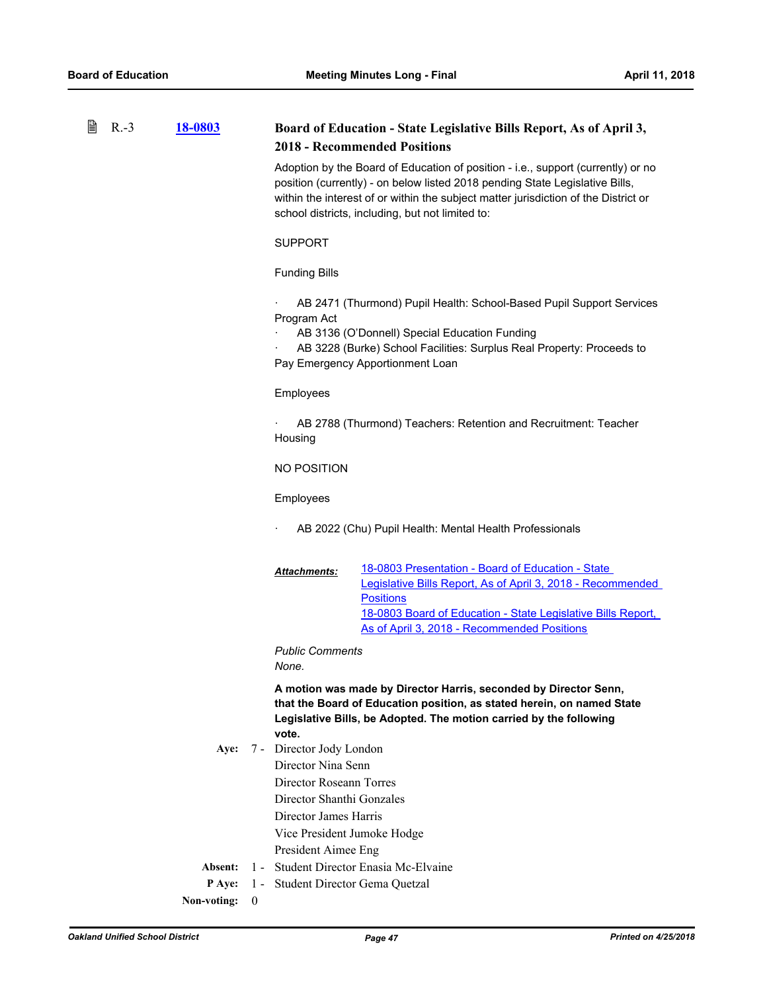| 閶 | $R.-3$ | 18-0803     |          |                                               | Board of Education - State Legislative Bills Report, As of April 3,<br><b>2018 - Recommended Positions</b>                                                                                                                                                                                                  |
|---|--------|-------------|----------|-----------------------------------------------|-------------------------------------------------------------------------------------------------------------------------------------------------------------------------------------------------------------------------------------------------------------------------------------------------------------|
|   |        |             |          |                                               | Adoption by the Board of Education of position - i.e., support (currently) or no<br>position (currently) - on below listed 2018 pending State Legislative Bills,<br>within the interest of or within the subject matter jurisdiction of the District or<br>school districts, including, but not limited to: |
|   |        |             |          | <b>SUPPORT</b>                                |                                                                                                                                                                                                                                                                                                             |
|   |        |             |          | <b>Funding Bills</b>                          |                                                                                                                                                                                                                                                                                                             |
|   |        |             |          | Program Act                                   | AB 2471 (Thurmond) Pupil Health: School-Based Pupil Support Services<br>AB 3136 (O'Donnell) Special Education Funding<br>AB 3228 (Burke) School Facilities: Surplus Real Property: Proceeds to<br>Pay Emergency Apportionment Loan                                                                          |
|   |        |             |          | Employees                                     |                                                                                                                                                                                                                                                                                                             |
|   |        |             |          | Housing                                       | AB 2788 (Thurmond) Teachers: Retention and Recruitment: Teacher                                                                                                                                                                                                                                             |
|   |        |             |          | NO POSITION                                   |                                                                                                                                                                                                                                                                                                             |
|   |        |             |          | Employees                                     |                                                                                                                                                                                                                                                                                                             |
|   |        |             |          |                                               | AB 2022 (Chu) Pupil Health: Mental Health Professionals                                                                                                                                                                                                                                                     |
|   |        |             |          | Attachments:                                  | 18-0803 Presentation - Board of Education - State<br>Legislative Bills Report, As of April 3, 2018 - Recommended<br><b>Positions</b><br>18-0803 Board of Education - State Legislative Bills Report,<br>As of April 3, 2018 - Recommended Positions                                                         |
|   |        |             |          | <b>Public Comments</b><br>None.               |                                                                                                                                                                                                                                                                                                             |
|   |        |             |          | vote.                                         | A motion was made by Director Harris, seconded by Director Senn,<br>that the Board of Education position, as stated herein, on named State<br>Legislative Bills, be Adopted. The motion carried by the following                                                                                            |
|   |        | Aye:        |          | 7 - Director Jody London                      |                                                                                                                                                                                                                                                                                                             |
|   |        |             |          | Director Nina Senn<br>Director Roseann Torres |                                                                                                                                                                                                                                                                                                             |
|   |        |             |          | Director Shanthi Gonzales                     |                                                                                                                                                                                                                                                                                                             |
|   |        |             |          | Director James Harris                         |                                                                                                                                                                                                                                                                                                             |
|   |        |             |          | Vice President Jumoke Hodge                   |                                                                                                                                                                                                                                                                                                             |
|   |        |             |          | President Aimee Eng                           |                                                                                                                                                                                                                                                                                                             |
|   |        | Absent:     |          |                                               | 1 - Student Director Enasia Mc-Elvaine                                                                                                                                                                                                                                                                      |
|   |        | P Aye:      |          | 1 - Student Director Gema Quetzal             |                                                                                                                                                                                                                                                                                                             |
|   |        | Non-voting: | $\theta$ |                                               |                                                                                                                                                                                                                                                                                                             |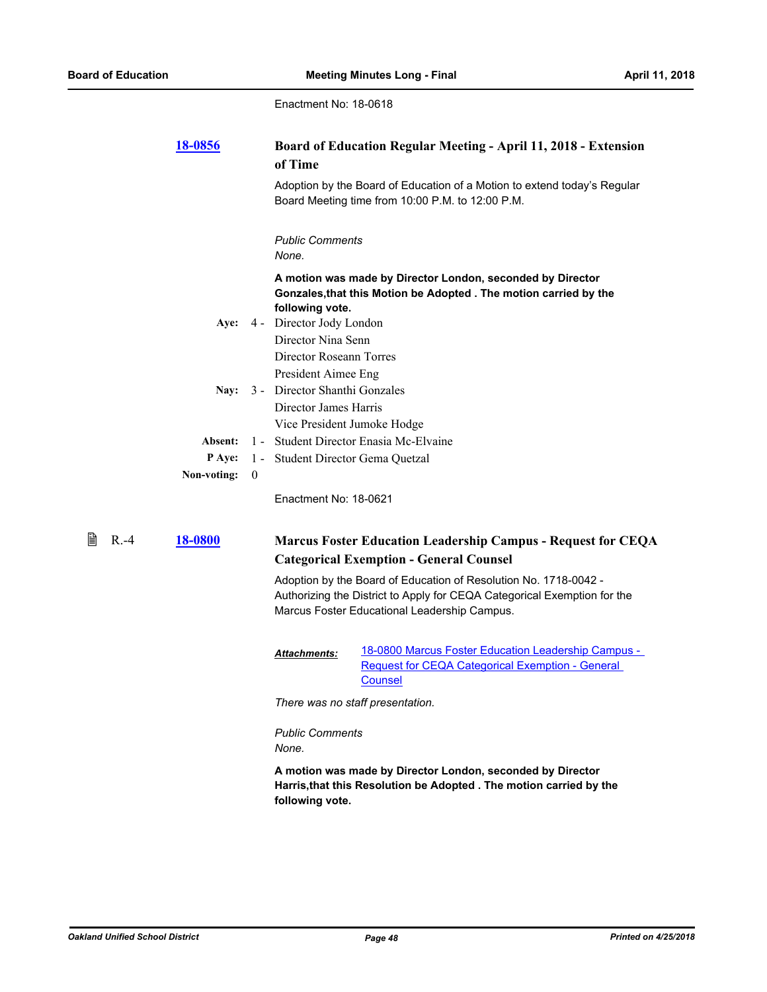|   |        | <u>18-0856</u> |                | of Time                           | Board of Education Regular Meeting - April 11, 2018 - Extension                                                                                                                              |
|---|--------|----------------|----------------|-----------------------------------|----------------------------------------------------------------------------------------------------------------------------------------------------------------------------------------------|
|   |        |                |                |                                   | Adoption by the Board of Education of a Motion to extend today's Regular<br>Board Meeting time from 10:00 P.M. to 12:00 P.M.                                                                 |
|   |        |                |                | <b>Public Comments</b><br>None.   |                                                                                                                                                                                              |
|   |        |                |                | following vote.                   | A motion was made by Director London, seconded by Director<br>Gonzales, that this Motion be Adopted . The motion carried by the                                                              |
|   |        | Aye:           |                | 4 - Director Jody London          |                                                                                                                                                                                              |
|   |        |                |                | Director Nina Senn                |                                                                                                                                                                                              |
|   |        |                |                | Director Roseann Torres           |                                                                                                                                                                                              |
|   |        |                |                | President Aimee Eng               |                                                                                                                                                                                              |
|   |        | Nay:           |                | 3 - Director Shanthi Gonzales     |                                                                                                                                                                                              |
|   |        |                |                | Director James Harris             |                                                                                                                                                                                              |
|   |        | Absent:        |                | Vice President Jumoke Hodge       | 1 - Student Director Enasia Mc-Elvaine                                                                                                                                                       |
|   |        | P Aye:         |                | 1 - Student Director Gema Quetzal |                                                                                                                                                                                              |
|   |        | Non-voting:    | $\overline{0}$ |                                   |                                                                                                                                                                                              |
|   |        |                |                | Enactment No: 18-0621             |                                                                                                                                                                                              |
| 誾 | $R.-4$ | 18-0800        |                |                                   | <b>Marcus Foster Education Leadership Campus - Request for CEQA</b><br><b>Categorical Exemption - General Counsel</b>                                                                        |
|   |        |                |                |                                   | Adoption by the Board of Education of Resolution No. 1718-0042 -<br>Authorizing the District to Apply for CEQA Categorical Exemption for the<br>Marcus Foster Educational Leadership Campus. |
|   |        |                |                | <b>Attachments:</b>               | 18-0800 Marcus Foster Education Leadership Campus -<br><b>Request for CEQA Categorical Exemption - General</b><br>Counsel                                                                    |
|   |        |                |                |                                   | There was no staff presentation.                                                                                                                                                             |
|   |        |                |                | <b>Public Comments</b><br>None.   |                                                                                                                                                                                              |
|   |        |                |                | following vote.                   | A motion was made by Director London, seconded by Director<br>Harris, that this Resolution be Adopted . The motion carried by the                                                            |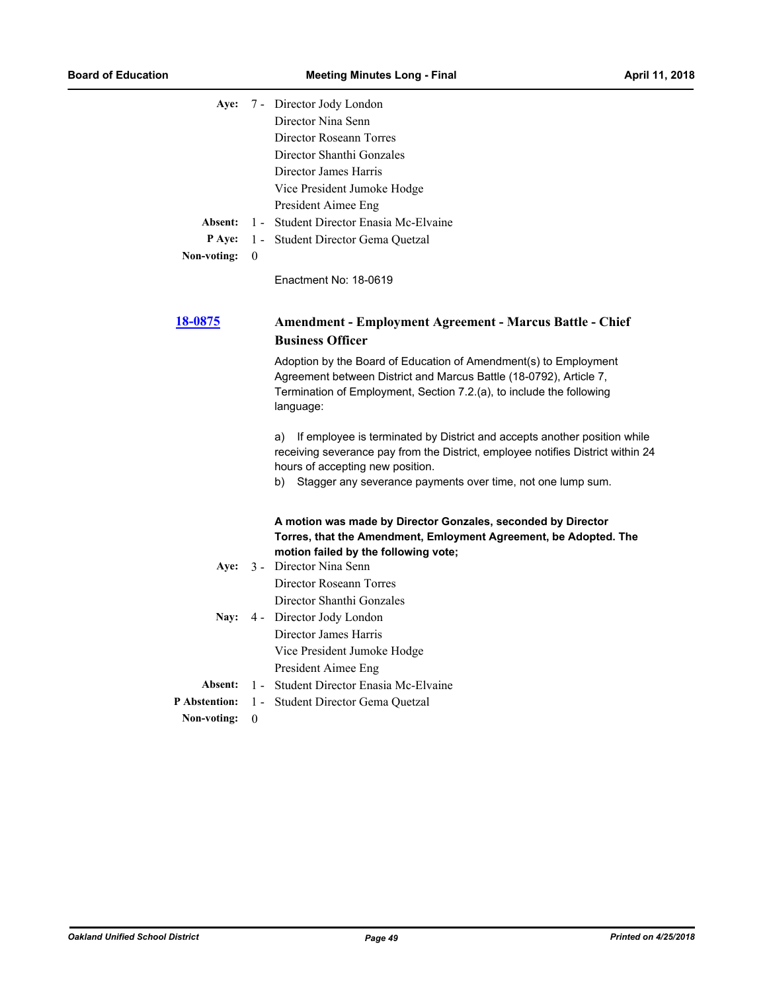|                      |          | Aye: 7 - Director Jody London                                                                                                                                                                                               |
|----------------------|----------|-----------------------------------------------------------------------------------------------------------------------------------------------------------------------------------------------------------------------------|
|                      |          | Director Nina Senn                                                                                                                                                                                                          |
|                      |          | Director Roseann Torres                                                                                                                                                                                                     |
|                      |          | Director Shanthi Gonzales                                                                                                                                                                                                   |
|                      |          | Director James Harris                                                                                                                                                                                                       |
|                      |          | Vice President Jumoke Hodge                                                                                                                                                                                                 |
|                      |          | President Aimee Eng                                                                                                                                                                                                         |
| Absent:              |          | 1 - Student Director Enasia Mc-Elvaine                                                                                                                                                                                      |
| <b>P</b> Aye:        |          | 1 - Student Director Gema Quetzal                                                                                                                                                                                           |
| Non-voting:          | $\theta$ |                                                                                                                                                                                                                             |
|                      |          | Enactment No: 18-0619                                                                                                                                                                                                       |
| <u>18-0875</u>       |          | <b>Amendment - Employment Agreement - Marcus Battle - Chief</b>                                                                                                                                                             |
|                      |          | <b>Business Officer</b>                                                                                                                                                                                                     |
|                      |          | Adoption by the Board of Education of Amendment(s) to Employment<br>Agreement between District and Marcus Battle (18-0792), Article 7,<br>Termination of Employment, Section 7.2.(a), to include the following<br>language: |
|                      |          | If employee is terminated by District and accepts another position while<br>a)<br>receiving severance pay from the District, employee notifies District within 24<br>hours of accepting new position.                       |
|                      |          | Stagger any severance payments over time, not one lump sum.<br>b)                                                                                                                                                           |
|                      |          | A motion was made by Director Gonzales, seconded by Director<br>Torres, that the Amendment, Emloyment Agreement, be Adopted. The<br>motion failed by the following vote;                                                    |
| Aye:                 |          | 3 - Director Nina Senn                                                                                                                                                                                                      |
|                      |          | Director Roseann Torres                                                                                                                                                                                                     |
|                      |          | Director Shanthi Gonzales                                                                                                                                                                                                   |
| Nay:                 |          | 4 - Director Jody London                                                                                                                                                                                                    |
|                      |          | Director James Harris                                                                                                                                                                                                       |
|                      |          | Vice President Jumoke Hodge                                                                                                                                                                                                 |
|                      |          | President Aimee Eng                                                                                                                                                                                                         |
| Absent:              | $1 -$    | Student Director Enasia Mc-Elvaine                                                                                                                                                                                          |
| <b>P</b> Abstention: | $1 -$    | Student Director Gema Quetzal                                                                                                                                                                                               |
| Non-voting:          | $\theta$ |                                                                                                                                                                                                                             |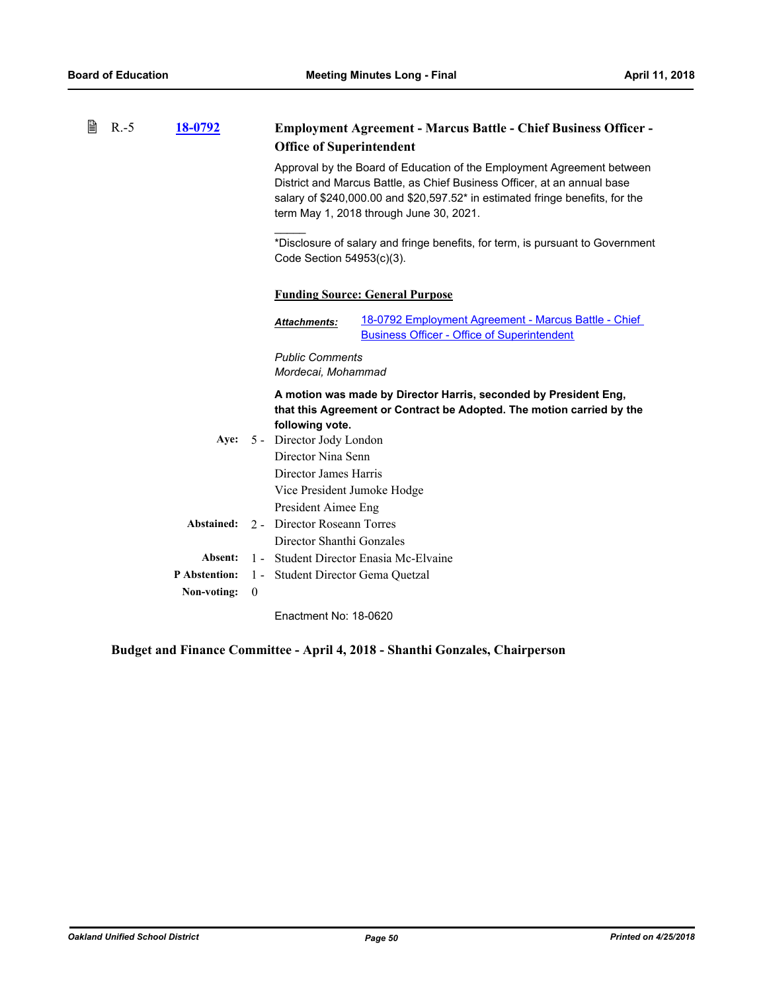| B | $R.-5$ | 18-0792              |          | <b>Employment Agreement - Marcus Battle - Chief Business Officer -</b>                                                                                                                                                                                                         |
|---|--------|----------------------|----------|--------------------------------------------------------------------------------------------------------------------------------------------------------------------------------------------------------------------------------------------------------------------------------|
|   |        |                      |          | <b>Office of Superintendent</b>                                                                                                                                                                                                                                                |
|   |        |                      |          | Approval by the Board of Education of the Employment Agreement between<br>District and Marcus Battle, as Chief Business Officer, at an annual base<br>salary of \$240,000.00 and \$20,597.52* in estimated fringe benefits, for the<br>term May 1, 2018 through June 30, 2021. |
|   |        |                      |          | *Disclosure of salary and fringe benefits, for term, is pursuant to Government<br>Code Section 54953(c)(3).                                                                                                                                                                    |
|   |        |                      |          | <b>Funding Source: General Purpose</b>                                                                                                                                                                                                                                         |
|   |        |                      |          | 18-0792 Employment Agreement - Marcus Battle - Chief<br><b>Attachments:</b><br><b>Business Officer - Office of Superintendent</b>                                                                                                                                              |
|   |        |                      |          | <b>Public Comments</b><br>Mordecai, Mohammad                                                                                                                                                                                                                                   |
|   |        |                      |          | A motion was made by Director Harris, seconded by President Eng,<br>that this Agreement or Contract be Adopted. The motion carried by the<br>following vote.                                                                                                                   |
|   |        | Aye:                 |          | 5 - Director Jody London                                                                                                                                                                                                                                                       |
|   |        |                      |          | Director Nina Senn                                                                                                                                                                                                                                                             |
|   |        |                      |          | Director James Harris                                                                                                                                                                                                                                                          |
|   |        |                      |          | Vice President Jumoke Hodge                                                                                                                                                                                                                                                    |
|   |        |                      |          | President Aimee Eng                                                                                                                                                                                                                                                            |
|   |        | Abstained:           |          | 2 - Director Roseann Torres                                                                                                                                                                                                                                                    |
|   |        |                      |          | Director Shanthi Gonzales                                                                                                                                                                                                                                                      |
|   |        | Absent:              | $1 -$    | Student Director Enasia Mc-Elvaine                                                                                                                                                                                                                                             |
|   |        | <b>P</b> Abstention: | $1 -$    | Student Director Gema Quetzal                                                                                                                                                                                                                                                  |
|   |        | Non-voting:          | $\theta$ |                                                                                                                                                                                                                                                                                |
|   |        |                      |          | Enactment No: 18-0620                                                                                                                                                                                                                                                          |

**Budget and Finance Committee - April 4, 2018 - Shanthi Gonzales, Chairperson**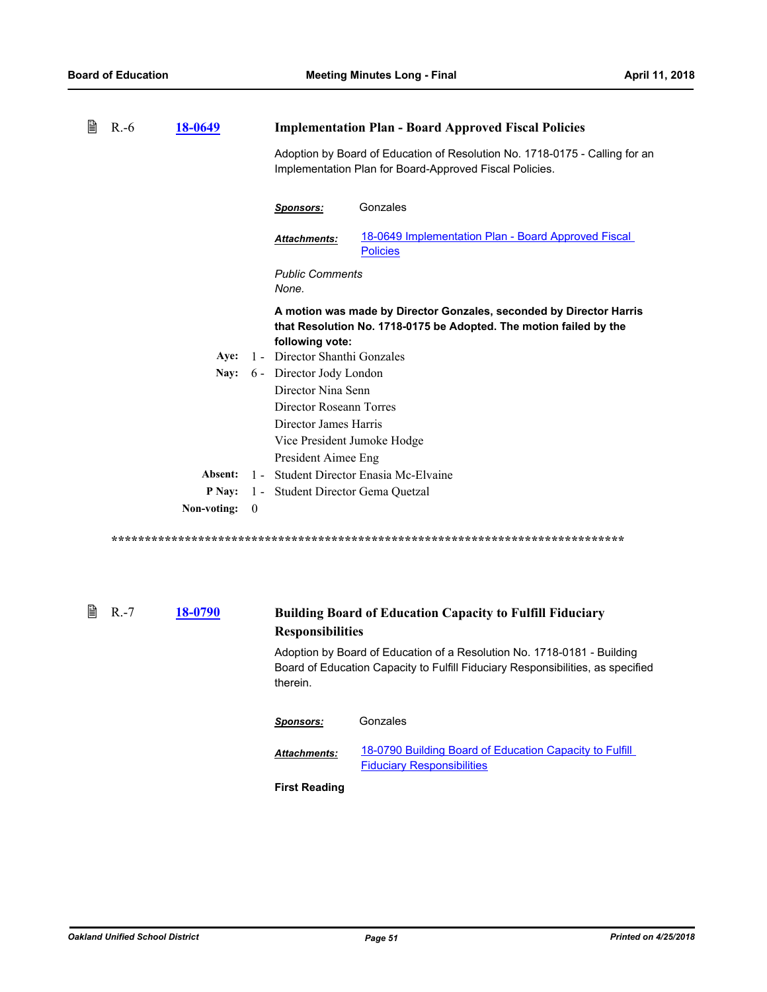| 閆 | $R.-6$ | 18-0649     |          | <b>Implementation Plan - Board Approved Fiscal Policies</b>                                                                                                  |
|---|--------|-------------|----------|--------------------------------------------------------------------------------------------------------------------------------------------------------------|
|   |        |             |          | Adoption by Board of Education of Resolution No. 1718-0175 - Calling for an<br>Implementation Plan for Board-Approved Fiscal Policies.                       |
|   |        |             |          | Gonzales<br><b>Sponsors:</b>                                                                                                                                 |
|   |        |             |          | 18-0649 Implementation Plan - Board Approved Fiscal<br><b>Attachments:</b><br><b>Policies</b>                                                                |
|   |        |             |          | <b>Public Comments</b><br>None.                                                                                                                              |
|   |        |             |          | A motion was made by Director Gonzales, seconded by Director Harris<br>that Resolution No. 1718-0175 be Adopted. The motion failed by the<br>following vote: |
|   |        | Ave:        |          | 1 - Director Shanthi Gonzales                                                                                                                                |
|   |        | Nay:        |          | 6 - Director Jody London                                                                                                                                     |
|   |        |             |          | Director Nina Senn                                                                                                                                           |
|   |        |             |          | Director Roseann Torres                                                                                                                                      |
|   |        |             |          | Director James Harris                                                                                                                                        |
|   |        |             |          | Vice President Jumoke Hodge                                                                                                                                  |
|   |        |             |          | President Aimee Eng                                                                                                                                          |
|   |        | Absent:     |          | 1 - Student Director Enasia Mc-Elvaine                                                                                                                       |
|   |        | P Nav:      |          | 1 - Student Director Gema Quetzal                                                                                                                            |
|   |        | Non-voting: | $\theta$ |                                                                                                                                                              |

#### **[18-0790](http://ousd.legistar.com/gateway.aspx?m=l&id=/matter.aspx?key=42970) Building Board of Education Capacity to Fulfill Fiduciary Responsibilities ■** R.-7

Adoption by Board of Education of a Resolution No. 1718-0181 - Building Board of Education Capacity to Fulfill Fiduciary Responsibilities, as specified therein.

| Sponsors:            | Gonzales                                                                                     |
|----------------------|----------------------------------------------------------------------------------------------|
| <b>Attachments:</b>  | 18-0790 Building Board of Education Capacity to Fulfill<br><b>Fiduciary Responsibilities</b> |
| <b>First Reading</b> |                                                                                              |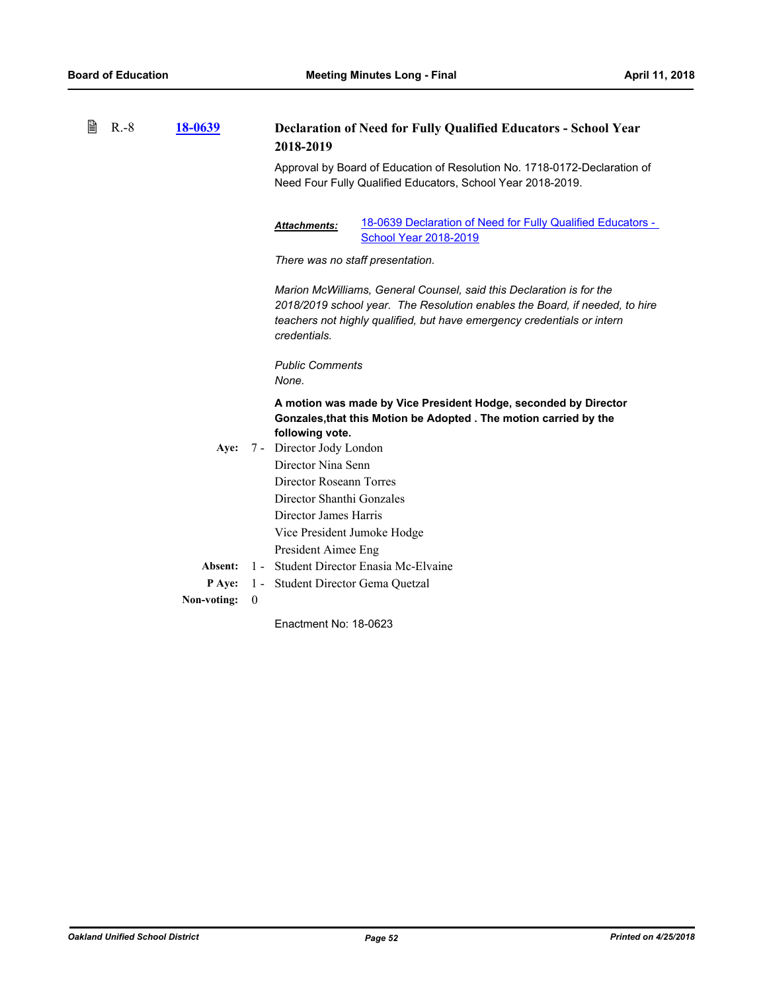| 閆 | $R.-8$ | 18-0639     |          | <b>Declaration of Need for Fully Qualified Educators - School Year</b><br>2018-2019<br>Approval by Board of Education of Resolution No. 1718-0172-Declaration of<br>Need Four Fully Qualified Educators, School Year 2018-2019.                |  |
|---|--------|-------------|----------|------------------------------------------------------------------------------------------------------------------------------------------------------------------------------------------------------------------------------------------------|--|
|   |        |             |          | 18-0639 Declaration of Need for Fully Qualified Educators -<br><b>Attachments:</b><br><b>School Year 2018-2019</b><br>There was no staff presentation.                                                                                         |  |
|   |        |             |          | Marion McWilliams, General Counsel, said this Declaration is for the<br>2018/2019 school year. The Resolution enables the Board, if needed, to hire<br>teachers not highly qualified, but have emergency credentials or intern<br>credentials. |  |
|   |        |             |          | <b>Public Comments</b><br>None.                                                                                                                                                                                                                |  |
|   |        |             |          | A motion was made by Vice President Hodge, seconded by Director<br>Gonzales, that this Motion be Adopted . The motion carried by the<br>following vote.                                                                                        |  |
|   |        | Aye:        |          | 7 - Director Jody London<br>Director Nina Senn<br>Director Roseann Torres<br>Director Shanthi Gonzales                                                                                                                                         |  |
|   |        |             |          | Director James Harris<br>Vice President Jumoke Hodge<br>President Aimee Eng                                                                                                                                                                    |  |
|   |        | Absent:     |          | 1 - Student Director Enasia Mc-Elvaine                                                                                                                                                                                                         |  |
|   |        | P Aye:      |          | 1 - Student Director Gema Quetzal                                                                                                                                                                                                              |  |
|   |        | Non-voting: | $\theta$ |                                                                                                                                                                                                                                                |  |
|   |        |             |          |                                                                                                                                                                                                                                                |  |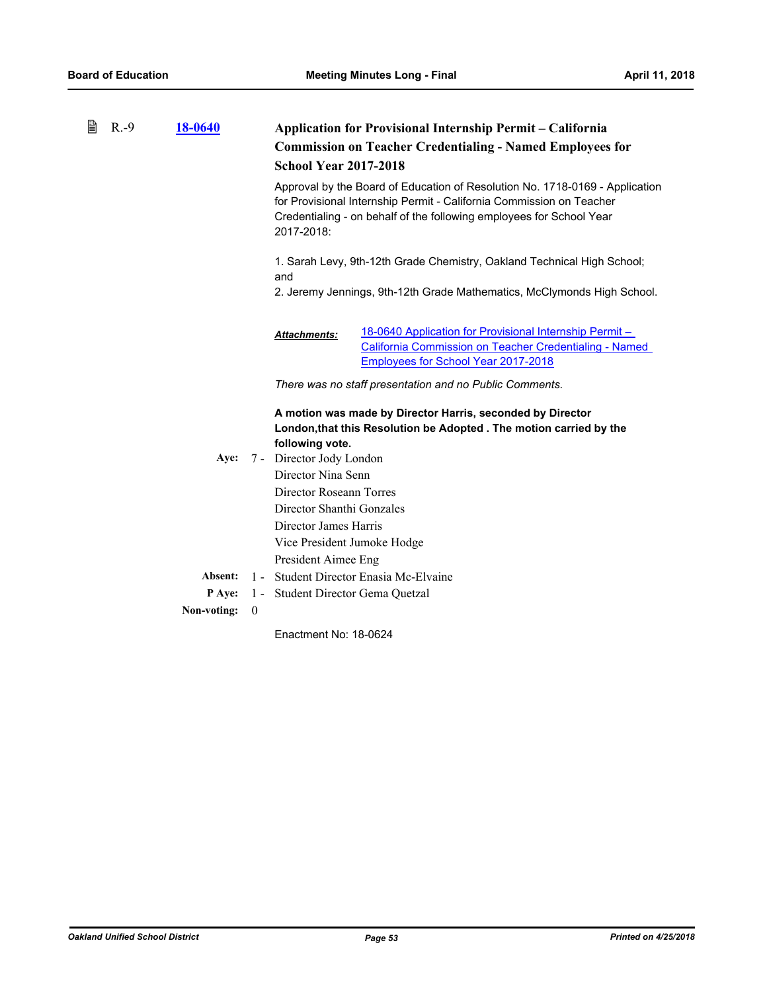| 閶 | $R.-9$ | <b>18-0640</b> |          | Application for Provisional Internship Permit - California<br><b>Commission on Teacher Credentialing - Named Employees for</b><br><b>School Year 2017-2018</b>                                                                             |
|---|--------|----------------|----------|--------------------------------------------------------------------------------------------------------------------------------------------------------------------------------------------------------------------------------------------|
|   |        |                |          | Approval by the Board of Education of Resolution No. 1718-0169 - Application<br>for Provisional Internship Permit - California Commission on Teacher<br>Credentialing - on behalf of the following employees for School Year<br>2017-2018: |
|   |        |                |          | 1. Sarah Levy, 9th-12th Grade Chemistry, Oakland Technical High School;<br>and<br>2. Jeremy Jennings, 9th-12th Grade Mathematics, McClymonds High School.                                                                                  |
|   |        |                |          | 18-0640 Application for Provisional Internship Permit -<br><b>Attachments:</b><br><b>California Commission on Teacher Credentialing - Named</b><br><b>Employees for School Year 2017-2018</b>                                              |
|   |        |                |          | There was no staff presentation and no Public Comments.                                                                                                                                                                                    |
|   |        |                |          | A motion was made by Director Harris, seconded by Director<br>London, that this Resolution be Adopted. The motion carried by the<br>following vote.                                                                                        |
|   |        | Aye:           |          | 7 - Director Jody London                                                                                                                                                                                                                   |
|   |        |                |          | Director Nina Senn                                                                                                                                                                                                                         |
|   |        |                |          | Director Roseann Torres                                                                                                                                                                                                                    |
|   |        |                |          | Director Shanthi Gonzales                                                                                                                                                                                                                  |
|   |        |                |          | Director James Harris                                                                                                                                                                                                                      |
|   |        |                |          | Vice President Jumoke Hodge<br>President Aimee Eng                                                                                                                                                                                         |
|   |        | Absent:        |          | 1 - Student Director Enasia Mc-Elvaine                                                                                                                                                                                                     |
|   |        | P Aye:         |          | 1 - Student Director Gema Quetzal                                                                                                                                                                                                          |
|   |        | Non-voting:    | $\theta$ |                                                                                                                                                                                                                                            |
|   |        |                |          | Enactment No: 18-0624                                                                                                                                                                                                                      |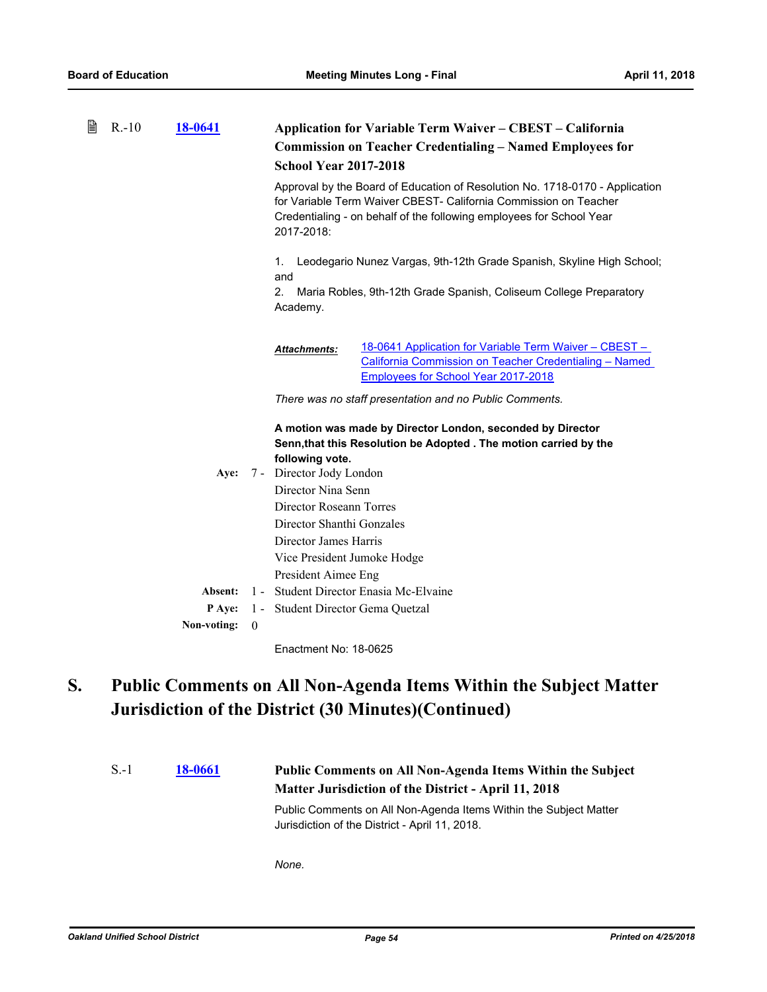| B | $R - 10$ | 18-0641       |                  | <b>Application for Variable Term Waiver - CBEST - California</b>                                                                                                                                                                       |
|---|----------|---------------|------------------|----------------------------------------------------------------------------------------------------------------------------------------------------------------------------------------------------------------------------------------|
|   |          |               |                  | <b>Commission on Teacher Credentialing - Named Employees for</b>                                                                                                                                                                       |
|   |          |               |                  | <b>School Year 2017-2018</b>                                                                                                                                                                                                           |
|   |          |               |                  | Approval by the Board of Education of Resolution No. 1718-0170 - Application<br>for Variable Term Waiver CBEST- California Commission on Teacher<br>Credentialing - on behalf of the following employees for School Year<br>2017-2018: |
|   |          |               |                  | Leodegario Nunez Vargas, 9th-12th Grade Spanish, Skyline High School;<br>1.<br>and                                                                                                                                                     |
|   |          |               |                  | 2.<br>Maria Robles, 9th-12th Grade Spanish, Coliseum College Preparatory<br>Academy.                                                                                                                                                   |
|   |          |               |                  | 18-0641 Application for Variable Term Waiver - CBEST -<br><b>Attachments:</b><br>California Commission on Teacher Credentialing - Named<br><b>Employees for School Year 2017-2018</b>                                                  |
|   |          |               |                  | There was no staff presentation and no Public Comments.                                                                                                                                                                                |
|   |          |               |                  | A motion was made by Director London, seconded by Director<br>Senn, that this Resolution be Adopted . The motion carried by the<br>following vote.                                                                                     |
|   |          | Aye:          |                  | 7 - Director Jody London                                                                                                                                                                                                               |
|   |          |               |                  | Director Nina Senn                                                                                                                                                                                                                     |
|   |          |               |                  | Director Roseann Torres<br>Director Shanthi Gonzales                                                                                                                                                                                   |
|   |          |               |                  | Director James Harris                                                                                                                                                                                                                  |
|   |          |               |                  | Vice President Jumoke Hodge                                                                                                                                                                                                            |
|   |          |               |                  | President Aimee Eng                                                                                                                                                                                                                    |
|   |          | Absent:       |                  | 1 - Student Director Enasia Mc-Elvaine                                                                                                                                                                                                 |
|   |          | <b>P</b> Aye: |                  | 1 - Student Director Gema Quetzal                                                                                                                                                                                                      |
|   |          | Non-voting:   | $\boldsymbol{0}$ |                                                                                                                                                                                                                                        |

### **Public Comments on All Non-Agenda Items Within the Subject Matter Jurisdiction of the District (30 Minutes)(Continued) S.**

```
18-0661 Public Comments on All Non-Agenda Items Within the Subject 
                          Matter Jurisdiction of the District - April 11, 2018
S.-1
```
Public Comments on All Non-Agenda Items Within the Subject Matter Jurisdiction of the District - April 11, 2018.

*None.*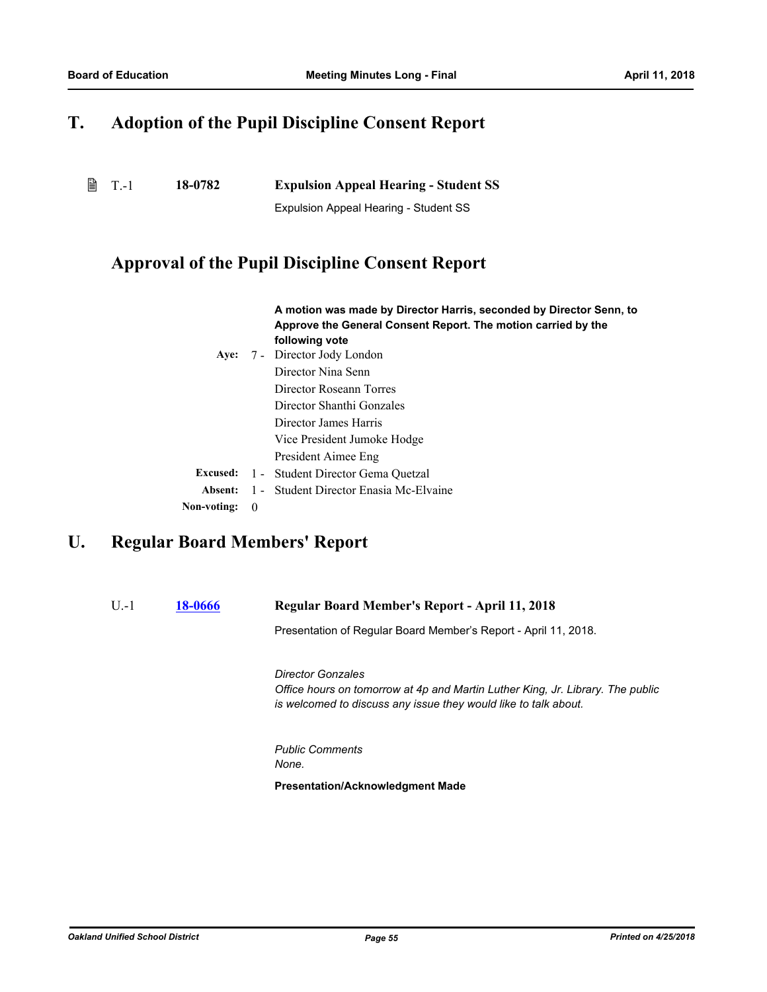# **T. Adoption of the Pupil Discipline Consent Report**

| $\exists$ T.-1 | 18-0782 | <b>Expulsion Appeal Hearing - Student SS</b> |
|----------------|---------|----------------------------------------------|
|                |         |                                              |

Expulsion Appeal Hearing - Student SS

## **Approval of the Pupil Discipline Consent Report**

|                    |                          | A motion was made by Director Harris, seconded by Director Senn, to<br>Approve the General Consent Report. The motion carried by the |  |  |  |
|--------------------|--------------------------|--------------------------------------------------------------------------------------------------------------------------------------|--|--|--|
|                    |                          | following vote                                                                                                                       |  |  |  |
| Aye:               | 7 - Director Jody London |                                                                                                                                      |  |  |  |
| Director Nina Senn |                          |                                                                                                                                      |  |  |  |
|                    |                          | Director Roseann Torres                                                                                                              |  |  |  |
|                    |                          | Director Shanthi Gonzales                                                                                                            |  |  |  |
|                    |                          | Director James Harris                                                                                                                |  |  |  |
|                    |                          | Vice President Jumoke Hodge                                                                                                          |  |  |  |
|                    |                          | President Aimee Eng                                                                                                                  |  |  |  |
| <b>Excused:</b>    |                          | 1 - Student Director Gema Quetzal                                                                                                    |  |  |  |
| Absent:            |                          | 1 - Student Director Enasia Mc-Elvaine                                                                                               |  |  |  |
| Non-voting:        | $\theta$                 |                                                                                                                                      |  |  |  |

# **U. Regular Board Members' Report**

### U.-1 **[18-0666](http://ousd.legistar.com/gateway.aspx?m=l&id=/matter.aspx?key=42846) Regular Board Member's Report - April 11, 2018**

Presentation of Regular Board Member's Report - April 11, 2018.

*Director Gonzales Office hours on tomorrow at 4p and Martin Luther King, Jr. Library. The public is welcomed to discuss any issue they would like to talk about.*

*Public Comments None.*

**Presentation/Acknowledgment Made**